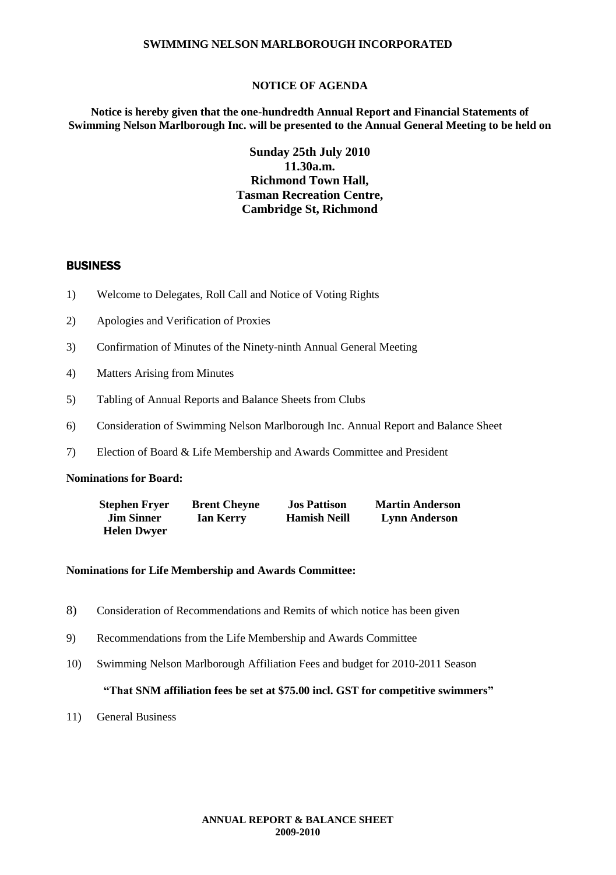### **NOTICE OF AGENDA**

**Notice is hereby given that the one-hundredth Annual Report and Financial Statements of Swimming Nelson Marlborough Inc. will be presented to the Annual General Meeting to be held on**

> **Sunday 25th July 2010 11.30a.m. Richmond Town Hall, Tasman Recreation Centre, Cambridge St, Richmond**

## **BUSINESS**

- 1) Welcome to Delegates, Roll Call and Notice of Voting Rights
- 2) Apologies and Verification of Proxies
- 3) Confirmation of Minutes of the Ninety-ninth Annual General Meeting
- 4) Matters Arising from Minutes
- 5) Tabling of Annual Reports and Balance Sheets from Clubs
- 6) Consideration of Swimming Nelson Marlborough Inc. Annual Report and Balance Sheet
- 7) Election of Board & Life Membership and Awards Committee and President

#### **Nominations for Board:**

| <b>Stephen Fryer</b> | <b>Brent Cheyne</b> | <b>Jos Pattison</b> | <b>Martin Anderson</b> |
|----------------------|---------------------|---------------------|------------------------|
| <b>Jim Sinner</b>    | Ian Kerry           | <b>Hamish Neill</b> | <b>Lynn Anderson</b>   |
| <b>Helen Dwyer</b>   |                     |                     |                        |

## **Nominations for Life Membership and Awards Committee:**

- 8) Consideration of Recommendations and Remits of which notice has been given
- 9) Recommendations from the Life Membership and Awards Committee
- 10) Swimming Nelson Marlborough Affiliation Fees and budget for 2010-2011 Season

#### **"That SNM affiliation fees be set at \$75.00 incl. GST for competitive swimmers"**

11) General Business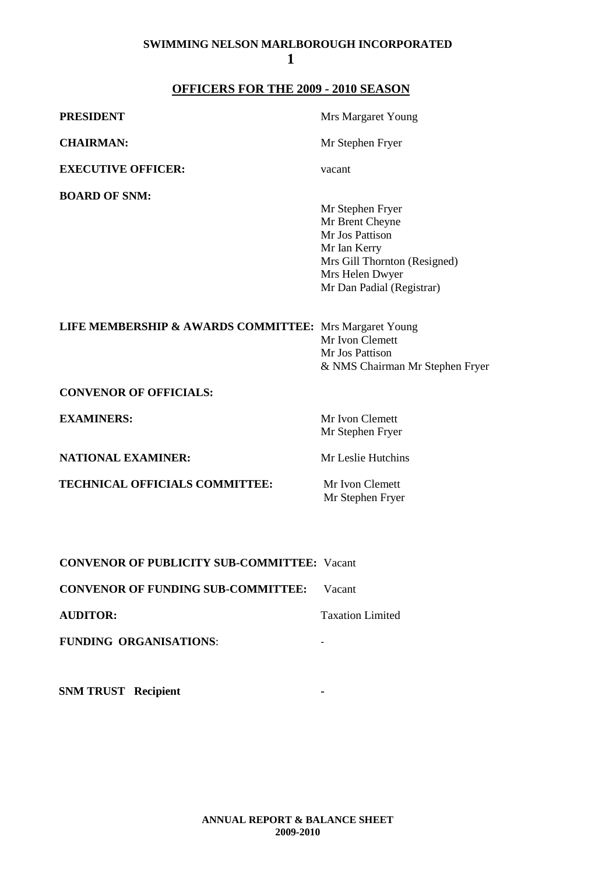## **OFFICERS FOR THE 2009 - 2010 SEASON**

| <b>PRESIDENT</b>                                       | Mrs Margaret Young                                                                                                                                     |
|--------------------------------------------------------|--------------------------------------------------------------------------------------------------------------------------------------------------------|
| <b>CHAIRMAN:</b>                                       | Mr Stephen Fryer                                                                                                                                       |
| <b>EXECUTIVE OFFICER:</b>                              | vacant                                                                                                                                                 |
| <b>BOARD OF SNM:</b>                                   | Mr Stephen Fryer<br>Mr Brent Cheyne<br>Mr Jos Pattison<br>Mr Ian Kerry<br>Mrs Gill Thornton (Resigned)<br>Mrs Helen Dwyer<br>Mr Dan Padial (Registrar) |
| LIFE MEMBERSHIP & AWARDS COMMITTEE: Mrs Margaret Young | Mr Ivon Clemett<br>Mr Jos Pattison<br>& NMS Chairman Mr Stephen Fryer                                                                                  |
| <b>CONVENOR OF OFFICIALS:</b>                          |                                                                                                                                                        |
| <b>EXAMINERS:</b>                                      | Mr Ivon Clemett<br>Mr Stephen Fryer                                                                                                                    |
| <b>NATIONAL EXAMINER:</b>                              | Mr Leslie Hutchins                                                                                                                                     |
| <b>TECHNICAL OFFICIALS COMMITTEE:</b>                  | Mr Ivon Clemett<br>Mr Stephen Fryer                                                                                                                    |
| <b>CONVENOR OF PUBLICITY SUB-COMMITTEE: Vacant</b>     |                                                                                                                                                        |

**CONVENOR OF FUNDING SUB-COMMITTEE:** Vacant

**AUDITOR:** Taxation Limited

**FUNDING ORGANISATIONS**: -

**SNM TRUST Recipient -**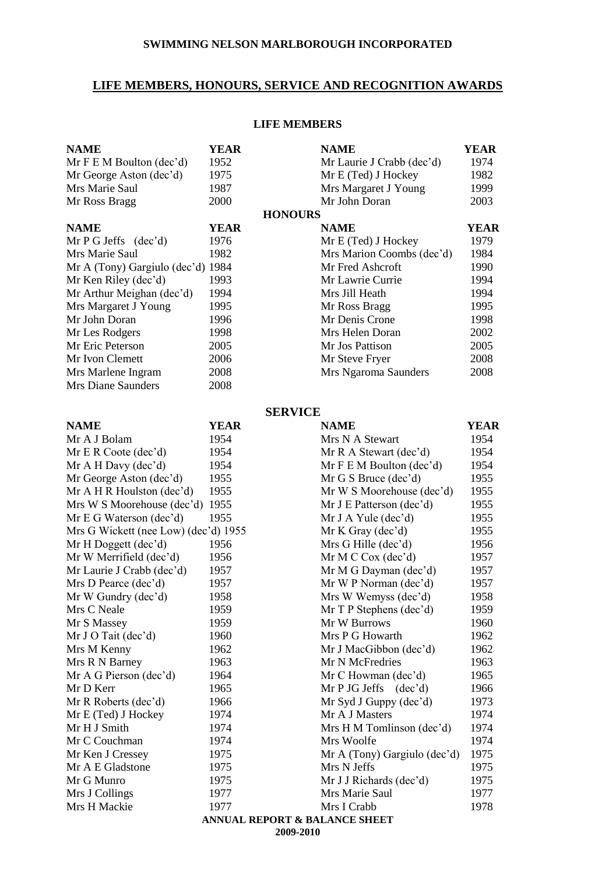## **LIFE MEMBERS, HONOURS, SERVICE AND RECOGNITION AWARDS**

## **LIFE MEMBERS**

| <b>NAME</b>                          | <b>YEAR</b>                  | <b>NAME</b>                              | <b>YEAR</b> |
|--------------------------------------|------------------------------|------------------------------------------|-------------|
| Mr F E M Boulton (dec'd)             | 1952                         | Mr Laurie J Crabb (dec'd)                | 1974        |
| Mr George Aston (dec'd)              | 1975                         | Mr E (Ted) J Hockey                      | 1982        |
| Mrs Marie Saul                       | 1987<br>Mrs Margaret J Young |                                          | 1999        |
| Mr Ross Bragg                        | 2000                         | Mr John Doran                            | 2003        |
|                                      |                              | <b>HONOURS</b>                           |             |
| <b>NAME</b>                          | <b>YEAR</b>                  | <b>NAME</b>                              | <b>YEAR</b> |
| Mr $P G Jeffs$ (dec'd)               | 1976                         | Mr E (Ted) J Hockey                      | 1979        |
| Mrs Marie Saul                       | 1982                         | Mrs Marion Coombs (dec'd)                | 1984        |
| Mr A (Tony) Gargiulo (dec'd) 1984    |                              | Mr Fred Ashcroft                         | 1990        |
| Mr Ken Riley (dec'd)                 | 1993                         | Mr Lawrie Currie                         | 1994        |
| Mr Arthur Meighan (dec'd)            | 1994                         | Mrs Jill Heath                           | 1994        |
| Mrs Margaret J Young                 | 1995                         | Mr Ross Bragg                            | 1995        |
| Mr John Doran                        | 1996                         | Mr Denis Crone                           | 1998        |
| Mr Les Rodgers                       | 1998                         | Mrs Helen Doran                          | 2002        |
| Mr Eric Peterson                     | 2005                         | Mr Jos Pattison                          | 2005        |
| Mr Ivon Clemett                      | 2006                         | Mr Steve Fryer                           | 2008        |
| Mrs Marlene Ingram                   | 2008                         | Mrs Ngaroma Saunders                     | 2008        |
| <b>Mrs Diane Saunders</b>            | 2008                         |                                          |             |
|                                      |                              | <b>SERVICE</b>                           |             |
| <b>NAME</b>                          | <b>YEAR</b>                  | <b>NAME</b>                              | <b>YEAR</b> |
| Mr A J Bolam                         | 1954                         | Mrs N A Stewart                          | 1954        |
| Mr E R Code (dec'd)                  | 1954                         | Mr R A Stewart (dec'd)                   | 1954        |
| Mr A H Day (dec'd)                   | 1954                         | Mr F E M Boulton (dec'd)                 | 1954        |
| Mr George Aston (dec'd)              | 1955                         | Mr G S Bruce (dec'd)                     | 1955        |
| Mr A H R Houlston (dec'd)            | 1955                         | Mr W S Moorehouse (dec'd)                | 1955        |
| Mrs W S Moorehouse (dec'd)           | 1955                         | Mr J E Patterson (dec'd)                 | 1955        |
| Mr E G Waterson (dec'd)              | 1955                         | Mr J A Yule (dec'd)                      | 1955        |
| Mrs G Wickett (nee Low) (dec'd) 1955 |                              | Mr K Gray $(dec'd)$                      | 1955        |
| Mr H Doggett (dec'd)                 | 1956                         | Mrs G Hille (dec'd)                      | 1956        |
| Mr W Merrifield (dec'd)              | 1956                         | Mr M C Cox $(dec'd)$                     | 1957        |
| Mr Laurie J Crabb (dec'd)            | 1957                         | Mr M G Dayman (dec'd)                    | 1957        |
| Mrs D Pearce (dec'd)                 | 1957                         | Mr W P Norman (dec'd)                    | 1957        |
| Mr W Gundry (dec'd)                  | 1958                         | Mrs W Wemyss (dec'd)                     | 1958        |
| Mrs C Neale                          | 1959                         | Mr T P Stephens (dec'd)                  | 1959        |
| Mr S Massey                          | 1959                         | Mr W Burrows                             | 1960        |
| Mr J O Tait (dec'd)                  | 1960                         | Mrs P G Howarth                          | 1962        |
| Mrs M Kenny                          | 1962                         | Mr J MacGibbon (dec'd)                   | 1962        |
| Mrs R N Barney                       | 1963                         | Mr N McFredries                          | 1963        |
| Mr A G Pierson (dec'd)               | 1964                         | Mr C Howman (dec'd)                      | 1965        |
| Mr D Kerr                            | 1965                         | Mr P JG Jeffs $(dec'd)$                  | 1966        |
| Mr R Roberts (dec'd)                 | 1966                         | Mr Syd J Guppy (dec'd)                   | 1973        |
| Mr E (Ted) J Hockey                  | 1974                         | Mr A J Masters                           | 1974        |
| Mr H J Smith                         | 1974                         | Mrs H M Tomlinson (dec'd)                | 1974        |
| Mr C Couchman                        | 1974                         | Mrs Woolfe                               | 1974        |
| Mr Ken J Cressey                     | 1975                         | Mr A (Tony) Gargiulo (dec'd)             | 1975        |
| Mr A E Gladstone                     | 1975                         | Mrs N Jeffs                              | 1975        |
| Mr G Munro                           | 1975                         | Mr J J Richards (dec'd)                  | 1975        |
| Mrs J Collings                       | 1977                         | Mrs Marie Saul                           | 1977        |
| Mrs H Mackie                         | 1977                         | Mrs I Crabb                              | 1978        |
|                                      |                              | <b>ANNUAL REPORT &amp; BALANCE SHEET</b> |             |
|                                      |                              | 2009-2010                                |             |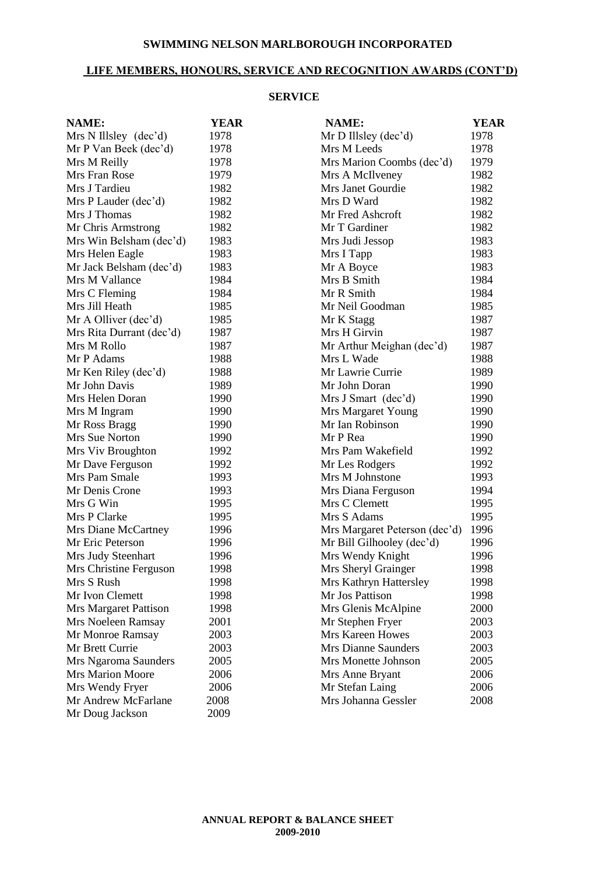## **LIFE MEMBERS, HONOURS, SERVICE AND RECOGNITION AWARDS (CONT'D)**

#### **SERVICE**

| <b>NAME:</b>             | <b>YEAR</b> | NAME:                         | <b>YEAR</b> |
|--------------------------|-------------|-------------------------------|-------------|
| Mrs N Illsley (dec'd)    | 1978        | Mr D Illsley (dec'd)          | 1978        |
| Mr P Van Beek (dec'd)    | 1978        | Mrs M Leeds                   | 1978        |
| Mrs M Reilly             | 1978        | Mrs Marion Coombs (dec'd)     | 1979        |
| Mrs Fran Rose            | 1979        | Mrs A McIlveney               | 1982        |
| Mrs J Tardieu            | 1982        | Mrs Janet Gourdie             | 1982        |
| Mrs P Lauder (dec'd)     | 1982        | Mrs D Ward                    | 1982        |
| Mrs J Thomas             | 1982        | Mr Fred Ashcroft              | 1982        |
| Mr Chris Armstrong       | 1982        | Mr T Gardiner                 | 1982        |
| Mrs Win Belsham (dec'd)  | 1983        | Mrs Judi Jessop               | 1983        |
| Mrs Helen Eagle          | 1983        | Mrs I Tapp                    | 1983        |
| Mr Jack Belsham (dec'd)  | 1983        | Mr A Boyce                    | 1983        |
| Mrs M Vallance           | 1984        | Mrs B Smith                   | 1984        |
| Mrs C Fleming            | 1984        | Mr R Smith                    | 1984        |
| Mrs Jill Heath           | 1985        | Mr Neil Goodman               | 1985        |
| Mr A Olliver (dec'd)     | 1985        | Mr K Stagg                    | 1987        |
| Mrs Rita Durrant (dec'd) | 1987        | Mrs H Girvin                  | 1987        |
| Mrs M Rollo              | 1987        | Mr Arthur Meighan (dec'd)     | 1987        |
| Mr P Adams               | 1988        | Mrs L Wade                    | 1988        |
| Mr Ken Riley (dec'd)     | 1988        | Mr Lawrie Currie              | 1989        |
| Mr John Davis            | 1989        | Mr John Doran                 | 1990        |
| Mrs Helen Doran          | 1990        | Mrs J Smart (dec'd)           | 1990        |
| Mrs M Ingram             | 1990        | Mrs Margaret Young            | 1990        |
| Mr Ross Bragg            | 1990        | Mr Ian Robinson               | 1990        |
| Mrs Sue Norton           | 1990        | Mr P Rea                      | 1990        |
| Mrs Viv Broughton        | 1992        | Mrs Pam Wakefield             | 1992        |
| Mr Dave Ferguson         | 1992        | Mr Les Rodgers                | 1992        |
| Mrs Pam Smale            | 1993        | Mrs M Johnstone               | 1993        |
| Mr Denis Crone           | 1993        | Mrs Diana Ferguson            | 1994        |
| Mrs G Win                | 1995        | Mrs C Clemett                 | 1995        |
| Mrs P Clarke             | 1995        | Mrs S Adams                   | 1995        |
| Mrs Diane McCartney      | 1996        | Mrs Margaret Peterson (dec'd) | 1996        |
| Mr Eric Peterson         | 1996        | Mr Bill Gilhooley (dec'd)     | 1996        |
| Mrs Judy Steenhart       | 1996        | Mrs Wendy Knight              | 1996        |
| Mrs Christine Ferguson   | 1998        | Mrs Sheryl Grainger           | 1998        |
| Mrs S Rush               | 1998        | Mrs Kathryn Hattersley        | 1998        |
| Mr Ivon Clemett          | 1998        | Mr Jos Pattison               | 1998        |
| Mrs Margaret Pattison    | 1998        | Mrs Glenis McAlpine           | 2000        |
| Mrs Noeleen Ramsay       | 2001        | Mr Stephen Fryer              | 2003        |
| Mr Monroe Ramsay         | 2003        | Mrs Kareen Howes              | 2003        |
| Mr Brett Currie          | 2003        | <b>Mrs Dianne Saunders</b>    | 2003        |
| Mrs Ngaroma Saunders     | 2005        | Mrs Monette Johnson           | 2005        |
| <b>Mrs Marion Moore</b>  | 2006        | Mrs Anne Bryant               | 2006        |
| Mrs Wendy Fryer          | 2006        | Mr Stefan Laing               | 2006        |
| Mr Andrew McFarlane      | 2008        | Mrs Johanna Gessler           | 2008        |
| Mr Doug Jackson          | 2009        |                               |             |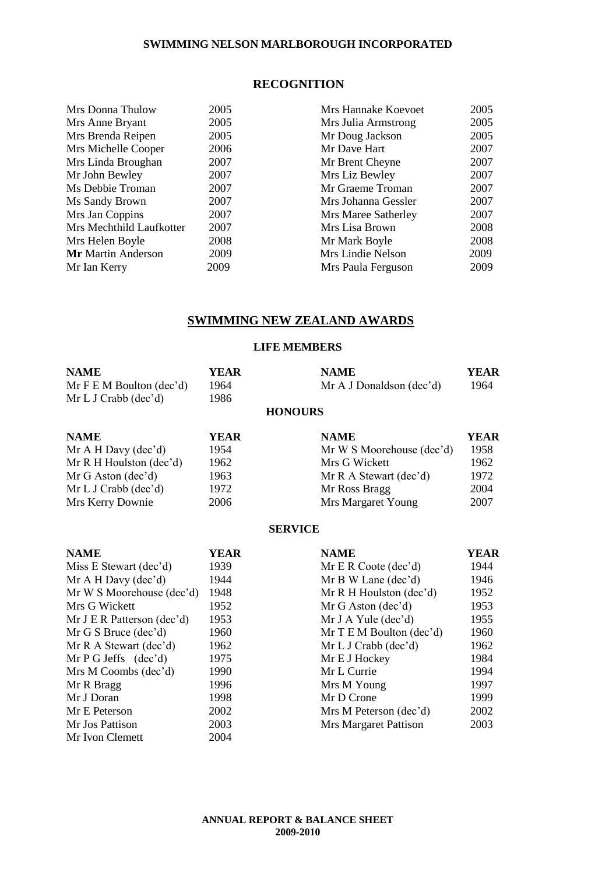## **RECOGNITION**

| 2005 | Mrs Hannake Koevoet | 2005 |
|------|---------------------|------|
| 2005 | Mrs Julia Armstrong | 2005 |
| 2005 | Mr Doug Jackson     | 2005 |
| 2006 | Mr Dave Hart        | 2007 |
| 2007 | Mr Brent Cheyne     | 2007 |
| 2007 | Mrs Liz Bewley      | 2007 |
| 2007 | Mr Graeme Troman    | 2007 |
| 2007 | Mrs Johanna Gessler | 2007 |
| 2007 | Mrs Maree Satherley | 2007 |
| 2007 | Mrs Lisa Brown      | 2008 |
| 2008 | Mr Mark Boyle       | 2008 |
| 2009 | Mrs Lindie Nelson   | 2009 |
| 2009 | Mrs Paula Ferguson  | 2009 |
|      |                     |      |

## **SWIMMING NEW ZEALAND AWARDS**

## **LIFE MEMBERS**

| <b>NAME</b>                   | YEAR | <b>NAME</b>              | YEAR |
|-------------------------------|------|--------------------------|------|
| Mr F E M Boulton $(dec'd)$    | 1964 | Mr A J Donaldson (dec'd) | 1964 |
| Mr L J Crabb $(\text{dec'd})$ | 1986 |                          |      |
|                               |      | <b>HONOURS</b>           |      |

| <b>NAME</b><br>Mr A H Davy $(dec'd)$ | YEAR<br>1954 | <b>NAME</b><br>Mr W S Moorehouse (dec'd) | <b>YEAR</b><br>1958 |
|--------------------------------------|--------------|------------------------------------------|---------------------|
| Mr R H Houlston $(dec'd)$            | 1962         | Mrs G Wickett                            | 1962                |
| Mr G Aston $(dec'd)$                 | 1963         | Mr R A Stewart $(dec'd)$                 | 1972                |
| Mr L J Crab (dec'd)                  | 1972         | Mr Ross Bragg                            | 2004                |
| Mrs Kerry Downie                     | 2006         | Mrs Margaret Young                       | 2007                |

#### **SERVICE**

| <b>NAME</b>                  | YEAR | <b>NAME</b>                  | YEAR |
|------------------------------|------|------------------------------|------|
| Miss E Stewart (dec'd)       | 1939 | Mr E R Coote $(dec'd)$       | 1944 |
| Mr A H Davy $(dec'd)$        | 1944 | Mr B W Lane (dec'd)          | 1946 |
| Mr W S Moorehouse (dec'd)    | 1948 | Mr R H Houlston $(dec'd)$    | 1952 |
| Mrs G Wickett                | 1952 | $Mr G$ Aston (dec'd)         | 1953 |
| Mr J E R Patterson $(dec'd)$ | 1953 | Mr J A Yule $(dec'd)$        | 1955 |
| Mr G S Bruce $(dec'd)$       | 1960 | Mr $T \to M$ Boulton (dec'd) | 1960 |
| Mr R A Stewart (dec'd)       | 1962 | Mr L J Crab (dec'd)          | 1962 |
| Mr P G Jeffs $(dec'd)$       | 1975 | Mr E J Hockey                | 1984 |
| Mrs M Coombs (dec'd)         | 1990 | Mr L Currie                  | 1994 |
| Mr R Bragg                   | 1996 | Mrs M Young                  | 1997 |
| Mr J Doran                   | 1998 | Mr D Crone                   | 1999 |
| Mr E Peterson                | 2002 | Mrs M Peterson (dec'd)       | 2002 |
| Mr Jos Pattison              | 2003 | <b>Mrs Margaret Pattison</b> | 2003 |
| Mr Ivon Clemett              | 2004 |                              |      |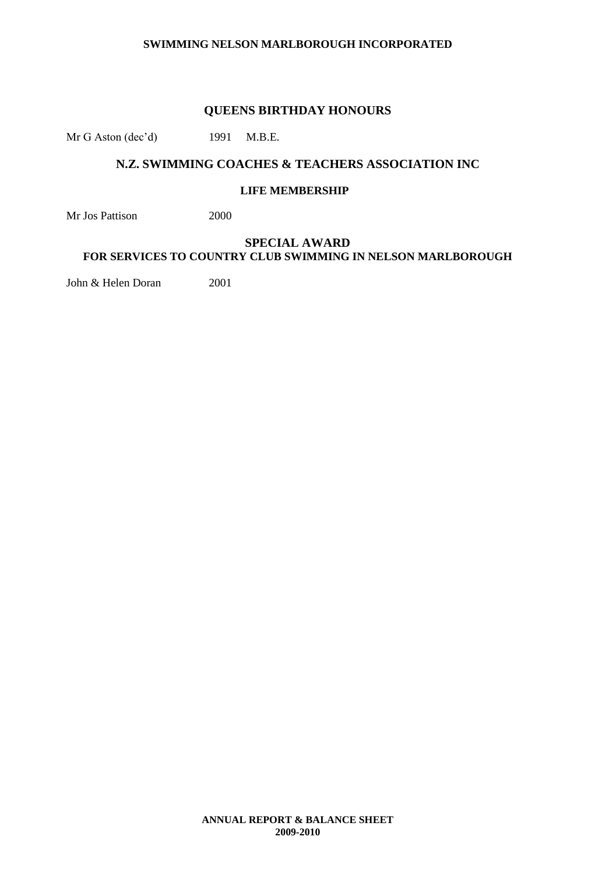#### **QUEENS BIRTHDAY HONOURS**

Mr G Aston (dec'd) 1991 M.B.E.

## **N.Z. SWIMMING COACHES & TEACHERS ASSOCIATION INC**

#### **LIFE MEMBERSHIP**

Mr Jos Pattison 2000

## **SPECIAL AWARD FOR SERVICES TO COUNTRY CLUB SWIMMING IN NELSON MARLBOROUGH**

John & Helen Doran 2001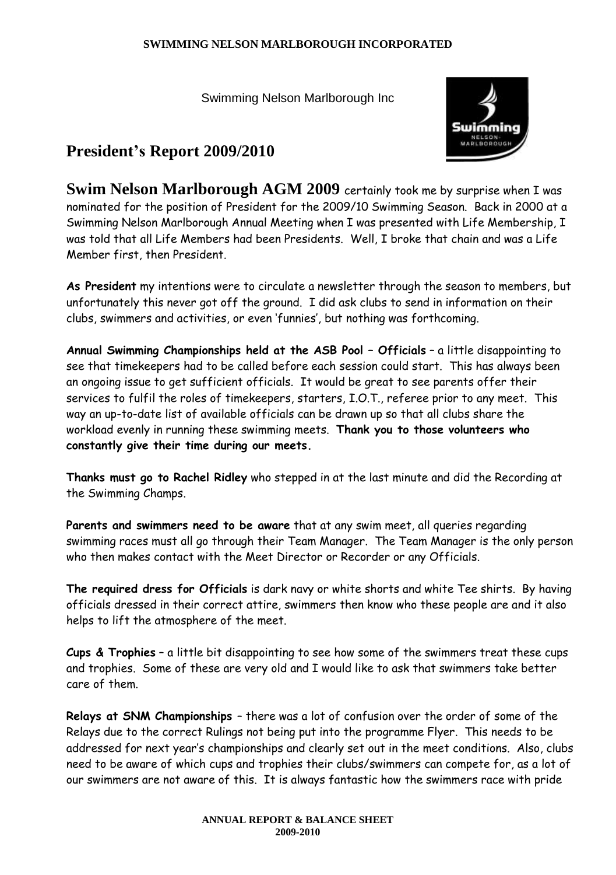Swimming Nelson Marlborough Inc



## **President's Report 2009/2010**

**Swim Nelson Marlborough AGM 2009** certainly took me by surprise when I was nominated for the position of President for the 2009/10 Swimming Season. Back in 2000 at a Swimming Nelson Marlborough Annual Meeting when I was presented with Life Membership, I was told that all Life Members had been Presidents. Well, I broke that chain and was a Life Member first, then President.

**As President** my intentions were to circulate a newsletter through the season to members, but unfortunately this never got off the ground. I did ask clubs to send in information on their clubs, swimmers and activities, or even 'funnies', but nothing was forthcoming.

**Annual Swimming Championships held at the ASB Pool – Officials** – a little disappointing to see that timekeepers had to be called before each session could start. This has always been an ongoing issue to get sufficient officials. It would be great to see parents offer their services to fulfil the roles of timekeepers, starters, I.O.T., referee prior to any meet. This way an up-to-date list of available officials can be drawn up so that all clubs share the workload evenly in running these swimming meets. **Thank you to those volunteers who constantly give their time during our meets.**

**Thanks must go to Rachel Ridley** who stepped in at the last minute and did the Recording at the Swimming Champs.

**Parents and swimmers need to be aware** that at any swim meet, all queries regarding swimming races must all go through their Team Manager. The Team Manager is the only person who then makes contact with the Meet Director or Recorder or any Officials.

**The required dress for Officials** is dark navy or white shorts and white Tee shirts. By having officials dressed in their correct attire, swimmers then know who these people are and it also helps to lift the atmosphere of the meet.

**Cups & Trophies** – a little bit disappointing to see how some of the swimmers treat these cups and trophies. Some of these are very old and I would like to ask that swimmers take better care of them.

**Relays at SNM Championships** – there was a lot of confusion over the order of some of the Relays due to the correct Rulings not being put into the programme Flyer. This needs to be addressed for next year's championships and clearly set out in the meet conditions. Also, clubs need to be aware of which cups and trophies their clubs/swimmers can compete for, as a lot of our swimmers are not aware of this. It is always fantastic how the swimmers race with pride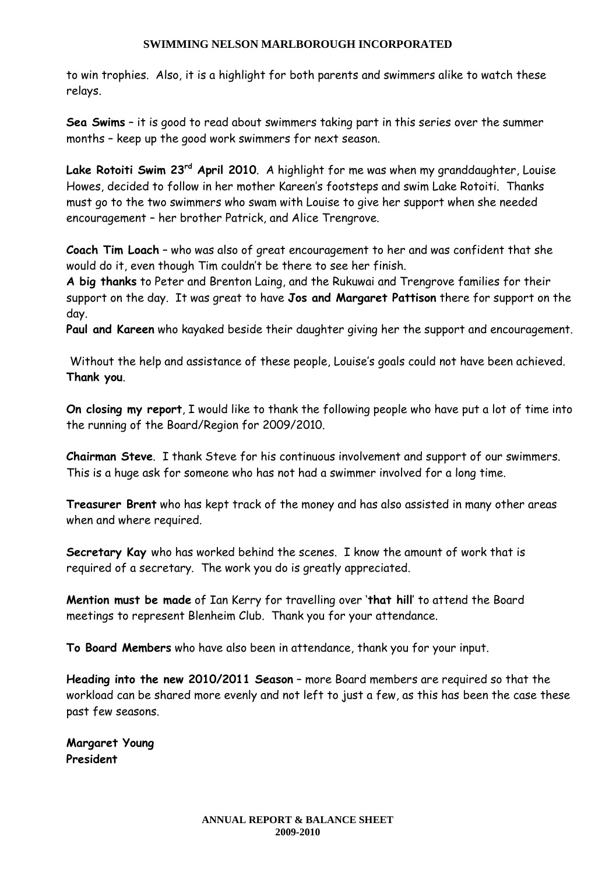to win trophies. Also, it is a highlight for both parents and swimmers alike to watch these relays.

**Sea Swims** – it is good to read about swimmers taking part in this series over the summer months – keep up the good work swimmers for next season.

**Lake Rotoiti Swim 23rd April 2010**. A highlight for me was when my granddaughter, Louise Howes, decided to follow in her mother Kareen's footsteps and swim Lake Rotoiti. Thanks must go to the two swimmers who swam with Louise to give her support when she needed encouragement – her brother Patrick, and Alice Trengrove.

**Coach Tim Loach** – who was also of great encouragement to her and was confident that she would do it, even though Tim couldn't be there to see her finish.

**A big thanks** to Peter and Brenton Laing, and the Rukuwai and Trengrove families for their support on the day. It was great to have **Jos and Margaret Pattison** there for support on the day.

**Paul and Kareen** who kayaked beside their daughter giving her the support and encouragement.

Without the help and assistance of these people, Louise's goals could not have been achieved. **Thank you**.

**On closing my report**, I would like to thank the following people who have put a lot of time into the running of the Board/Region for 2009/2010.

**Chairman Steve**. I thank Steve for his continuous involvement and support of our swimmers. This is a huge ask for someone who has not had a swimmer involved for a long time.

**Treasurer Brent** who has kept track of the money and has also assisted in many other areas when and where required.

**Secretary Kay** who has worked behind the scenes. I know the amount of work that is required of a secretary. The work you do is greatly appreciated.

**Mention must be made** of Ian Kerry for travelling over '**that hill**' to attend the Board meetings to represent Blenheim Club. Thank you for your attendance.

**To Board Members** who have also been in attendance, thank you for your input.

**Heading into the new 2010/2011 Season** – more Board members are required so that the workload can be shared more evenly and not left to just a few, as this has been the case these past few seasons.

**Margaret Young President**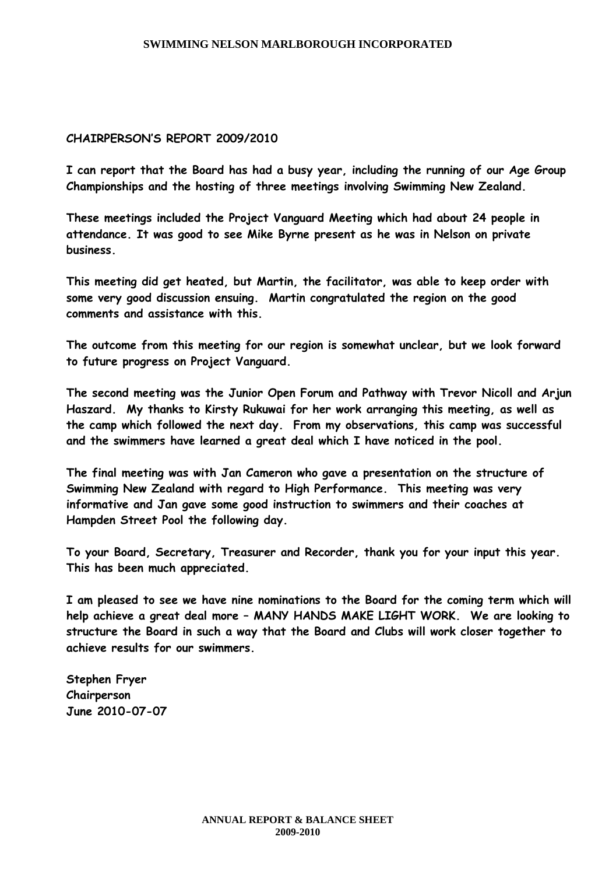## **CHAIRPERSON'S REPORT 2009/2010**

**I can report that the Board has had a busy year, including the running of our Age Group Championships and the hosting of three meetings involving Swimming New Zealand.**

**These meetings included the Project Vanguard Meeting which had about 24 people in attendance. It was good to see Mike Byrne present as he was in Nelson on private business.**

**This meeting did get heated, but Martin, the facilitator, was able to keep order with some very good discussion ensuing. Martin congratulated the region on the good comments and assistance with this.**

**The outcome from this meeting for our region is somewhat unclear, but we look forward to future progress on Project Vanguard.**

**The second meeting was the Junior Open Forum and Pathway with Trevor Nicoll and Arjun Haszard. My thanks to Kirsty Rukuwai for her work arranging this meeting, as well as the camp which followed the next day. From my observations, this camp was successful and the swimmers have learned a great deal which I have noticed in the pool.**

**The final meeting was with Jan Cameron who gave a presentation on the structure of Swimming New Zealand with regard to High Performance. This meeting was very informative and Jan gave some good instruction to swimmers and their coaches at Hampden Street Pool the following day.**

**To your Board, Secretary, Treasurer and Recorder, thank you for your input this year. This has been much appreciated.**

**I am pleased to see we have nine nominations to the Board for the coming term which will help achieve a great deal more – MANY HANDS MAKE LIGHT WORK. We are looking to structure the Board in such a way that the Board and Clubs will work closer together to achieve results for our swimmers.**

**Stephen Fryer Chairperson June 2010-07-07**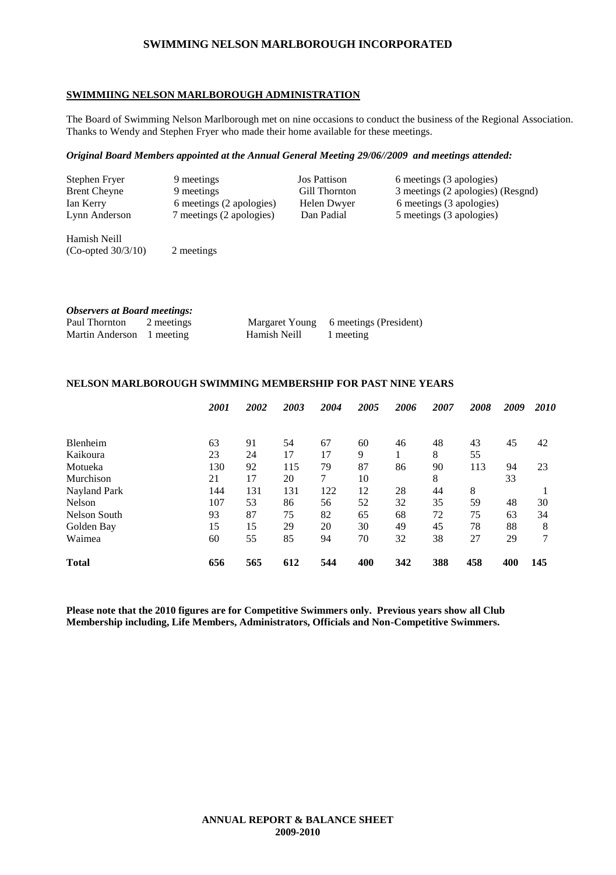#### **SWIMMIING NELSON MARLBOROUGH ADMINISTRATION**

The Board of Swimming Nelson Marlborough met on nine occasions to conduct the business of the Regional Association. Thanks to Wendy and Stephen Fryer who made their home available for these meetings.

#### *Original Board Members appointed at the Annual General Meeting 29/06//2009 and meetings attended:*

| Stephen Fryer       | 9 meetings               | <b>Jos Pattison</b> | 6 meetings (3 apologies)          |
|---------------------|--------------------------|---------------------|-----------------------------------|
| <b>Brent Cheyne</b> | 9 meetings               | Gill Thornton       | 3 meetings (2 apologies) (Resgnd) |
| Ian Kerry           | 6 meetings (2 apologies) | Helen Dwyer         | 6 meetings (3 apologies)          |
| Lynn Anderson       | 7 meetings (2 apologies) | Dan Padial          | 5 meetings (3 apologies)          |

Hamish Neill  $(Co$ -opted  $30/3/10$  2 meetings

| <b>Observers at Board meetings:</b> |            |              |                                       |
|-------------------------------------|------------|--------------|---------------------------------------|
| Paul Thornton                       | 2 meetings |              | Margaret Young 6 meetings (President) |
| Martin Anderson 1 meeting           |            | Hamish Neill | 1 meeting                             |

## **NELSON MARLBOROUGH SWIMMING MEMBERSHIP FOR PAST NINE YEARS**

|                 | 2001 | 2002 | 2003 | 2004 | 2005 | 2006 | 2007 | 2008 | 2009 | 2010 |
|-----------------|------|------|------|------|------|------|------|------|------|------|
|                 |      |      |      |      |      |      |      |      |      |      |
| <b>Blenheim</b> | 63   | 91   | 54   | 67   | 60   | 46   | 48   | 43   | 45   | 42   |
| Kaikoura        | 23   | 24   | 17   | 17   | 9    |      | 8    | 55   |      |      |
| Motueka         | 130  | 92   | 115  | 79   | 87   | 86   | 90   | 113  | 94   | 23   |
| Murchison       | 21   | 17   | 20   | 7    | 10   |      | 8    |      | 33   |      |
| Nayland Park    | 144  | 131  | 131  | 122  | 12   | 28   | 44   | 8    |      |      |
| Nelson          | 107  | 53   | 86   | 56   | 52   | 32   | 35   | 59   | 48   | 30   |
| Nelson South    | 93   | 87   | 75   | 82   | 65   | 68   | 72   | 75   | 63   | 34   |
| Golden Bay      | 15   | 15   | 29   | 20   | 30   | 49   | 45   | 78   | 88   | 8    |
| Waimea          | 60   | 55   | 85   | 94   | 70   | 32   | 38   | 27   | 29   | 7    |
| <b>Total</b>    | 656  | 565  | 612  | 544  | 400  | 342  | 388  | 458  | 400  | 145  |

**Please note that the 2010 figures are for Competitive Swimmers only. Previous years show all Club Membership including, Life Members, Administrators, Officials and Non-Competitive Swimmers.**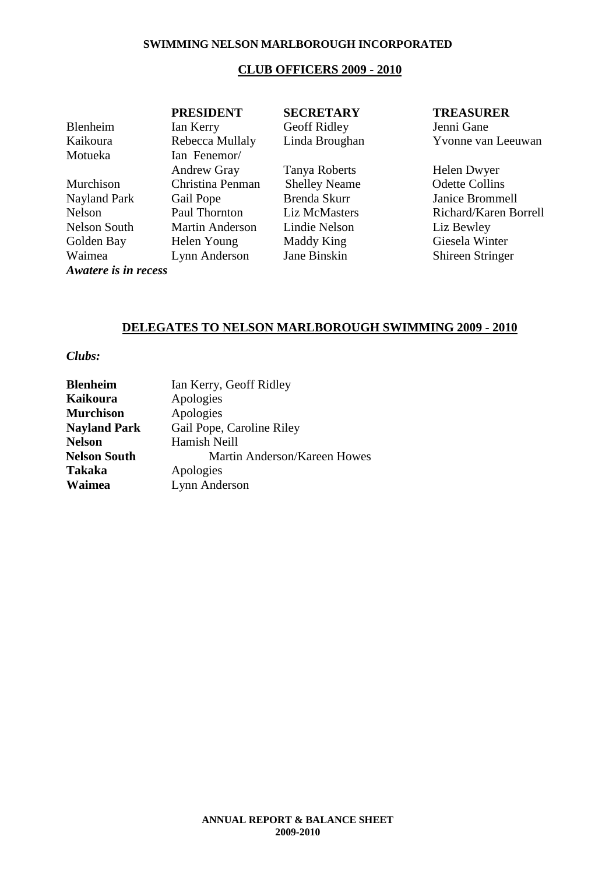## **CLUB OFFICERS 2009 - 2010**

| <b>PRESIDENT</b>       | <b>SECRETARY</b>     | <b>TREASURER</b>        |
|------------------------|----------------------|-------------------------|
| Ian Kerry              | Geoff Ridley         | Jenni Gane              |
| Rebecca Mullaly        | Linda Broughan       | Yvonne van Leeuwan      |
| Ian Fenemor/           |                      |                         |
| <b>Andrew Gray</b>     | Tanya Roberts        | Helen Dwyer             |
| Christina Penman       | <b>Shelley Neame</b> | <b>Odette Collins</b>   |
| Gail Pope              | Brenda Skurr         | Janice Brommell         |
| Paul Thornton          | Liz McMasters        | Richard/Karen Borrell   |
| <b>Martin Anderson</b> | Lindie Nelson        | Liz Bewley              |
| Helen Young            | Maddy King           | Giesela Winter          |
| Lynn Anderson          | Jane Binskin         | <b>Shireen Stringer</b> |
|                        |                      |                         |

*Awatere is in recess*

## **DELEGATES TO NELSON MARLBOROUGH SWIMMING 2009 - 2010**

## *Clubs:*

| <b>Blenheim</b>     | Ian Kerry, Geoff Ridley      |
|---------------------|------------------------------|
| <b>Kaikoura</b>     | Apologies                    |
| <b>Murchison</b>    | Apologies                    |
| <b>Nayland Park</b> | Gail Pope, Caroline Riley    |
| <b>Nelson</b>       | Hamish Neill                 |
| <b>Nelson South</b> | Martin Anderson/Kareen Howes |
| <b>Takaka</b>       | Apologies                    |
| Waimea              | Lynn Anderson                |
|                     |                              |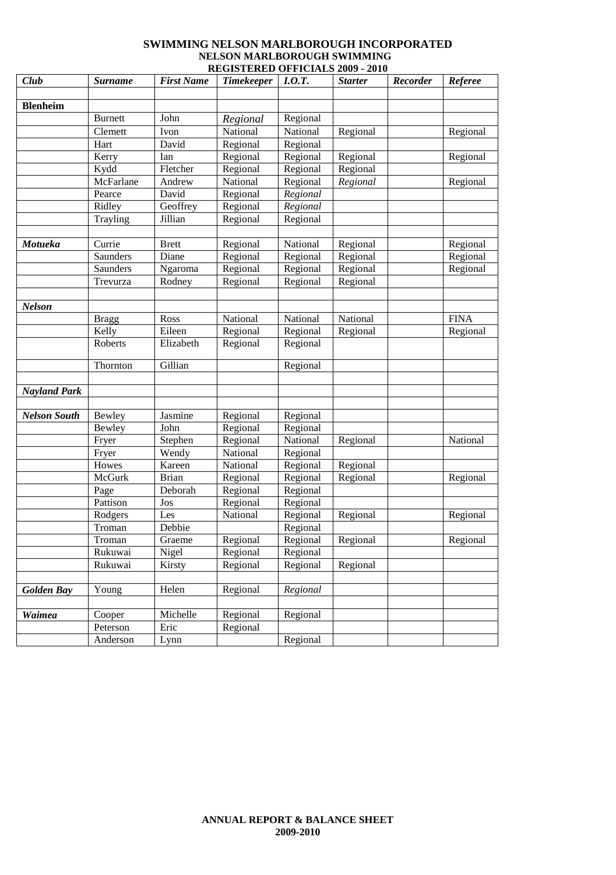#### **SWIMMING NELSON MARLBOROUGH INCORPORATED NELSON MARLBOROUGH SWIMMING REGISTERED OFFICIALS 2009 - 2010**

| Club                | <b>Surname</b> | <b>First Name</b> | <b>Timekeeper</b> | I.0.T.   | <b>Starter</b> | Recorder | <b>Referee</b> |
|---------------------|----------------|-------------------|-------------------|----------|----------------|----------|----------------|
|                     |                |                   |                   |          |                |          |                |
| <b>Blenheim</b>     |                |                   |                   |          |                |          |                |
|                     | <b>Burnett</b> | John              | Regional          | Regional |                |          |                |
|                     | Clemett        | Ivon              | National          | National | Regional       |          | Regional       |
|                     | Hart           | David             | Regional          | Regional |                |          |                |
|                     | Kerry          | Ian               | Regional          | Regional | Regional       |          | Regional       |
|                     | Kydd           | Fletcher          | Regional          | Regional | Regional       |          |                |
|                     | McFarlane      | Andrew            | National          | Regional | Regional       |          | Regional       |
|                     | Pearce         | David             | Regional          | Regional |                |          |                |
|                     | Ridley         | Geoffrey          | Regional          | Regional |                |          |                |
|                     | Trayling       | Jillian           | Regional          | Regional |                |          |                |
|                     |                |                   |                   |          |                |          |                |
| Motueka             | Currie         | <b>Brett</b>      | Regional          | National | Regional       |          | Regional       |
|                     | Saunders       | Diane             | Regional          | Regional | Regional       |          | Regional       |
|                     | Saunders       | Ngaroma           | Regional          | Regional | Regional       |          | Regional       |
|                     | Trevurza       | Rodney            | Regional          | Regional | Regional       |          |                |
|                     |                |                   |                   |          |                |          |                |
| <b>Nelson</b>       |                |                   |                   |          |                |          |                |
|                     | <b>Bragg</b>   | Ross              | National          | National | National       |          | <b>FINA</b>    |
|                     | Kelly          | Eileen            | Regional          | Regional | Regional       |          | Regional       |
|                     | Roberts        | Elizabeth         | Regional          | Regional |                |          |                |
|                     | Thornton       | Gillian           |                   | Regional |                |          |                |
|                     |                |                   |                   |          |                |          |                |
| <b>Nayland Park</b> |                |                   |                   |          |                |          |                |
| <b>Nelson South</b> | Bewley         | Jasmine           | Regional          | Regional |                |          |                |
|                     | Bewley         | John              | Regional          | Regional |                |          |                |
|                     | Fryer          | Stephen           | Regional          | National | Regional       |          | National       |
|                     | Fryer          | Wendy             | National          | Regional |                |          |                |
|                     | Howes          | Kareen            | National          | Regional | Regional       |          |                |
|                     | McGurk         | <b>Brian</b>      | Regional          | Regional | Regional       |          | Regional       |
|                     | Page           | Deborah           | Regional          | Regional |                |          |                |
|                     | Pattison       | Jos               | Regional          | Regional |                |          |                |
|                     | Rodgers        | Les               | National          | Regional | Regional       |          | Regional       |
|                     | Troman         | Debbie            |                   | Regional |                |          |                |
|                     | Troman         | Graeme            | Regional          | Regional | Regional       |          | Regional       |
|                     | Rukuwai        | Nigel             | Regional          | Regional |                |          |                |
|                     | Rukuwai        | Kirsty            | Regional          | Regional | Regional       |          |                |
|                     |                |                   |                   |          |                |          |                |
| <b>Golden Bay</b>   | Young          | Helen             | Regional          | Regional |                |          |                |
|                     |                |                   |                   |          |                |          |                |
| Waimea              | Cooper         | Michelle          | Regional          | Regional |                |          |                |
|                     | Peterson       | Eric              | Regional          |          |                |          |                |
|                     | Anderson       | Lynn              |                   | Regional |                |          |                |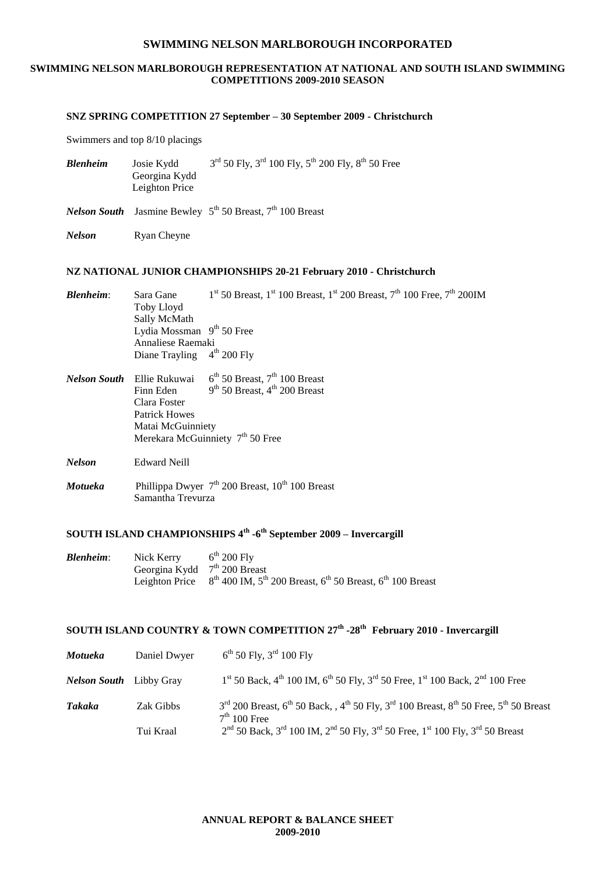#### **SWIMMING NELSON MARLBOROUGH REPRESENTATION AT NATIONAL AND SOUTH ISLAND SWIMMING COMPETITIONS 2009-2010 SEASON**

#### **SNZ SPRING COMPETITION 27 September – 30 September 2009 - Christchurch**

Swimmers and top 8/10 placings

| <b>Blenheim</b> | Josie Kydd     | $3^{rd}$ 50 Fly, $3^{rd}$ 100 Fly, $5^{th}$ 200 Fly, $8^{th}$ 50 Free |
|-----------------|----------------|-----------------------------------------------------------------------|
|                 | Georgina Kydd  |                                                                       |
|                 | Leighton Price |                                                                       |

*Nelson South* Jasmine Bewley 5<sup>th</sup> 50 Breast, 7<sup>th</sup> 100 Breast

*Nelson* Ryan Cheyne

#### **NZ NATIONAL JUNIOR CHAMPIONSHIPS 20-21 February 2010 - Christchurch**

| <b>Blenheim:</b> | Sara Gane                    | $1st$ 50 Breast, $1st$ 100 Breast, $1st$ 200 Breast, $7th$ 100 Free, $7th$ 200IM |
|------------------|------------------------------|----------------------------------------------------------------------------------|
|                  | Toby Lloyd                   |                                                                                  |
|                  | Sally McMath                 |                                                                                  |
|                  | Lydia Mossman $9th 50$ Free  |                                                                                  |
|                  | Annaliese Raemaki            |                                                                                  |
|                  | Diane Trayling $4th 200$ Fly |                                                                                  |
|                  |                              |                                                                                  |

- *Nelson South* Ellie Rukuwai 6<sup>th</sup> 50 Breast, 7<sup>th</sup> 100 Breast Finn Eden 9  $9<sup>th</sup>$  50 Breast,  $4<sup>th</sup>$  200 Breast Clara Foster Patrick Howes Matai McGuinniety Merekara McGuinniety  $7<sup>th</sup> 50$  Free
- *Nelson* Edward Neill
- *Motueka* Phillippa Dwyer 7<sup>th</sup> 200 Breast, 10<sup>th</sup> 100 Breast Samantha Trevurza

#### **SOUTH ISLAND CHAMPIONSHIPS 4th -6 th September 2009 – Invercargill**

| Blenheim: | Nick Kerry                     | $6^{\text{th}}$ 200 Fly                                                                      |
|-----------|--------------------------------|----------------------------------------------------------------------------------------------|
|           | Georgina Kydd $7th$ 200 Breast |                                                                                              |
|           |                                | Leighton Price $8^{th}$ 400 IM, $5^{th}$ 200 Breast, $6^{th}$ 50 Breast, $6^{th}$ 100 Breast |

#### **SOUTH ISLAND COUNTRY & TOWN COMPETITION 27th -28th February 2010 - Invercargill**

| <b>Motueka</b>                 | Daniel Dwyer | $6^{th}$ 50 Fly, 3 <sup>rd</sup> 100 Fly                                                                                                                                        |
|--------------------------------|--------------|---------------------------------------------------------------------------------------------------------------------------------------------------------------------------------|
| <b>Nelson South</b> Libby Gray |              | $1st$ 50 Back, 4 <sup>th</sup> 100 IM, 6 <sup>th</sup> 50 Fly, 3 <sup>rd</sup> 50 Free, 1 <sup>st</sup> 100 Back, 2 <sup>nd</sup> 100 Free                                      |
| Takaka                         | Zak Gibbs    | $3^{\text{rd}}$ 200 Breast, $6^{\text{th}}$ 50 Back, , $4^{\text{th}}$ 50 Fly, $3^{\text{rd}}$ 100 Breast, $8^{\text{th}}$ 50 Free, $5^{\text{th}}$ 50 Breast<br>$7th 100$ Free |
|                                | Tui Kraal    | $2nd$ 50 Back, 3 <sup>rd</sup> 100 IM, 2 <sup>nd</sup> 50 Fly, 3 <sup>rd</sup> 50 Free, 1 <sup>st</sup> 100 Fly, 3 <sup>rd</sup> 50 Breast                                      |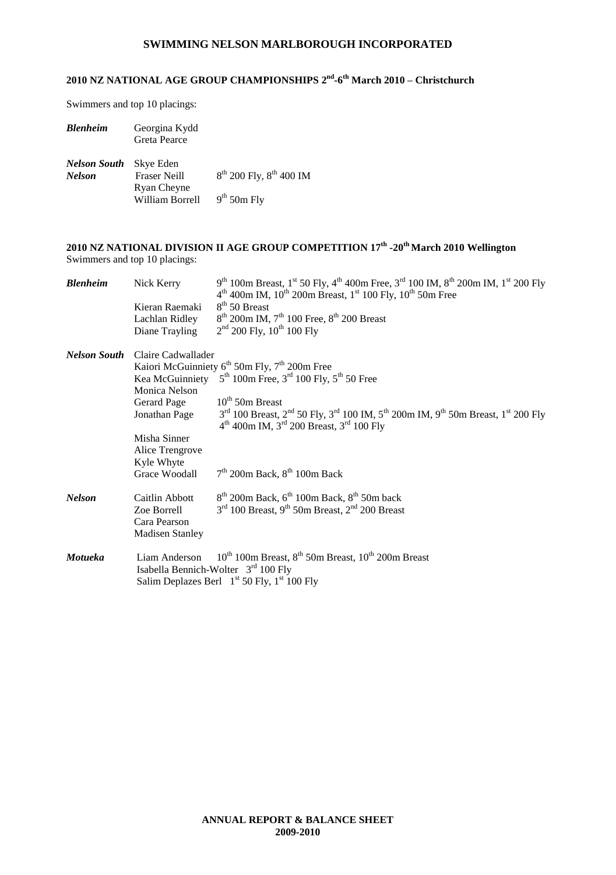#### **2010 NZ NATIONAL AGE GROUP CHAMPIONSHIPS 2 nd -6 th March 2010 – Christchurch**

Swimmers and top 10 placings:

| <b>Blenheim</b>               | Georgina Kydd<br>Greta Pearce    |                                   |
|-------------------------------|----------------------------------|-----------------------------------|
| Nelson South<br><b>Nelson</b> | Skye Eden<br><b>Fraser Neill</b> | $8^{th}$ 200 Fly, $8^{th}$ 400 IM |
|                               | Ryan Cheyne                      |                                   |
|                               | William Borrell                  | $9th$ 50m Fly                     |

#### **2010 NZ NATIONAL DIVISION II AGE GROUP COMPETITION 17th -20thMarch 2010 Wellington** Swimmers and top 10 placings:

| <b>Blenheim</b> | Nick Kerry                      | $9^{th}$ 100m Breast, 1 <sup>st</sup> 50 Fly, 4 <sup>th</sup> 400m Free, 3 <sup>rd</sup> 100 IM, 8 <sup>th</sup> 200m IM, 1 <sup>st</sup> 200 Fly<br>$4th$ 400m IM, 10 <sup>th</sup> 200m Breast, 1 <sup>st</sup> 100 Fly, 10 <sup>th</sup> 50m Free |  |  |  |
|-----------------|---------------------------------|------------------------------------------------------------------------------------------------------------------------------------------------------------------------------------------------------------------------------------------------------|--|--|--|
|                 | Kieran Raemaki                  | $8th$ 50 Breast                                                                                                                                                                                                                                      |  |  |  |
|                 | Lachlan Ridley                  | $8^{th}$ 200m IM, 7 <sup>th</sup> 100 Free, $8^{th}$ 200 Breast                                                                                                                                                                                      |  |  |  |
|                 | Diane Trayling                  | $2nd$ 200 Fly, 10 <sup>th</sup> 100 Fly                                                                                                                                                                                                              |  |  |  |
| Nelson South    | Claire Cadwallader              |                                                                                                                                                                                                                                                      |  |  |  |
|                 |                                 | Kaiori McGuinniety $6^{th}$ 50m Fly, $7^{th}$ 200m Free                                                                                                                                                                                              |  |  |  |
|                 |                                 | Kea McGuinniety $5^{th}$ 100m Free, $3^{rd}$ 100 Fly, $5^{th}$ 50 Free                                                                                                                                                                               |  |  |  |
|                 | Monica Nelson                   |                                                                                                                                                                                                                                                      |  |  |  |
|                 | Gerard Page                     | $10th$ 50m Breast                                                                                                                                                                                                                                    |  |  |  |
|                 | Jonathan Page                   | 3 <sup>rd</sup> 100 Breast, 2 <sup>nd</sup> 50 Fly, 3 <sup>rd</sup> 100 IM, 5 <sup>th</sup> 200m IM, 9 <sup>th</sup> 50m Breast, 1 <sup>st</sup> 200 Fly<br>$4^{th}$ 400m IM, $3^{rd}$ 200 Breast, $3^{rd}$ 100 Fly                                  |  |  |  |
|                 | Misha Sinner<br>Alice Trengrove |                                                                                                                                                                                                                                                      |  |  |  |
|                 | Kyle Whyte                      |                                                                                                                                                                                                                                                      |  |  |  |
|                 | Grace Woodall                   | $7th$ 200m Back, $8th$ 100m Back                                                                                                                                                                                                                     |  |  |  |
| <b>Nelson</b>   | Caitlin Abbott                  | $8th$ 200m Back, $6th$ 100m Back, $8th$ 50m back                                                                                                                                                                                                     |  |  |  |
|                 | Zoe Borrell                     | $3rd$ 100 Breast, 9 <sup>th</sup> 50m Breast, 2 <sup>nd</sup> 200 Breast                                                                                                                                                                             |  |  |  |
|                 | Cara Pearson                    |                                                                                                                                                                                                                                                      |  |  |  |
|                 | <b>Madisen Stanley</b>          |                                                                                                                                                                                                                                                      |  |  |  |
| <b>Motueka</b>  | Liam Anderson                   | $10^{th}$ 100m Breast, $8^{th}$ 50m Breast, $10^{th}$ 200m Breast<br>Isabella Bennich-Wolter $3rd$ 100 Fly<br>Salim Deplazes Berl $1st 50$ Fly, $1st 100$ Fly                                                                                        |  |  |  |
|                 |                                 |                                                                                                                                                                                                                                                      |  |  |  |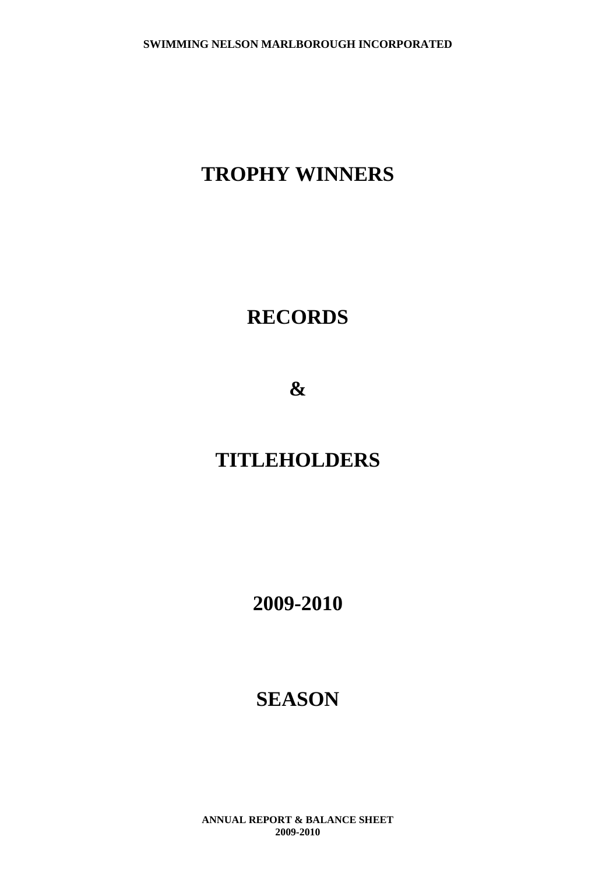## **TROPHY WINNERS**

## **RECORDS**

**&**

## **TITLEHOLDERS**

**2009-2010**

## **SEASON**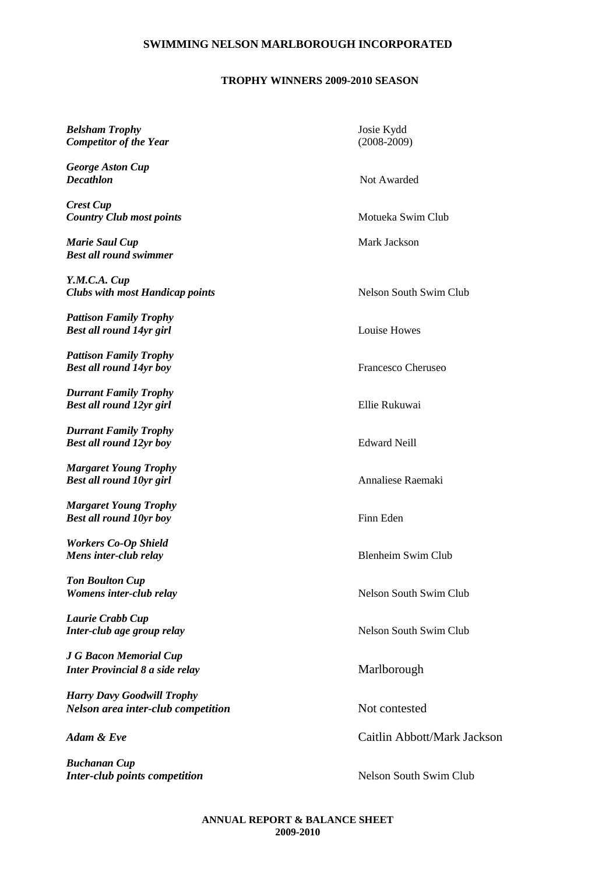## **TROPHY WINNERS 2009-2010 SEASON**

| Belsham Trophy<br><b>Competitor of the Year</b>                         | Josie Kydd<br>$(2008-2009)$   |
|-------------------------------------------------------------------------|-------------------------------|
| <b>George Aston Cup</b><br>Decathlon                                    | Not Awarded                   |
| Crest Cup<br><b>Country Club most points</b>                            | Motueka Swim Club             |
| Marie Saul Cup<br><b>Best all round swimmer</b>                         | Mark Jackson                  |
| Y.M.C.A. Cup<br><b>Clubs with most Handicap points</b>                  | Nelson South Swim Club        |
| <b>Pattison Family Trophy</b><br>Best all round 14yr girl               | Louise Howes                  |
| <b>Pattison Family Trophy</b><br>Best all round 14yr boy                | Francesco Cheruseo            |
| <b>Durrant Family Trophy</b><br><b>Best all round 12yr girl</b>         | Ellie Rukuwai                 |
| <b>Durrant Family Trophy</b><br>Best all round 12yr boy                 | <b>Edward Neill</b>           |
| <b>Margaret Young Trophy</b><br><b>Best all round 10yr girl</b>         | Annaliese Raemaki             |
| <b>Margaret Young Trophy</b><br><b>Best all round 10yr boy</b>          | Finn Eden                     |
| <b>Workers Co-Op Shield</b><br>Mens inter-club relay                    | <b>Blenheim Swim Club</b>     |
| <b>Ton Boulton Cup</b><br>Womens inter-club relay                       | <b>Nelson South Swim Club</b> |
| Laurie Crabb Cup<br>Inter-club age group relay                          | Nelson South Swim Club        |
| J G Bacon Memorial Cup<br>Inter Provincial 8 a side relay               | Marlborough                   |
| <b>Harry Davy Goodwill Trophy</b><br>Nelson area inter-club competition | Not contested                 |
| Adam & Eve                                                              | Caitlin Abbott/Mark Jackson   |
| Buchanan Cup                                                            |                               |

*Inter-club points competition* Nelson South Swim Club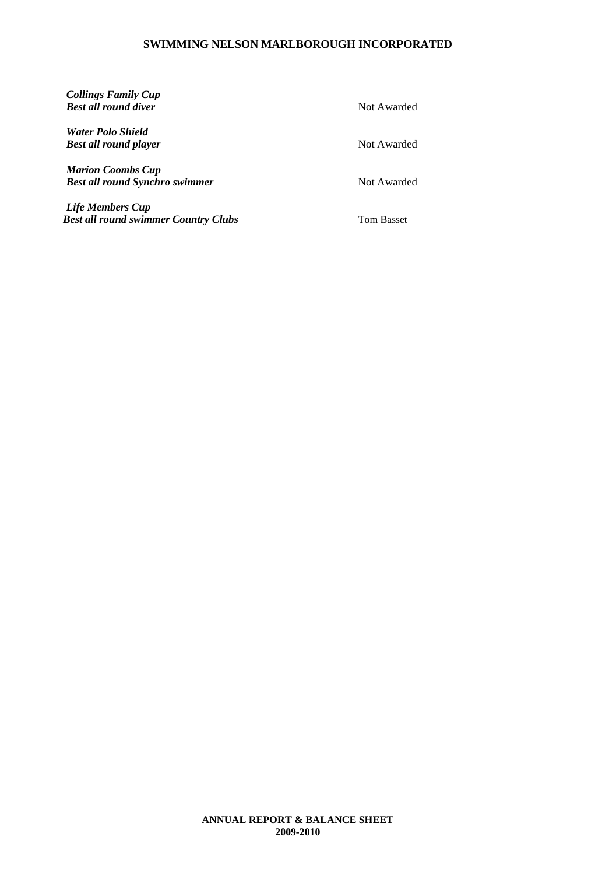*Collings Family Cup Best all round diver* Not Awarded *Water Polo Shield Best all round player* Not Awarded *Marion Coombs Cup* **Best all round Synchro swimmer** Not Awarded *Life Members Cup Best all round swimmer Country Clubs* Tom Basset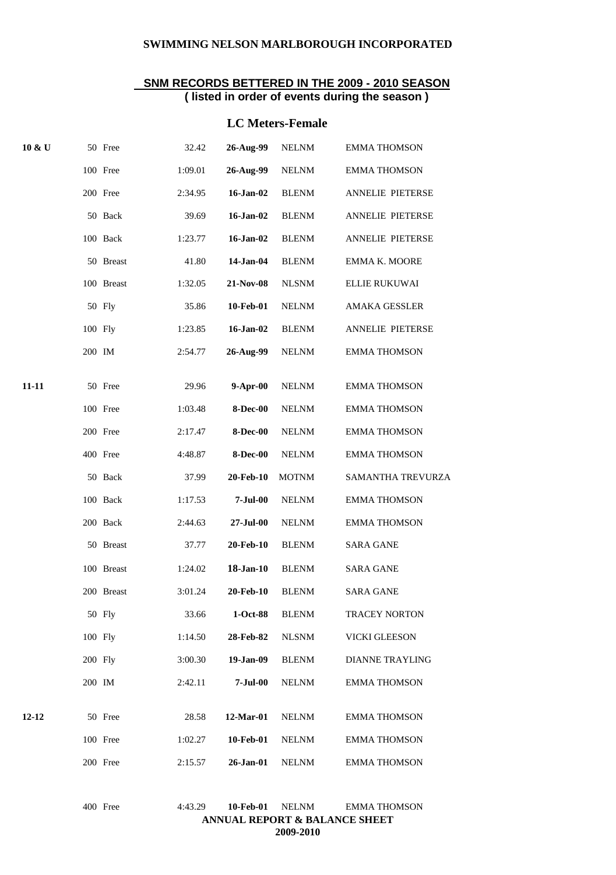#### **SNM RECORDS BETTERED IN THE 2009 - 2010 SEASON ( listed in order of events during the season )**

## **LC Meters-Female**

| 10 & U    | 50 Free    | 32.42   | 26-Aug-99       | <b>NELNM</b> | <b>EMMA THOMSON</b>     |
|-----------|------------|---------|-----------------|--------------|-------------------------|
|           | 100 Free   | 1:09.01 | 26-Aug-99       | <b>NELNM</b> | <b>EMMA THOMSON</b>     |
|           | 200 Free   | 2:34.95 | 16-Jan-02       | <b>BLENM</b> | ANNELIE PIETERSE        |
|           | 50 Back    | 39.69   | 16-Jan-02       | <b>BLENM</b> | <b>ANNELIE PIETERSE</b> |
|           | 100 Back   | 1:23.77 | $16$ -Jan-02    | <b>BLENM</b> | ANNELIE PIETERSE        |
|           | 50 Breast  | 41.80   | 14-Jan-04       | <b>BLENM</b> | EMMA K. MOORE           |
|           | 100 Breast | 1:32.05 | 21-Nov-08       | <b>NLSNM</b> | ELLIE RUKUWAI           |
|           | 50 Fly     | 35.86   | 10-Feb-01       | <b>NELNM</b> | <b>AMAKA GESSLER</b>    |
|           | 100 Fly    | 1:23.85 | $16$ -Jan-02    | <b>BLENM</b> | ANNELIE PIETERSE        |
|           | 200 IM     | 2:54.77 | 26-Aug-99       | <b>NELNM</b> | <b>EMMA THOMSON</b>     |
| 11-11     | 50 Free    | 29.96   | $9-Apr-00$      | <b>NELNM</b> | <b>EMMA THOMSON</b>     |
|           | 100 Free   | 1:03.48 | <b>8-Dec-00</b> | <b>NELNM</b> | <b>EMMA THOMSON</b>     |
|           | 200 Free   | 2:17.47 | $8$ -Dec-00     | <b>NELNM</b> | <b>EMMA THOMSON</b>     |
|           | 400 Free   | 4:48.87 | <b>8-Dec-00</b> | <b>NELNM</b> | <b>EMMA THOMSON</b>     |
|           | 50 Back    | 37.99   | 20-Feb-10       | <b>MOTNM</b> | SAMANTHA TREVURZA       |
|           | 100 Back   | 1:17.53 | $7-Jul-00$      | <b>NELNM</b> | <b>EMMA THOMSON</b>     |
|           | 200 Back   | 2:44.63 | 27-Jul-00       | <b>NELNM</b> | <b>EMMA THOMSON</b>     |
|           | 50 Breast  | 37.77   | 20-Feb-10       | <b>BLENM</b> | <b>SARA GANE</b>        |
|           | 100 Breast | 1:24.02 | 18-Jan-10       | <b>BLENM</b> | <b>SARA GANE</b>        |
|           | 200 Breast | 3:01.24 | 20-Feb-10       | <b>BLENM</b> | <b>SARA GANE</b>        |
|           | 50 Fly     | 33.66   | 1-Oct-88        | <b>BLENM</b> | <b>TRACEY NORTON</b>    |
|           | 100 Fly    | 1:14.50 | 28-Feb-82       | <b>NLSNM</b> | VICKI GLEESON           |
|           | 200 Fly    | 3:00.30 | 19-Jan-09       | <b>BLENM</b> | <b>DIANNE TRAYLING</b>  |
|           | 200 IM     | 2:42.11 | $7-Jul-00$      | <b>NELNM</b> | <b>EMMA THOMSON</b>     |
| $12 - 12$ | 50 Free    | 28.58   | 12-Mar-01       | <b>NELNM</b> | <b>EMMA THOMSON</b>     |
|           | 100 Free   | 1:02.27 | 10-Feb-01       | <b>NELNM</b> | <b>EMMA THOMSON</b>     |
|           | 200 Free   | 2:15.57 | 26-Jan-01       | <b>NELNM</b> | <b>EMMA THOMSON</b>     |
|           |            |         |                 |              |                         |

| 400 Free                                 | 4:43.29 | 10-Feb-01 | NELNM     | EMMA THOMSON |  |  |  |
|------------------------------------------|---------|-----------|-----------|--------------|--|--|--|
| <b>ANNUAL REPORT &amp; BALANCE SHEET</b> |         |           |           |              |  |  |  |
|                                          |         |           | 2009-2010 |              |  |  |  |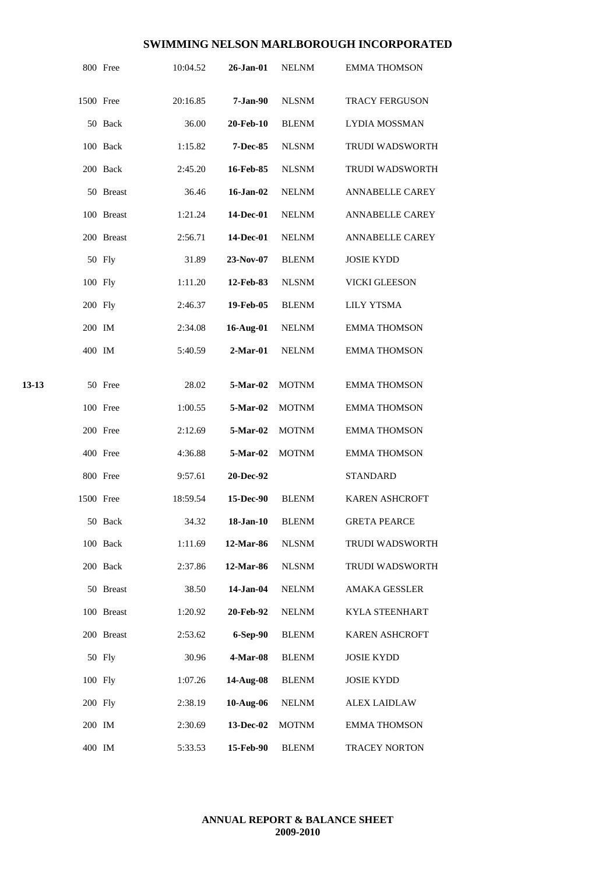|       |           | 800 Free   | 10:04.52 | 26-Jan-01     | <b>NELNM</b> | <b>EMMA THOMSON</b>    |
|-------|-----------|------------|----------|---------------|--------------|------------------------|
|       | 1500 Free |            | 20:16.85 | $7-Jan-90$    | <b>NLSNM</b> | TRACY FERGUSON         |
|       |           | 50 Back    | 36.00    | 20-Feb-10     | <b>BLENM</b> | <b>LYDIA MOSSMAN</b>   |
|       |           | 100 Back   | 1:15.82  | 7-Dec-85      | <b>NLSNM</b> | TRUDI WADSWORTH        |
|       |           | 200 Back   | 2:45.20  | 16-Feb-85     | <b>NLSNM</b> | <b>TRUDI WADSWORTH</b> |
|       |           | 50 Breast  | 36.46    | $16 - Jan-02$ | <b>NELNM</b> | ANNABELLE CAREY        |
|       |           | 100 Breast | 1:21.24  | 14-Dec-01     | <b>NELNM</b> | <b>ANNABELLE CAREY</b> |
|       |           | 200 Breast | 2:56.71  | 14-Dec-01     | <b>NELNM</b> | ANNABELLE CAREY        |
|       |           | 50 Fly     | 31.89    | 23-Nov-07     | <b>BLENM</b> | <b>JOSIE KYDD</b>      |
|       | 100 Fly   |            | 1:11.20  | 12-Feb-83     | <b>NLSNM</b> | VICKI GLEESON          |
|       | 200 Fly   |            | 2:46.37  | 19-Feb-05     | <b>BLENM</b> | <b>LILY YTSMA</b>      |
|       | 200 IM    |            | 2:34.08  | 16-Aug-01     | <b>NELNM</b> | <b>EMMA THOMSON</b>    |
|       | 400 IM    |            | 5:40.59  | $2-Mar-01$    | <b>NELNM</b> | <b>EMMA THOMSON</b>    |
|       |           |            |          |               |              |                        |
| 13-13 |           | 50 Free    | 28.02    | 5-Mar-02      | <b>MOTNM</b> | <b>EMMA THOMSON</b>    |
|       |           | 100 Free   | 1:00.55  | 5-Mar-02      | <b>MOTNM</b> | <b>EMMA THOMSON</b>    |
|       |           | 200 Free   | 2:12.69  | $5-Mar-02$    | <b>MOTNM</b> | <b>EMMA THOMSON</b>    |
|       |           | 400 Free   | 4:36.88  | 5-Mar-02      | <b>MOTNM</b> | <b>EMMA THOMSON</b>    |
|       |           | 800 Free   | 9:57.61  | 20-Dec-92     |              | <b>STANDARD</b>        |
|       | 1500 Free |            | 18:59.54 | 15-Dec-90     | <b>BLENM</b> | <b>KAREN ASHCROFT</b>  |
|       |           | 50 Back    | 34.32    | 18-Jan-10     | <b>BLENM</b> | <b>GRETA PEARCE</b>    |
|       |           | 100 Back   | 1:11.69  | 12-Mar-86     | <b>NLSNM</b> | TRUDI WADSWORTH        |
|       |           | 200 Back   | 2:37.86  | 12-Mar-86     | <b>NLSNM</b> | TRUDI WADSWORTH        |
|       |           | 50 Breast  | 38.50    | 14-Jan-04     | <b>NELNM</b> | <b>AMAKA GESSLER</b>   |
|       |           | 100 Breast | 1:20.92  | 20-Feb-92     | <b>NELNM</b> | <b>KYLA STEENHART</b>  |
|       |           | 200 Breast | 2:53.62  | 6-Sep-90      | <b>BLENM</b> | <b>KAREN ASHCROFT</b>  |
|       |           | 50 Fly     | 30.96    | 4-Mar-08      | <b>BLENM</b> | <b>JOSIE KYDD</b>      |
|       | 100 Fly   |            | 1:07.26  | 14-Aug-08     | <b>BLENM</b> | <b>JOSIE KYDD</b>      |
|       | 200 Fly   |            | 2:38.19  | 10-Aug-06     | <b>NELNM</b> | <b>ALEX LAIDLAW</b>    |
|       | 200 IM    |            | 2:30.69  | 13-Dec-02     | <b>MOTNM</b> | <b>EMMA THOMSON</b>    |
|       | 400 IM    |            | 5:33.53  | 15-Feb-90     | <b>BLENM</b> | <b>TRACEY NORTON</b>   |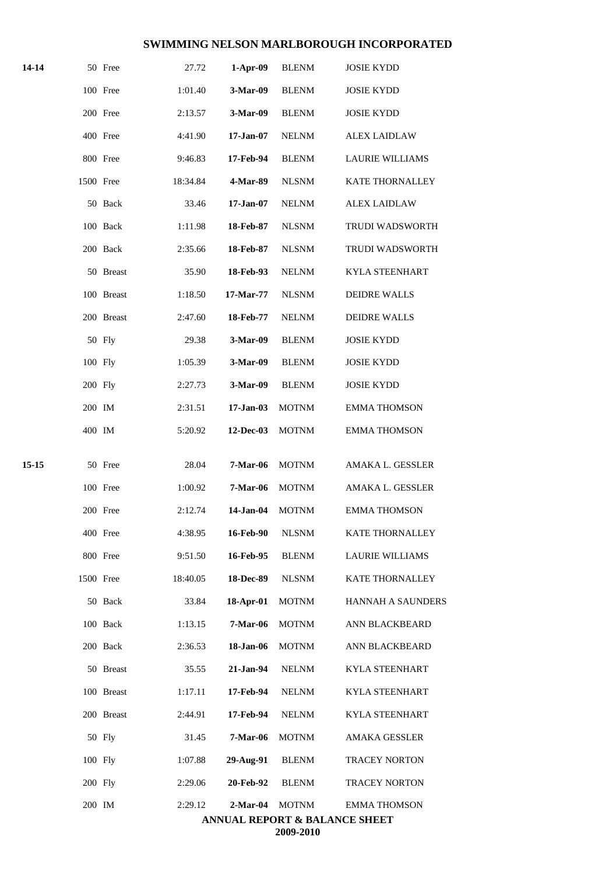| 14-14 |           | 50 Free    | 27.72    | $1-Apr-09$      | <b>BLENM</b> | <b>JOSIE KYDD</b>                        |
|-------|-----------|------------|----------|-----------------|--------------|------------------------------------------|
|       |           | 100 Free   | 1:01.40  | 3-Mar-09        | <b>BLENM</b> | <b>JOSIE KYDD</b>                        |
|       |           | 200 Free   | 2:13.57  | 3-Mar-09        | <b>BLENM</b> | <b>JOSIE KYDD</b>                        |
|       |           | 400 Free   | 4:41.90  | $17 - Jan-07$   | <b>NELNM</b> | <b>ALEX LAIDLAW</b>                      |
|       |           | 800 Free   | 9:46.83  | 17-Feb-94       | <b>BLENM</b> | <b>LAURIE WILLIAMS</b>                   |
|       | 1500 Free |            | 18:34.84 | 4-Mar-89        | <b>NLSNM</b> | <b>KATE THORNALLEY</b>                   |
|       |           | 50 Back    | 33.46    | $17 - Jan-07$   | <b>NELNM</b> | <b>ALEX LAIDLAW</b>                      |
|       |           | 100 Back   | 1:11.98  | 18-Feb-87       | <b>NLSNM</b> | TRUDI WADSWORTH                          |
|       |           | 200 Back   | 2:35.66  | 18-Feb-87       | <b>NLSNM</b> | <b>TRUDI WADSWORTH</b>                   |
|       |           | 50 Breast  | 35.90    | 18-Feb-93       | <b>NELNM</b> | <b>KYLA STEENHART</b>                    |
|       |           | 100 Breast | 1:18.50  | 17-Mar-77       | <b>NLSNM</b> | <b>DEIDRE WALLS</b>                      |
|       |           | 200 Breast | 2:47.60  | 18-Feb-77       | <b>NELNM</b> | <b>DEIDRE WALLS</b>                      |
|       |           | 50 Fly     | 29.38    | 3-Mar-09        | <b>BLENM</b> | <b>JOSIE KYDD</b>                        |
|       | 100 Fly   |            | 1:05.39  | 3-Mar-09        | <b>BLENM</b> | <b>JOSIE KYDD</b>                        |
|       | 200 Fly   |            | 2:27.73  | 3-Mar-09        | <b>BLENM</b> | <b>JOSIE KYDD</b>                        |
|       | 200 IM    |            | 2:31.51  | $17-Jan-03$     | <b>MOTNM</b> | <b>EMMA THOMSON</b>                      |
|       | 400 IM    |            | 5:20.92  | 12-Dec-03       | <b>MOTNM</b> | <b>EMMA THOMSON</b>                      |
| 15-15 |           | 50 Free    | 28.04    | <b>7-Mar-06</b> | <b>MOTNM</b> | AMAKA L. GESSLER                         |
|       |           | 100 Free   | 1:00.92  | <b>7-Mar-06</b> | <b>MOTNM</b> | AMAKA L. GESSLER                         |
|       |           | 200 Free   | 2:12.74  | 14-Jan-04       | <b>MOTNM</b> | <b>EMMA THOMSON</b>                      |
|       |           | 400 Free   | 4:38.95  | 16-Feb-90       | <b>NLSNM</b> | KATE THORNALLEY                          |
|       |           | 800 Free   | 9:51.50  | 16-Feb-95       | <b>BLENM</b> | <b>LAURIE WILLIAMS</b>                   |
|       | 1500 Free |            | 18:40.05 | 18-Dec-89       | <b>NLSNM</b> | <b>KATE THORNALLEY</b>                   |
|       |           | 50 Back    | 33.84    | 18-Apr-01       | <b>MOTNM</b> | <b>HANNAH A SAUNDERS</b>                 |
|       |           | 100 Back   | 1:13.15  | 7-Mar-06        | <b>MOTNM</b> | ANN BLACKBEARD                           |
|       |           | 200 Back   | 2:36.53  | 18-Jan-06       | <b>MOTNM</b> | ANN BLACKBEARD                           |
|       |           | 50 Breast  | 35.55    | 21-Jan-94       | <b>NELNM</b> | <b>KYLA STEENHART</b>                    |
|       |           | 100 Breast | 1:17.11  | 17-Feb-94       | <b>NELNM</b> | KYLA STEENHART                           |
|       |           | 200 Breast | 2:44.91  | 17-Feb-94       | <b>NELNM</b> | <b>KYLA STEENHART</b>                    |
|       |           | 50 Fly     | 31.45    | <b>7-Mar-06</b> | <b>MOTNM</b> | AMAKA GESSLER                            |
|       | 100 Fly   |            | 1:07.88  | 29-Aug-91       | <b>BLENM</b> | <b>TRACEY NORTON</b>                     |
|       | 200 Fly   |            | 2:29.06  | 20-Feb-92       | <b>BLENM</b> | <b>TRACEY NORTON</b>                     |
|       | 200 IM    |            | 2:29.12  | $2-Mar-04$      | <b>MOTNM</b> | <b>EMMA THOMSON</b>                      |
|       |           |            |          |                 | 2009-2010    | <b>ANNUAL REPORT &amp; BALANCE SHEET</b> |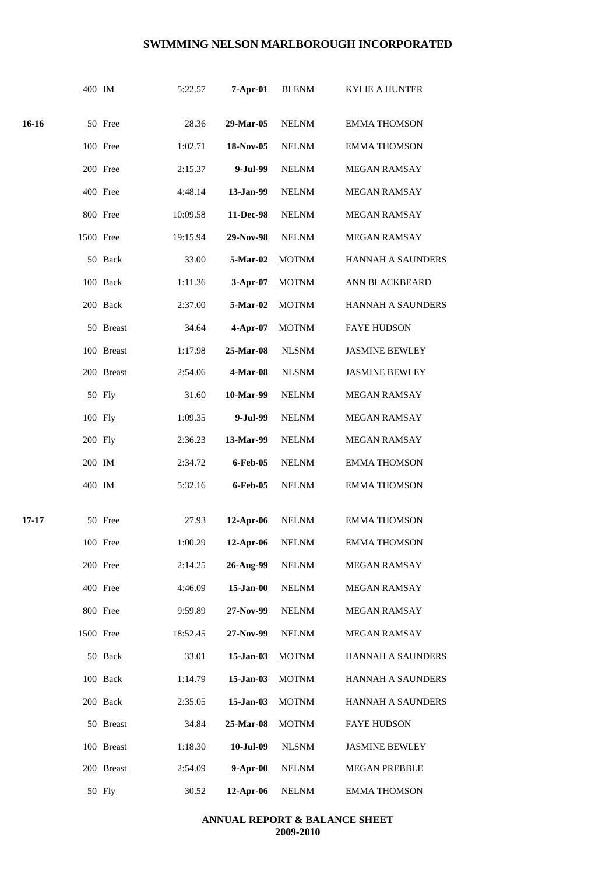|       | 400 IM    |            | 5:22.57  | $7-Apr-01$   | <b>BLENM</b> | <b>KYLIE A HUNTER</b>    |
|-------|-----------|------------|----------|--------------|--------------|--------------------------|
| 16-16 |           | 50 Free    | 28.36    | 29-Mar-05    | <b>NELNM</b> | <b>EMMA THOMSON</b>      |
|       |           | 100 Free   | 1:02.71  | 18-Nov-05    | <b>NELNM</b> | <b>EMMA THOMSON</b>      |
|       |           | 200 Free   | 2:15.37  | 9-Jul-99     | <b>NELNM</b> | <b>MEGAN RAMSAY</b>      |
|       |           | 400 Free   | 4:48.14  | 13-Jan-99    | <b>NELNM</b> | MEGAN RAMSAY             |
|       |           | 800 Free   | 10:09.58 | 11-Dec-98    | <b>NELNM</b> | <b>MEGAN RAMSAY</b>      |
|       | 1500 Free |            | 19:15.94 | 29-Nov-98    | <b>NELNM</b> | MEGAN RAMSAY             |
|       |           | 50 Back    | 33.00    | 5-Mar-02     | <b>MOTNM</b> | HANNAH A SAUNDERS        |
|       |           | 100 Back   | 1:11.36  | 3-Apr-07     | <b>MOTNM</b> | ANN BLACKBEARD           |
|       |           | 200 Back   | 2:37.00  | 5-Mar-02     | <b>MOTNM</b> | <b>HANNAH A SAUNDERS</b> |
|       |           | 50 Breast  | 34.64    | 4-Apr-07     | <b>MOTNM</b> | <b>FAYE HUDSON</b>       |
|       |           | 100 Breast | 1:17.98  | 25-Mar-08    | <b>NLSNM</b> | <b>JASMINE BEWLEY</b>    |
|       |           | 200 Breast | 2:54.06  | 4-Mar-08     | <b>NLSNM</b> | <b>JASMINE BEWLEY</b>    |
|       |           | 50 Fly     | 31.60    | 10-Mar-99    | <b>NELNM</b> | MEGAN RAMSAY             |
|       | 100 Fly   |            | 1:09.35  | 9-Jul-99     | <b>NELNM</b> | MEGAN RAMSAY             |
|       | 200 Fly   |            | 2:36.23  | 13-Mar-99    | <b>NELNM</b> | <b>MEGAN RAMSAY</b>      |
|       | 200 IM    |            | 2:34.72  | 6-Feb-05     | <b>NELNM</b> | <b>EMMA THOMSON</b>      |
|       | 400 IM    |            | 5:32.16  | 6-Feb-05     | <b>NELNM</b> | <b>EMMA THOMSON</b>      |
| 17-17 |           | 50 Free    | 27.93    | 12-Apr-06    | <b>NELNM</b> | <b>EMMA THOMSON</b>      |
|       |           | 100 Free   | 1:00.29  | 12-Apr-06    | <b>NELNM</b> | <b>EMMA THOMSON</b>      |
|       |           | 200 Free   | 2:14.25  | 26-Aug-99    | <b>NELNM</b> | MEGAN RAMSAY             |
|       |           | 400 Free   | 4:46.09  | $15$ -Jan-00 | <b>NELNM</b> | MEGAN RAMSAY             |
|       |           | 800 Free   | 9:59.89  | 27-Nov-99    | <b>NELNM</b> | <b>MEGAN RAMSAY</b>      |
|       | 1500 Free |            | 18:52.45 | 27-Nov-99    | <b>NELNM</b> | <b>MEGAN RAMSAY</b>      |
|       |           | 50 Back    | 33.01    | 15-Jan-03    | <b>MOTNM</b> | <b>HANNAH A SAUNDERS</b> |
|       |           | 100 Back   | 1:14.79  | 15-Jan-03    | <b>MOTNM</b> | <b>HANNAH A SAUNDERS</b> |
|       |           | 200 Back   | 2:35.05  | $15$ -Jan-03 | <b>MOTNM</b> | HANNAH A SAUNDERS        |
|       |           | 50 Breast  | 34.84    | 25-Mar-08    | <b>MOTNM</b> | <b>FAYE HUDSON</b>       |
|       |           | 100 Breast | 1:18.30  | 10-Jul-09    | <b>NLSNM</b> | <b>JASMINE BEWLEY</b>    |
|       |           | 200 Breast | 2:54.09  | $9-Apr-00$   | <b>NELNM</b> | <b>MEGAN PREBBLE</b>     |
|       |           | 50 Fly     | 30.52    | 12-Apr-06    | <b>NELNM</b> | <b>EMMA THOMSON</b>      |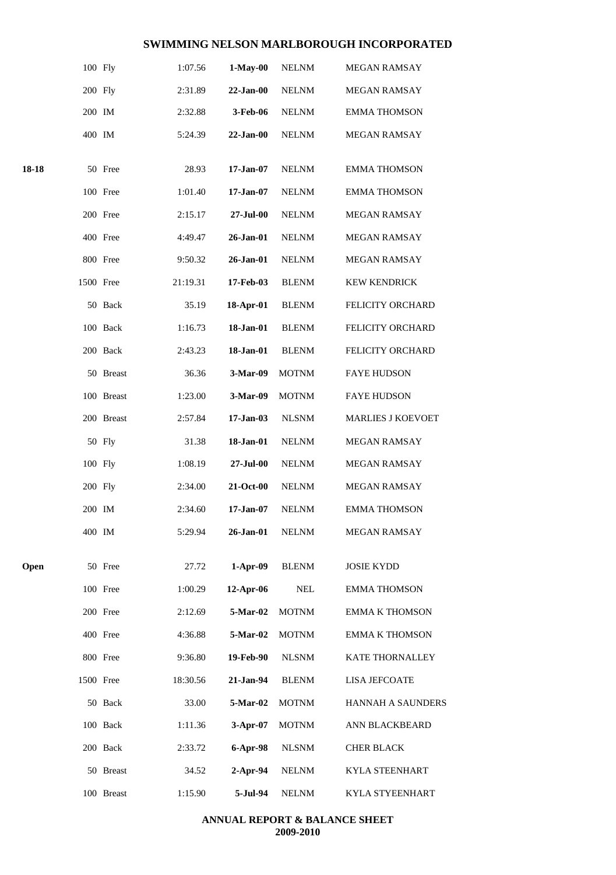|       | 100 Fly   |            | 1:07.56  | $1-May-00$    | <b>NELNM</b> | MEGAN RAMSAY             |
|-------|-----------|------------|----------|---------------|--------------|--------------------------|
|       | 200 Fly   |            | 2:31.89  | $22 - Jan-00$ | <b>NELNM</b> | MEGAN RAMSAY             |
|       | 200 IM    |            | 2:32.88  | 3-Feb-06      | <b>NELNM</b> | <b>EMMA THOMSON</b>      |
|       | 400 IM    |            | 5:24.39  | $22-Jan-00$   | <b>NELNM</b> | MEGAN RAMSAY             |
| 18-18 |           | 50 Free    | 28.93    | $17-Jan-07$   | <b>NELNM</b> | <b>EMMA THOMSON</b>      |
|       |           | 100 Free   | 1:01.40  | $17 - Jan-07$ | <b>NELNM</b> | <b>EMMA THOMSON</b>      |
|       |           | 200 Free   | 2:15.17  | 27-Jul-00     | <b>NELNM</b> | MEGAN RAMSAY             |
|       |           | 400 Free   | 4:49.47  | 26-Jan-01     | <b>NELNM</b> | MEGAN RAMSAY             |
|       |           | 800 Free   | 9:50.32  | 26-Jan-01     | <b>NELNM</b> | MEGAN RAMSAY             |
|       | 1500 Free |            | 21:19.31 | 17-Feb-03     | <b>BLENM</b> | <b>KEW KENDRICK</b>      |
|       |           | 50 Back    | 35.19    | 18-Apr-01     | <b>BLENM</b> | FELICITY ORCHARD         |
|       |           | 100 Back   | 1:16.73  | 18-Jan-01     | <b>BLENM</b> | FELICITY ORCHARD         |
|       |           | 200 Back   | 2:43.23  | 18-Jan-01     | <b>BLENM</b> | FELICITY ORCHARD         |
|       |           | 50 Breast  | 36.36    | 3-Mar-09      | <b>MOTNM</b> | <b>FAYE HUDSON</b>       |
|       |           | 100 Breast | 1:23.00  | 3-Mar-09      | <b>MOTNM</b> | <b>FAYE HUDSON</b>       |
|       |           | 200 Breast | 2:57.84  | $17-Jan-03$   | <b>NLSNM</b> | <b>MARLIES J KOEVOET</b> |
|       |           | 50 Fly     | 31.38    | 18-Jan-01     | <b>NELNM</b> | MEGAN RAMSAY             |
|       | 100 Fly   |            | 1:08.19  | 27-Jul-00     | <b>NELNM</b> | MEGAN RAMSAY             |
|       | 200 Fly   |            | 2:34.00  | 21-Oct-00     | <b>NELNM</b> | <b>MEGAN RAMSAY</b>      |
|       | 200 IM    |            | 2:34.60  | $17-Jan-07$   | <b>NELNM</b> | <b>EMMA THOMSON</b>      |
|       | 400 IM    |            | 5:29.94  | 26-Jan-01     | <b>NELNM</b> | MEGAN RAMSAY             |
| Open  |           | 50 Free    | 27.72    | $1-Apr-09$    | <b>BLENM</b> | <b>JOSIE KYDD</b>        |
|       |           | 100 Free   | 1:00.29  | 12-Apr-06     | <b>NEL</b>   | <b>EMMA THOMSON</b>      |
|       |           | 200 Free   | 2:12.69  | 5-Mar-02      | <b>MOTNM</b> | <b>EMMA K THOMSON</b>    |
|       |           | 400 Free   | 4:36.88  | 5-Mar-02      | <b>MOTNM</b> | <b>EMMA K THOMSON</b>    |
|       |           | 800 Free   | 9:36.80  | 19-Feb-90     | <b>NLSNM</b> | <b>KATE THORNALLEY</b>   |
|       | 1500 Free |            | 18:30.56 | 21-Jan-94     | <b>BLENM</b> | <b>LISA JEFCOATE</b>     |
|       |           | 50 Back    | 33.00    | 5-Mar-02      | <b>MOTNM</b> | HANNAH A SAUNDERS        |
|       |           | 100 Back   | 1:11.36  | 3-Apr-07      | <b>MOTNM</b> | ANN BLACKBEARD           |
|       |           | 200 Back   | 2:33.72  | 6-Apr-98      | <b>NLSNM</b> | <b>CHER BLACK</b>        |
|       |           | 50 Breast  | 34.52    | $2-Apr-94$    | <b>NELNM</b> | KYLA STEENHART           |
|       |           | 100 Breast | 1:15.90  | 5-Jul-94      | <b>NELNM</b> | KYLA STYEENHART          |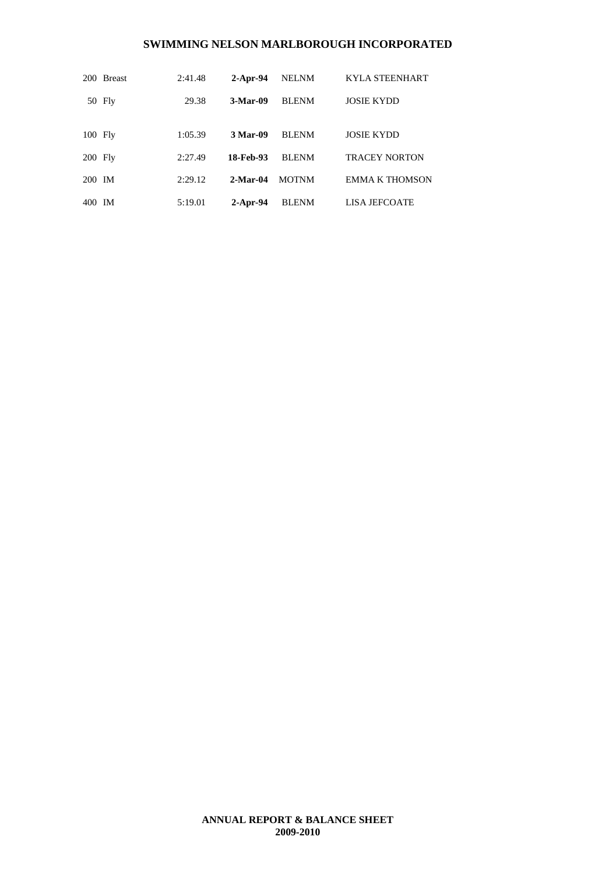|           | 200 Breast | 2:41.48 | $2$ -Apr-94 | <b>NELNM</b> | <b>KYLA STEENHART</b> |
|-----------|------------|---------|-------------|--------------|-----------------------|
|           | 50 Fly     | 29.38   | $3-Mar-09$  | <b>BLENM</b> | <b>JOSIE KYDD</b>     |
|           |            |         |             |              |                       |
| 100 Fly   |            | 1:05.39 | 3 Mar-09    | <b>BLENM</b> | <b>JOSIE KYDD</b>     |
| $200$ Fly |            | 2:27.49 | 18-Feb-93   | <b>BLENM</b> | <b>TRACEY NORTON</b>  |
| 200 IM    |            | 2:29.12 | $2-Mar-04$  | <b>MOTNM</b> | <b>EMMA K THOMSON</b> |
| 400 IM    |            | 5:19.01 | $2$ -Apr-94 | <b>BLENM</b> | <b>LISA JEFCOATE</b>  |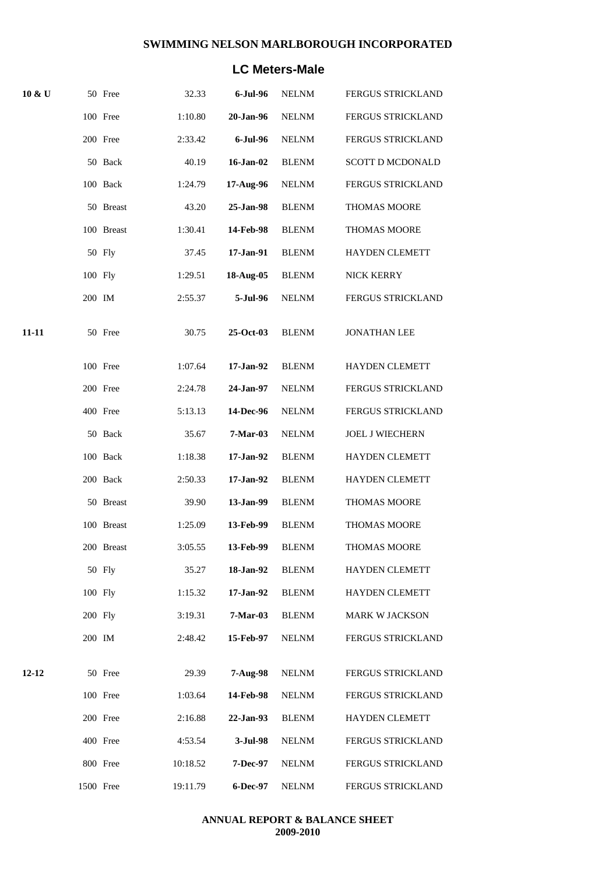## **LC Meters-Male**

| $10 \& U$ |           | 50 Free    | 32.33    | 6-Jul-96        | <b>NELNM</b> | <b>FERGUS STRICKLAND</b> |
|-----------|-----------|------------|----------|-----------------|--------------|--------------------------|
|           |           | 100 Free   | 1:10.80  | 20-Jan-96       | <b>NELNM</b> | FERGUS STRICKLAND        |
|           |           | 200 Free   | 2:33.42  | 6-Jul-96        | <b>NELNM</b> | <b>FERGUS STRICKLAND</b> |
|           |           | 50 Back    | 40.19    | $16$ -Jan- $02$ | <b>BLENM</b> | <b>SCOTT D MCDONALD</b>  |
|           |           | 100 Back   | 1:24.79  | 17-Aug-96       | <b>NELNM</b> | FERGUS STRICKLAND        |
|           |           | 50 Breast  | 43.20    | 25-Jan-98       | <b>BLENM</b> | <b>THOMAS MOORE</b>      |
|           |           | 100 Breast | 1:30.41  | 14-Feb-98       | <b>BLENM</b> | THOMAS MOORE             |
|           |           | 50 Fly     | 37.45    | 17-Jan-91       | <b>BLENM</b> | <b>HAYDEN CLEMETT</b>    |
|           | 100 Fly   |            | 1:29.51  | 18-Aug-05       | <b>BLENM</b> | NICK KERRY               |
|           | 200 IM    |            | 2:55.37  | 5-Jul-96        | <b>NELNM</b> | FERGUS STRICKLAND        |
| 11-11     |           | 50 Free    | 30.75    | 25-Oct-03       | <b>BLENM</b> | <b>JONATHAN LEE</b>      |
|           |           | 100 Free   | 1:07.64  | 17-Jan-92       | <b>BLENM</b> | <b>HAYDEN CLEMETT</b>    |
|           |           | 200 Free   | 2:24.78  | 24-Jan-97       | <b>NELNM</b> | <b>FERGUS STRICKLAND</b> |
|           |           | 400 Free   | 5:13.13  | 14-Dec-96       | <b>NELNM</b> | FERGUS STRICKLAND        |
|           |           | 50 Back    | 35.67    | 7-Mar-03        | <b>NELNM</b> | <b>JOEL J WIECHERN</b>   |
|           |           | 100 Back   | 1:18.38  | 17-Jan-92       | <b>BLENM</b> | HAYDEN CLEMETT           |
|           |           | 200 Back   | 2:50.33  | 17-Jan-92       | <b>BLENM</b> | <b>HAYDEN CLEMETT</b>    |
|           |           | 50 Breast  | 39.90    | 13-Jan-99       | <b>BLENM</b> | THOMAS MOORE             |
|           |           | 100 Breast | 1:25.09  | 13-Feb-99       | <b>BLENM</b> | <b>THOMAS MOORE</b>      |
|           |           | 200 Breast | 3:05.55  | 13-Feb-99       | <b>BLENM</b> | <b>THOMAS MOORE</b>      |
|           |           | 50 Fly     | 35.27    | 18-Jan-92       | BLENM        | <b>HAYDEN CLEMETT</b>    |
|           | 100 Fly   |            | 1:15.32  | 17-Jan-92       | BLENM        | <b>HAYDEN CLEMETT</b>    |
|           | 200 Fly   |            | 3:19.31  | 7-Mar-03        | <b>BLENM</b> | <b>MARK W JACKSON</b>    |
|           | 200 IM    |            | 2:48.42  | 15-Feb-97       | <b>NELNM</b> | <b>FERGUS STRICKLAND</b> |
| $12 - 12$ |           | 50 Free    | 29.39    | $7-Aug-98$      | NELNM        | FERGUS STRICKLAND        |
|           |           | 100 Free   | 1:03.64  | 14-Feb-98       | <b>NELNM</b> | FERGUS STRICKLAND        |
|           |           | 200 Free   | 2:16.88  | 22-Jan-93       | <b>BLENM</b> | <b>HAYDEN CLEMETT</b>    |
|           |           | 400 Free   | 4:53.54  | 3-Jul-98        | NELNM        | <b>FERGUS STRICKLAND</b> |
|           |           | 800 Free   | 10:18.52 | <b>7-Dec-97</b> | <b>NELNM</b> | FERGUS STRICKLAND        |
|           | 1500 Free |            | 19:11.79 | 6-Dec-97        | <b>NELNM</b> | FERGUS STRICKLAND        |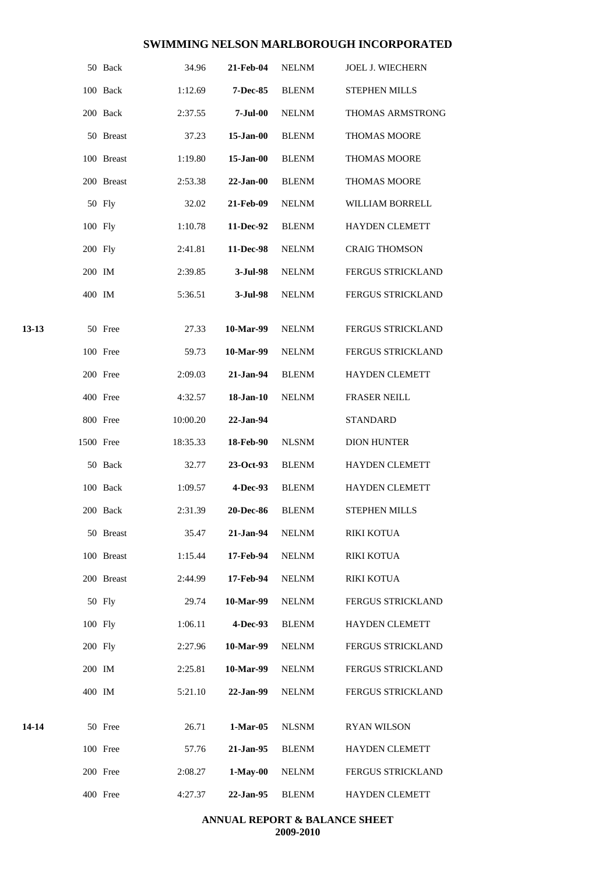|       |           | 50 Back    | 34.96    | 21-Feb-04        | NELNM        | <b>JOEL J. WIECHERN</b>  |
|-------|-----------|------------|----------|------------------|--------------|--------------------------|
|       |           | 100 Back   | 1:12.69  | <b>7-Dec-85</b>  | <b>BLENM</b> | STEPHEN MILLS            |
|       |           | 200 Back   | 2:37.55  | $7 -$ Jul $-00$  | <b>NELNM</b> | THOMAS ARMSTRONG         |
|       |           | 50 Breast  | 37.23    | $15$ -Jan-00     | <b>BLENM</b> | <b>THOMAS MOORE</b>      |
|       |           | 100 Breast | 1:19.80  | $15$ -Jan-00     | <b>BLENM</b> | THOMAS MOORE             |
|       |           | 200 Breast | 2:53.38  | $22-Jan-00$      | <b>BLENM</b> | THOMAS MOORE             |
|       |           | 50 Fly     | 32.02    | 21-Feb-09        | <b>NELNM</b> | WILLIAM BORRELL          |
|       | 100 Fly   |            | 1:10.78  | 11-Dec-92        | <b>BLENM</b> | <b>HAYDEN CLEMETT</b>    |
|       | 200 Fly   |            | 2:41.81  | 11-Dec-98        | <b>NELNM</b> | <b>CRAIG THOMSON</b>     |
|       | 200 IM    |            | 2:39.85  | 3-Jul-98         | <b>NELNM</b> | FERGUS STRICKLAND        |
|       | 400 IM    |            | 5:36.51  | 3-Jul-98         | <b>NELNM</b> | FERGUS STRICKLAND        |
| 13-13 |           | 50 Free    | 27.33    | 10-Mar-99        | <b>NELNM</b> | <b>FERGUS STRICKLAND</b> |
|       |           | 100 Free   | 59.73    | 10-Mar-99        | <b>NELNM</b> | <b>FERGUS STRICKLAND</b> |
|       |           | 200 Free   | 2:09.03  | 21-Jan-94        | <b>BLENM</b> | HAYDEN CLEMETT           |
|       |           | 400 Free   | 4:32.57  | $18$ -Jan- $10$  | <b>NELNM</b> | <b>FRASER NEILL</b>      |
|       |           | 800 Free   | 10:00.20 | 22-Jan-94        |              | <b>STANDARD</b>          |
|       | 1500 Free |            | 18:35.33 | <b>18-Feb-90</b> | <b>NLSNM</b> | <b>DION HUNTER</b>       |
|       |           | 50 Back    | 32.77    | 23-Oct-93        | <b>BLENM</b> | <b>HAYDEN CLEMETT</b>    |
|       |           | 100 Back   | 1:09.57  | 4-Dec-93         | <b>BLENM</b> | <b>HAYDEN CLEMETT</b>    |
|       |           | 200 Back   | 2:31.39  | <b>20-Dec-86</b> | <b>BLENM</b> | <b>STEPHEN MILLS</b>     |
|       |           | 50 Breast  | 35.47    | 21-Jan-94        | <b>NELNM</b> | <b>RIKI KOTUA</b>        |
|       |           | 100 Breast | 1:15.44  | 17-Feb-94        | <b>NELNM</b> | <b>RIKI KOTUA</b>        |
|       |           | 200 Breast | 2:44.99  | 17-Feb-94        | <b>NELNM</b> | RIKI KOTUA               |
|       |           | 50 Fly     | 29.74    | 10-Mar-99        | <b>NELNM</b> | FERGUS STRICKLAND        |
|       | 100 Fly   |            | 1:06.11  | 4-Dec-93         | <b>BLENM</b> | HAYDEN CLEMETT           |
|       | 200 Fly   |            | 2:27.96  | 10-Mar-99        | <b>NELNM</b> | <b>FERGUS STRICKLAND</b> |
|       | 200 IM    |            | 2:25.81  | 10-Mar-99        | <b>NELNM</b> | FERGUS STRICKLAND        |
|       | 400 IM    |            | 5:21.10  | 22-Jan-99        | <b>NELNM</b> | FERGUS STRICKLAND        |
| 14-14 |           | 50 Free    | 26.71    | $1-Mar-05$       | <b>NLSNM</b> | <b>RYAN WILSON</b>       |
|       |           | 100 Free   | 57.76    | 21-Jan-95        | <b>BLENM</b> | HAYDEN CLEMETT           |
|       |           | 200 Free   | 2:08.27  | $1-May-00$       | <b>NELNM</b> | FERGUS STRICKLAND        |
|       |           | 400 Free   | 4:27.37  | 22-Jan-95        | <b>BLENM</b> | <b>HAYDEN CLEMETT</b>    |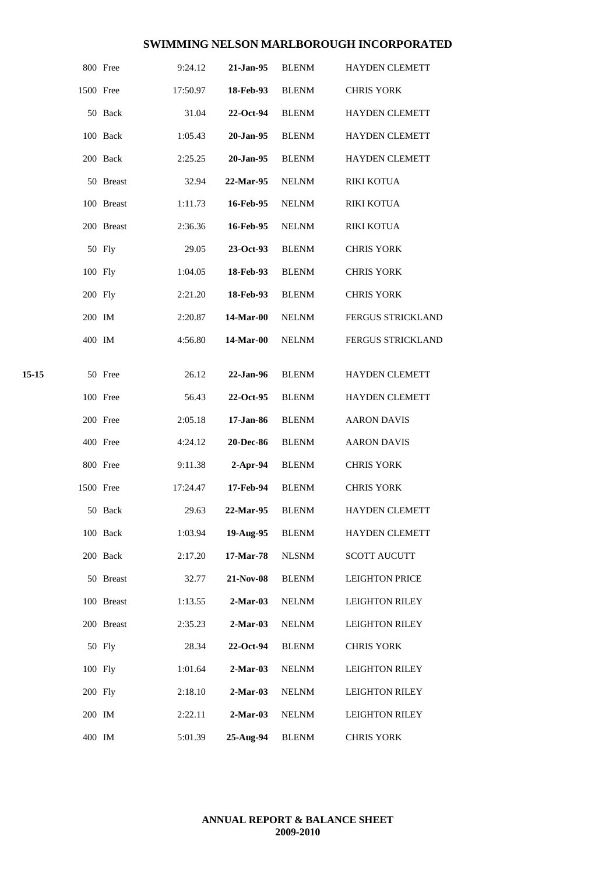|       |           | 800 Free   | 9:24.12  | 21-Jan-95  | <b>BLENM</b> | <b>HAYDEN CLEMETT</b> |
|-------|-----------|------------|----------|------------|--------------|-----------------------|
|       | 1500 Free |            | 17:50.97 | 18-Feb-93  | <b>BLENM</b> | <b>CHRIS YORK</b>     |
|       |           | 50 Back    | 31.04    | 22-Oct-94  | <b>BLENM</b> | <b>HAYDEN CLEMETT</b> |
|       |           | 100 Back   | 1:05.43  | 20-Jan-95  | <b>BLENM</b> | <b>HAYDEN CLEMETT</b> |
|       |           | 200 Back   | 2:25.25  | 20-Jan-95  | <b>BLENM</b> | <b>HAYDEN CLEMETT</b> |
|       |           | 50 Breast  | 32.94    | 22-Mar-95  | <b>NELNM</b> | <b>RIKI KOTUA</b>     |
|       |           | 100 Breast | 1:11.73  | 16-Feb-95  | <b>NELNM</b> | <b>RIKI KOTUA</b>     |
|       |           | 200 Breast | 2:36.36  | 16-Feb-95  | <b>NELNM</b> | <b>RIKI KOTUA</b>     |
|       |           | 50 Fly     | 29.05    | 23-Oct-93  | <b>BLENM</b> | <b>CHRIS YORK</b>     |
|       | 100 Fly   |            | 1:04.05  | 18-Feb-93  | <b>BLENM</b> | <b>CHRIS YORK</b>     |
|       | 200 Fly   |            | 2:21.20  | 18-Feb-93  | <b>BLENM</b> | <b>CHRIS YORK</b>     |
|       | 200 IM    |            | 2:20.87  | 14-Mar-00  | <b>NELNM</b> | FERGUS STRICKLAND     |
|       | 400 IM    |            | 4:56.80  | 14-Mar-00  | <b>NELNM</b> | FERGUS STRICKLAND     |
| 15-15 |           | 50 Free    | 26.12    | 22-Jan-96  | <b>BLENM</b> | <b>HAYDEN CLEMETT</b> |
|       |           | 100 Free   | 56.43    | 22-Oct-95  | <b>BLENM</b> | HAYDEN CLEMETT        |
|       |           | 200 Free   | 2:05.18  | 17-Jan-86  | <b>BLENM</b> | <b>AARON DAVIS</b>    |
|       |           | 400 Free   | 4:24.12  | 20-Dec-86  | <b>BLENM</b> | <b>AARON DAVIS</b>    |
|       |           | 800 Free   | 9:11.38  | $2-Apr-94$ | <b>BLENM</b> | <b>CHRIS YORK</b>     |
|       | 1500 Free |            | 17:24.47 | 17-Feb-94  | <b>BLENM</b> | <b>CHRIS YORK</b>     |
|       |           | 50 Back    | 29.63    | 22-Mar-95  | <b>BLENM</b> | <b>HAYDEN CLEMETT</b> |
|       |           | 100 Back   | 1:03.94  | 19-Aug-95  | <b>BLENM</b> | <b>HAYDEN CLEMETT</b> |
|       |           | 200 Back   | 2:17.20  | 17-Mar-78  | <b>NLSNM</b> | <b>SCOTT AUCUTT</b>   |
|       |           | 50 Breast  | 32.77    | 21-Nov-08  | <b>BLENM</b> | <b>LEIGHTON PRICE</b> |
|       |           | 100 Breast | 1:13.55  | $2-Mar-03$ | <b>NELNM</b> | <b>LEIGHTON RILEY</b> |
|       |           | 200 Breast | 2:35.23  | $2-Mar-03$ | <b>NELNM</b> | <b>LEIGHTON RILEY</b> |
|       |           | 50 Fly     | 28.34    | 22-Oct-94  | <b>BLENM</b> | <b>CHRIS YORK</b>     |
|       | 100 Fly   |            | 1:01.64  | $2-Mar-03$ | <b>NELNM</b> | <b>LEIGHTON RILEY</b> |
|       | 200 Fly   |            | 2:18.10  | $2-Mar-03$ | <b>NELNM</b> | <b>LEIGHTON RILEY</b> |
|       | 200 IM    |            | 2:22.11  | $2-Mar-03$ | <b>NELNM</b> | <b>LEIGHTON RILEY</b> |
|       | 400 IM    |            | 5:01.39  | 25-Aug-94  | <b>BLENM</b> | <b>CHRIS YORK</b>     |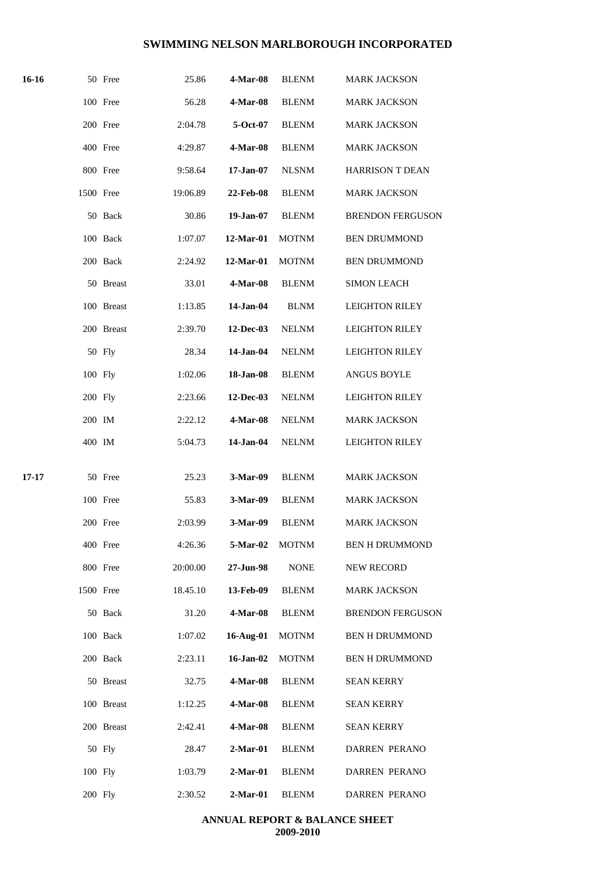| 16-16 |           | 50 Free    | 25.86    | 4-Mar-08         | <b>BLENM</b> | <b>MARK JACKSON</b>     |
|-------|-----------|------------|----------|------------------|--------------|-------------------------|
|       |           | 100 Free   | 56.28    | <b>4-Mar-08</b>  | <b>BLENM</b> | <b>MARK JACKSON</b>     |
|       |           | 200 Free   | 2:04.78  | $5-Oct-07$       | <b>BLENM</b> | <b>MARK JACKSON</b>     |
|       |           | 400 Free   | 4:29.87  | 4-Mar-08         | <b>BLENM</b> | <b>MARK JACKSON</b>     |
|       |           | 800 Free   | 9:58.64  | $17 - Jan-07$    | <b>NLSNM</b> | <b>HARRISON T DEAN</b>  |
|       | 1500 Free |            | 19:06.89 | <b>22-Feb-08</b> | <b>BLENM</b> | <b>MARK JACKSON</b>     |
|       |           | 50 Back    | 30.86    | 19-Jan-07        | <b>BLENM</b> | <b>BRENDON FERGUSON</b> |
|       |           | 100 Back   | 1:07.07  | 12-Mar-01        | <b>MOTNM</b> | <b>BEN DRUMMOND</b>     |
|       |           | 200 Back   | 2:24.92  | 12-Mar-01        | <b>MOTNM</b> | <b>BEN DRUMMOND</b>     |
|       |           | 50 Breast  | 33.01    | 4-Mar-08         | <b>BLENM</b> | <b>SIMON LEACH</b>      |
|       |           | 100 Breast | 1:13.85  | 14-Jan-04        | <b>BLNM</b>  | <b>LEIGHTON RILEY</b>   |
|       |           | 200 Breast | 2:39.70  | 12-Dec-03        | <b>NELNM</b> | <b>LEIGHTON RILEY</b>   |
|       |           | 50 Fly     | 28.34    | 14-Jan-04        | <b>NELNM</b> | <b>LEIGHTON RILEY</b>   |
|       | 100 Fly   |            | 1:02.06  | 18-Jan-08        | <b>BLENM</b> | <b>ANGUS BOYLE</b>      |
|       | 200 Fly   |            | 2:23.66  | 12-Dec-03        | <b>NELNM</b> | <b>LEIGHTON RILEY</b>   |
|       | 200 IM    |            | 2:22.12  | 4-Mar-08         | <b>NELNM</b> | <b>MARK JACKSON</b>     |
|       | 400 IM    |            | 5:04.73  | 14-Jan-04        | <b>NELNM</b> | <b>LEIGHTON RILEY</b>   |
| 17-17 |           | 50 Free    | 25.23    | 3-Mar-09         | <b>BLENM</b> | <b>MARK JACKSON</b>     |
|       |           | 100 Free   | 55.83    | 3-Mar-09         | <b>BLENM</b> | <b>MARK JACKSON</b>     |
|       |           | 200 Free   | 2:03.99  | 3-Mar-09 BLENM   |              | <b>MARK JACKSON</b>     |
|       |           | 400 Free   | 4:26.36  | <b>5-Mar-02</b>  | <b>MOTNM</b> | <b>BEN H DRUMMOND</b>   |
|       |           | 800 Free   | 20:00.00 | 27-Jun-98        | <b>NONE</b>  | <b>NEW RECORD</b>       |
|       | 1500 Free |            | 18.45.10 | 13-Feb-09        | <b>BLENM</b> | <b>MARK JACKSON</b>     |
|       |           | 50 Back    | 31.20    | 4-Mar-08         | <b>BLENM</b> | <b>BRENDON FERGUSON</b> |
|       |           | 100 Back   | 1:07.02  | 16-Aug-01        | <b>MOTNM</b> | <b>BEN H DRUMMOND</b>   |
|       |           | 200 Back   | 2:23.11  | 16-Jan-02        | <b>MOTNM</b> | <b>BEN H DRUMMOND</b>   |
|       |           | 50 Breast  | 32.75    | 4-Mar-08         | <b>BLENM</b> | <b>SEAN KERRY</b>       |
|       |           | 100 Breast | 1:12.25  | 4-Mar-08         | <b>BLENM</b> | <b>SEAN KERRY</b>       |
|       |           | 200 Breast | 2:42.41  | 4-Mar-08         | <b>BLENM</b> | <b>SEAN KERRY</b>       |
|       |           | 50 Fly     | 28.47    | $2-Mar-01$       | <b>BLENM</b> | DARREN PERANO           |
|       | 100 Fly   |            | 1:03.79  | $2-Mar-01$       | <b>BLENM</b> | <b>DARREN PERANO</b>    |
|       | 200 Fly   |            | 2:30.52  | $2-Mar-01$       | <b>BLENM</b> | DARREN PERANO           |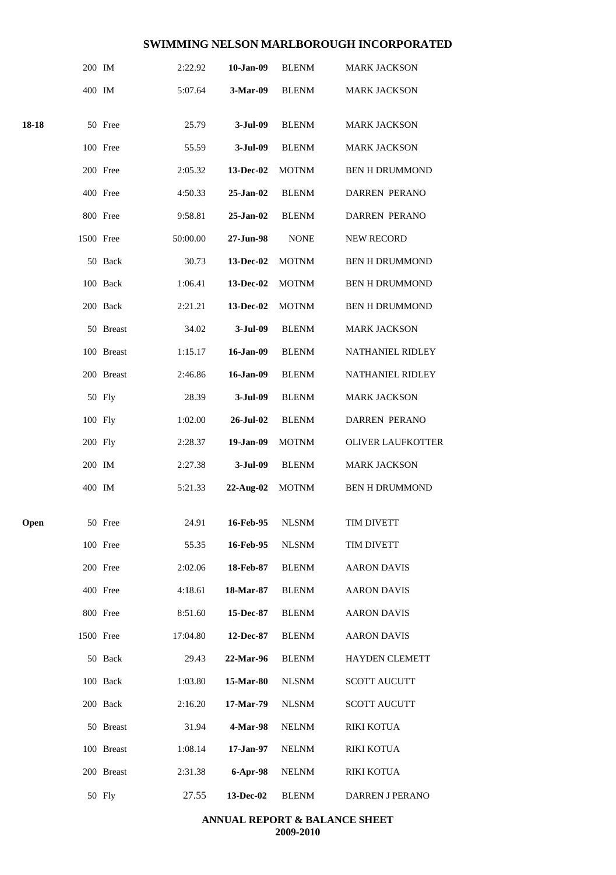|       | 200 IM    |            | 2:22.92  | 10-Jan-09     | <b>BLENM</b> | <b>MARK JACKSON</b>      |
|-------|-----------|------------|----------|---------------|--------------|--------------------------|
|       | 400 IM    |            | 5:07.64  | 3-Mar-09      | <b>BLENM</b> | <b>MARK JACKSON</b>      |
| 18-18 |           | 50 Free    | 25.79    | $3-Jul-09$    | <b>BLENM</b> | <b>MARK JACKSON</b>      |
|       |           | 100 Free   | 55.59    | $3-Jul-09$    | <b>BLENM</b> | <b>MARK JACKSON</b>      |
|       |           | 200 Free   | 2:05.32  | 13-Dec-02     | <b>MOTNM</b> | <b>BEN H DRUMMOND</b>    |
|       |           | 400 Free   | 4:50.33  | $25 - Jan-02$ | <b>BLENM</b> | <b>DARREN PERANO</b>     |
|       |           | 800 Free   | 9:58.81  | 25-Jan-02     | <b>BLENM</b> | <b>DARREN PERANO</b>     |
|       | 1500 Free |            | 50:00.00 | 27-Jun-98     | <b>NONE</b>  | <b>NEW RECORD</b>        |
|       |           | 50 Back    | 30.73    | 13-Dec-02     | <b>MOTNM</b> | <b>BEN H DRUMMOND</b>    |
|       |           | 100 Back   | 1:06.41  | 13-Dec-02     | <b>MOTNM</b> | <b>BEN H DRUMMOND</b>    |
|       |           | 200 Back   | 2:21.21  | 13-Dec-02     | <b>MOTNM</b> | <b>BEN H DRUMMOND</b>    |
|       |           | 50 Breast  | 34.02    | $3-Jul-09$    | <b>BLENM</b> | <b>MARK JACKSON</b>      |
|       |           | 100 Breast | 1:15.17  | 16-Jan-09     | <b>BLENM</b> | NATHANIEL RIDLEY         |
|       |           | 200 Breast | 2:46.86  | 16-Jan-09     | <b>BLENM</b> | NATHANIEL RIDLEY         |
|       |           | 50 Fly     | 28.39    | $3-Jul-09$    | <b>BLENM</b> | <b>MARK JACKSON</b>      |
|       | 100 Fly   |            | 1:02.00  | 26-Jul-02     | <b>BLENM</b> | DARREN PERANO            |
|       | 200 Fly   |            | 2:28.37  | 19-Jan-09     | <b>MOTNM</b> | <b>OLIVER LAUFKOTTER</b> |
|       | 200 IM    |            | 2:27.38  | $3-Jul-09$    | <b>BLENM</b> | <b>MARK JACKSON</b>      |
|       | 400 IM    |            | 5:21.33  | 22-Aug-02     | <b>MOTNM</b> | <b>BEN H DRUMMOND</b>    |
| Open  |           | 50 Free    | 24.91    | 16-Feb-95     | <b>NLSNM</b> | TIM DIVETT               |
|       |           | 100 Free   | 55.35    | 16-Feb-95     | <b>NLSNM</b> | TIM DIVETT               |
|       |           | 200 Free   | 2:02.06  | 18-Feb-87     | <b>BLENM</b> | <b>AARON DAVIS</b>       |
|       |           | 400 Free   | 4:18.61  | 18-Mar-87     | <b>BLENM</b> | <b>AARON DAVIS</b>       |
|       |           | 800 Free   | 8:51.60  | 15-Dec-87     | <b>BLENM</b> | <b>AARON DAVIS</b>       |
|       | 1500 Free |            | 17:04.80 | 12-Dec-87     | <b>BLENM</b> | <b>AARON DAVIS</b>       |
|       |           | 50 Back    | 29.43    | 22-Mar-96     | <b>BLENM</b> | <b>HAYDEN CLEMETT</b>    |
|       |           | 100 Back   | 1:03.80  | 15-Mar-80     | <b>NLSNM</b> | <b>SCOTT AUCUTT</b>      |
|       |           | 200 Back   | 2:16.20  | 17-Mar-79     | <b>NLSNM</b> | <b>SCOTT AUCUTT</b>      |
|       |           | 50 Breast  | 31.94    | 4-Mar-98      | <b>NELNM</b> | <b>RIKI KOTUA</b>        |
|       |           | 100 Breast | 1:08.14  | 17-Jan-97     | <b>NELNM</b> | <b>RIKI KOTUA</b>        |
|       |           | 200 Breast | 2:31.38  | 6-Apr-98      | <b>NELNM</b> | RIKI KOTUA               |
|       |           | 50 Fly     | 27.55    | 13-Dec-02     | <b>BLENM</b> | DARREN J PERANO          |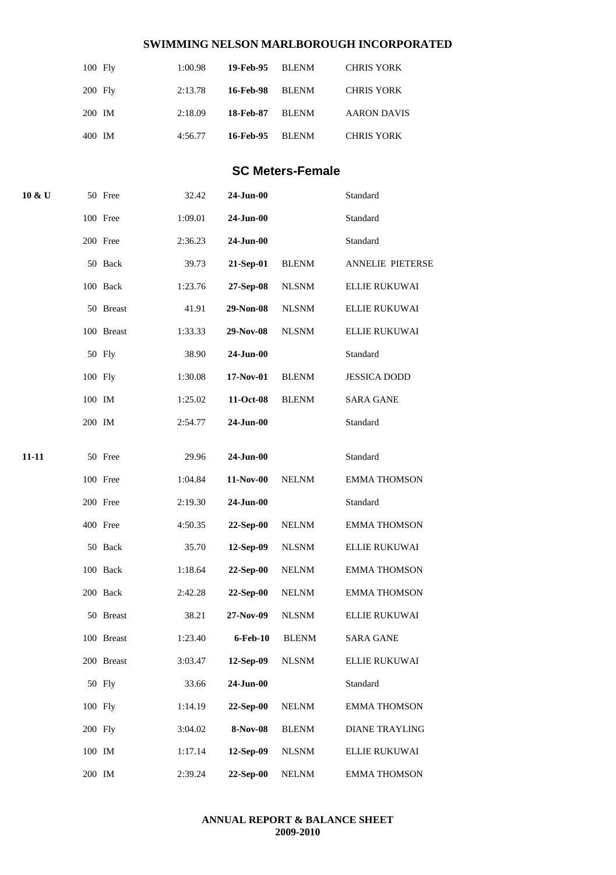| $100$ Fly | 1:00.98 | 19-Feb-95 BLENM |       | <b>CHRIS YORK</b>  |
|-----------|---------|-----------------|-------|--------------------|
| $200$ Fly | 2:13.78 | 16-Feb-98       | BLENM | <b>CHRIS YORK</b>  |
| 200 IM    | 2:18.09 | 18-Feb-87       | BLENM | <b>AARON DAVIS</b> |
| 400 IM    | 4:56.77 | 16-Feb-95       | BLENM | <b>CHRIS YORK</b>  |

## **SC Meters-Female**

| 10 & U |         | 50 Free    | 32.42   | $24$ -Jun-00 |              | Standard              |
|--------|---------|------------|---------|--------------|--------------|-----------------------|
|        |         | 100 Free   | 1:09.01 | 24-Jun-00    |              | Standard              |
|        |         | 200 Free   | 2:36.23 | 24-Jun-00    |              | Standard              |
|        |         | 50 Back    | 39.73   | 21-Sep-01    | <b>BLENM</b> | ANNELIE PIETERSE      |
|        |         | 100 Back   | 1:23.76 | 27-Sep-08    | <b>NLSNM</b> | ELLIE RUKUWAI         |
|        |         | 50 Breast  | 41.91   | 29-Non-08    | <b>NLSNM</b> | ELLIE RUKUWAI         |
|        |         | 100 Breast | 1:33.33 | 29-Nov-08    | <b>NLSNM</b> | <b>ELLIE RUKUWAI</b>  |
|        |         | 50 Fly     | 38.90   | 24-Jun-00    |              | Standard              |
|        | 100 Fly |            | 1:30.08 | 17-Nov-01    | <b>BLENM</b> | <b>JESSICA DODD</b>   |
|        | 100 IM  |            | 1:25.02 | 11-Oct-08    | <b>BLENM</b> | <b>SARA GANE</b>      |
|        | 200 IM  |            | 2:54.77 | $24$ -Jun-00 |              | Standard              |
| 11-11  |         | 50 Free    | 29.96   | 24-Jun-00    |              | Standard              |
|        |         |            |         |              |              |                       |
|        |         | 100 Free   | 1:04.84 | 11-Nov-00    | <b>NELNM</b> | <b>EMMA THOMSON</b>   |
|        |         | 200 Free   | 2:19.30 | 24-Jun-00    |              | Standard              |
|        |         | 400 Free   | 4:50.35 | 22-Sep-00    | <b>NELNM</b> | <b>EMMA THOMSON</b>   |
|        |         | 50 Back    | 35.70   | 12-Sep-09    | <b>NLSNM</b> | ELLIE RUKUWAI         |
|        |         | 100 Back   | 1:18.64 | 22-Sep-00    | <b>NELNM</b> | <b>EMMA THOMSON</b>   |
|        |         | 200 Back   | 2:42.28 | 22-Sep-00    | <b>NELNM</b> | <b>EMMA THOMSON</b>   |
|        |         | 50 Breast  | 38.21   | 27-Nov-09    | <b>NLSNM</b> | ELLIE RUKUWAI         |
|        |         | 100 Breast | 1:23.40 | 6-Feb-10     | <b>BLENM</b> | <b>SARA GANE</b>      |
|        |         | 200 Breast | 3:03.47 | 12-Sep-09    | <b>NLSNM</b> | ELLIE RUKUWAI         |
|        |         | 50 Fly     | 33.66   | 24-Jun-00    |              | Standard              |
|        |         | 100 Fly    | 1:14.19 | 22-Sep-00    | $\it NELNM$  | <b>EMMA THOMSON</b>   |
|        | 200 Fly |            | 3:04.02 | 8-Nov-08     | <b>BLENM</b> | <b>DIANE TRAYLING</b> |
|        | 100 IM  |            | 1:17.14 | 12-Sep-09    | <b>NLSNM</b> | ELLIE RUKUWAI         |
|        | 200 IM  |            | 2:39.24 | 22-Sep-00    | <b>NELNM</b> | <b>EMMA THOMSON</b>   |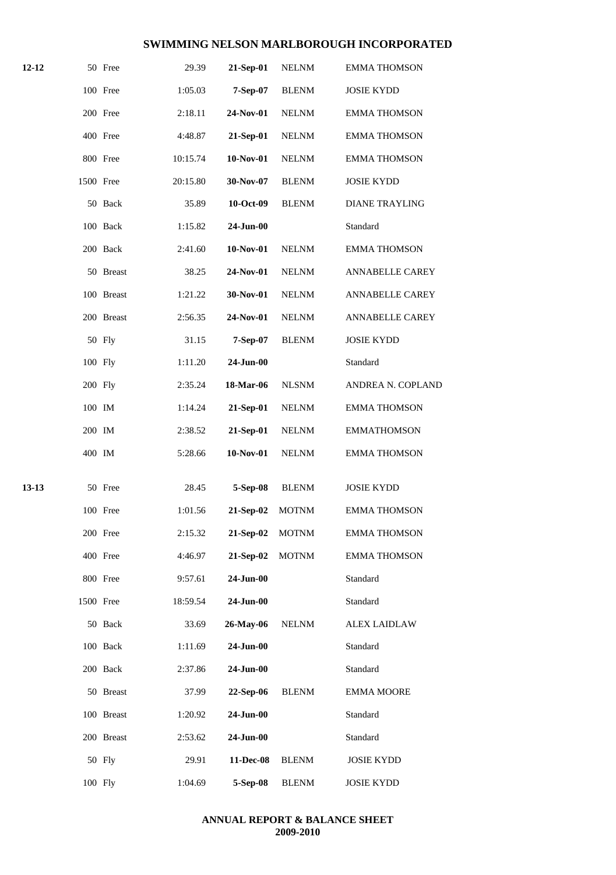| 12-12 |           | 50 Free    | 29.39    | 21-Sep-01    | <b>NELNM</b> | <b>EMMA THOMSON</b>    |
|-------|-----------|------------|----------|--------------|--------------|------------------------|
|       |           | 100 Free   | 1:05.03  | 7-Sep-07     | <b>BLENM</b> | <b>JOSIE KYDD</b>      |
|       |           | 200 Free   | 2:18.11  | 24-Nov-01    | <b>NELNM</b> | <b>EMMA THOMSON</b>    |
|       |           | 400 Free   | 4:48.87  | 21-Sep-01    | <b>NELNM</b> | <b>EMMA THOMSON</b>    |
|       |           | 800 Free   | 10:15.74 | 10-Nov-01    | <b>NELNM</b> | <b>EMMA THOMSON</b>    |
|       | 1500 Free |            | 20:15.80 | 30-Nov-07    | <b>BLENM</b> | <b>JOSIE KYDD</b>      |
|       |           | 50 Back    | 35.89    | 10-Oct-09    | <b>BLENM</b> | <b>DIANE TRAYLING</b>  |
|       |           | 100 Back   | 1:15.82  | $24$ -Jun-00 |              | Standard               |
|       |           | 200 Back   | 2:41.60  | 10-Nov-01    | <b>NELNM</b> | <b>EMMA THOMSON</b>    |
|       |           | 50 Breast  | 38.25    | 24-Nov-01    | <b>NELNM</b> | ANNABELLE CAREY        |
|       |           | 100 Breast | 1:21.22  | 30-Nov-01    | <b>NELNM</b> | <b>ANNABELLE CAREY</b> |
|       |           | 200 Breast | 2:56.35  | 24-Nov-01    | <b>NELNM</b> | <b>ANNABELLE CAREY</b> |
|       |           | 50 Fly     | 31.15    | 7-Sep-07     | <b>BLENM</b> | <b>JOSIE KYDD</b>      |
|       | 100 Fly   |            | 1:11.20  | $24$ -Jun-00 |              | Standard               |
|       | 200 Fly   |            | 2:35.24  | 18-Mar-06    | <b>NLSNM</b> | ANDREA N. COPLAND      |
|       | 100 IM    |            | 1:14.24  | 21-Sep-01    | <b>NELNM</b> | <b>EMMA THOMSON</b>    |
|       | 200 IM    |            | 2:38.52  | 21-Sep-01    | <b>NELNM</b> | <b>EMMATHOMSON</b>     |
|       | 400 IM    |            | 5:28.66  | $10-Nov-01$  | <b>NELNM</b> | <b>EMMA THOMSON</b>    |
|       |           |            |          |              |              |                        |
| 13-13 |           | 50 Free    | 28.45    | 5-Sep-08     | <b>BLENM</b> | <b>JOSIE KYDD</b>      |
|       |           | 100 Free   | 1:01.56  | 21-Sep-02    | <b>MOTNM</b> | <b>EMMA THOMSON</b>    |
|       |           | 200 Free   | 2:15.32  | 21-Sep-02    | <b>MOTNM</b> | <b>EMMA THOMSON</b>    |
|       |           | 400 Free   | 4:46.97  | 21-Sep-02    | <b>MOTNM</b> | <b>EMMA THOMSON</b>    |
|       |           | 800 Free   | 9:57.61  | 24-Jun-00    |              | Standard               |
|       | 1500 Free |            | 18:59.54 | 24-Jun-00    |              | Standard               |
|       |           | 50 Back    | 33.69    | 26-May-06    | <b>NELNM</b> | <b>ALEX LAIDLAW</b>    |
|       |           | 100 Back   | 1:11.69  | 24-Jun-00    |              | Standard               |
|       |           | 200 Back   | 2:37.86  | 24-Jun-00    |              | Standard               |
|       |           | 50 Breast  | 37.99    | 22-Sep-06    | <b>BLENM</b> | <b>EMMA MOORE</b>      |
|       |           | 100 Breast | 1:20.92  | 24-Jun-00    |              | Standard               |
|       |           | 200 Breast | 2:53.62  | 24-Jun-00    |              | Standard               |
|       |           | 50 Fly     | 29.91    | 11-Dec-08    | <b>BLENM</b> | <b>JOSIE KYDD</b>      |
|       |           | 100 Fly    | 1:04.69  | 5-Sep-08     | <b>BLENM</b> | <b>JOSIE KYDD</b>      |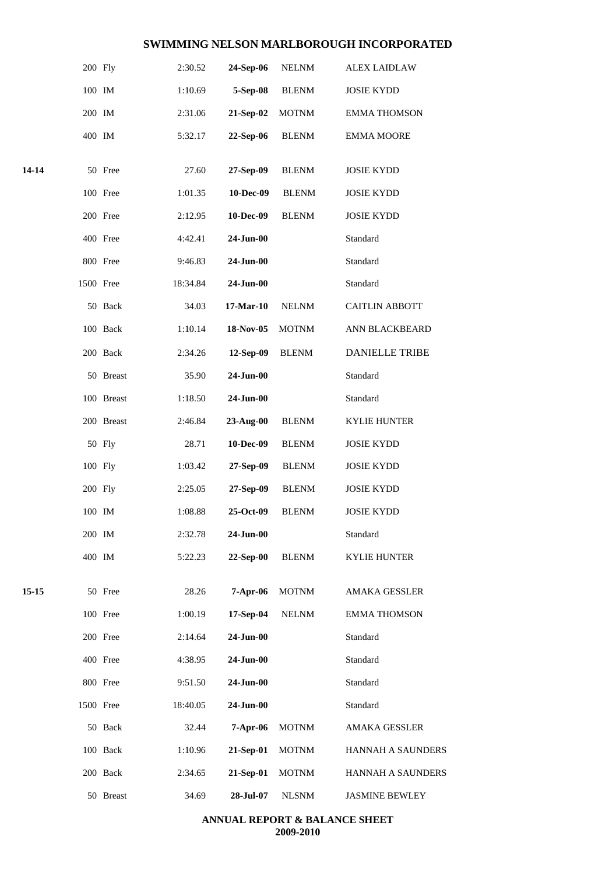|       | 200 Fly   |            | 2:30.52  | 24-Sep-06   | <b>NELNM</b> | <b>ALEX LAIDLAW</b>      |
|-------|-----------|------------|----------|-------------|--------------|--------------------------|
|       | 100 IM    |            | 1:10.69  | 5-Sep-08    | <b>BLENM</b> | <b>JOSIE KYDD</b>        |
|       | 200 IM    |            | 2:31.06  | 21-Sep-02   | <b>MOTNM</b> | <b>EMMA THOMSON</b>      |
|       | 400 IM    |            | 5:32.17  | 22-Sep-06   | <b>BLENM</b> | <b>EMMA MOORE</b>        |
| 14-14 |           | 50 Free    | 27.60    | 27-Sep-09   | <b>BLENM</b> | <b>JOSIE KYDD</b>        |
|       |           | 100 Free   | 1:01.35  | 10-Dec-09   | <b>BLENM</b> | <b>JOSIE KYDD</b>        |
|       |           | 200 Free   | 2:12.95  | 10-Dec-09   | <b>BLENM</b> | <b>JOSIE KYDD</b>        |
|       |           | 400 Free   | 4:42.41  | 24-Jun-00   |              | Standard                 |
|       |           | 800 Free   | 9:46.83  | 24-Jun-00   |              | Standard                 |
|       | 1500 Free |            | 18:34.84 | 24-Jun-00   |              | Standard                 |
|       |           | 50 Back    | 34.03    | $17-Mar-10$ | <b>NELNM</b> | <b>CAITLIN ABBOTT</b>    |
|       |           | 100 Back   | 1:10.14  | 18-Nov-05   | <b>MOTNM</b> | ANN BLACKBEARD           |
|       |           | 200 Back   | 2:34.26  | 12-Sep-09   | <b>BLENM</b> | <b>DANIELLE TRIBE</b>    |
|       |           | 50 Breast  | 35.90    | 24-Jun-00   |              | Standard                 |
|       |           | 100 Breast | 1:18.50  | 24-Jun-00   |              | Standard                 |
|       |           | 200 Breast | 2:46.84  | 23-Aug-00   | <b>BLENM</b> | <b>KYLIE HUNTER</b>      |
|       |           | 50 Fly     | 28.71    | 10-Dec-09   | <b>BLENM</b> | <b>JOSIE KYDD</b>        |
|       | 100 Fly   |            | 1:03.42  | 27-Sep-09   | <b>BLENM</b> | <b>JOSIE KYDD</b>        |
|       | 200 Fly   |            | 2:25.05  | 27-Sep-09   | <b>BLENM</b> | <b>JOSIE KYDD</b>        |
|       | 100 IM    |            | 1:08.88  | 25-Oct-09   | <b>BLENM</b> | <b>JOSIE KYDD</b>        |
|       | 200 IM    |            | 2:32.78  | 24-Jun-00   |              | Standard                 |
|       | 400 IM    |            | 5:22.23  | 22-Sep-00   | <b>BLENM</b> | <b>KYLIE HUNTER</b>      |
| 15-15 |           | 50 Free    | 28.26    | 7-Apr-06    | <b>MOTNM</b> | AMAKA GESSLER            |
|       |           | 100 Free   | 1:00.19  | 17-Sep-04   | <b>NELNM</b> | <b>EMMA THOMSON</b>      |
|       |           | 200 Free   | 2:14.64  | 24-Jun-00   |              | Standard                 |
|       |           | 400 Free   | 4:38.95  | 24-Jun-00   |              | Standard                 |
|       |           | 800 Free   | 9:51.50  | 24-Jun-00   |              | Standard                 |
|       | 1500 Free |            | 18:40.05 | 24-Jun-00   |              | Standard                 |
|       |           | 50 Back    | 32.44    | $7-Apr-06$  | <b>MOTNM</b> | <b>AMAKA GESSLER</b>     |
|       |           | 100 Back   | 1:10.96  | 21-Sep-01   | <b>MOTNM</b> | <b>HANNAH A SAUNDERS</b> |
|       |           | 200 Back   | 2:34.65  | 21-Sep-01   | <b>MOTNM</b> | <b>HANNAH A SAUNDERS</b> |
|       |           | 50 Breast  | 34.69    | 28-Jul-07   | <b>NLSNM</b> | <b>JASMINE BEWLEY</b>    |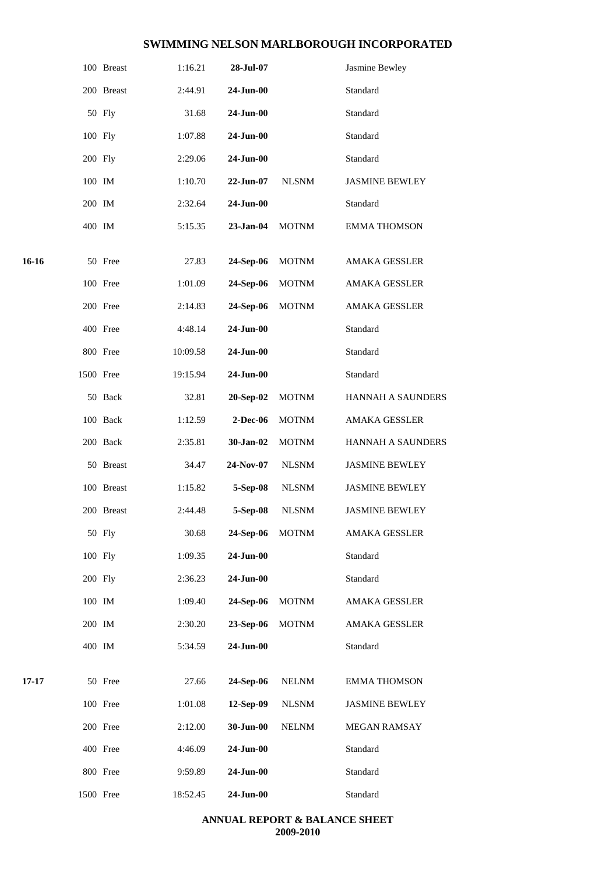|       |           | 100 Breast | 1:16.21  | 28-Jul-07     |              | Jasmine Bewley           |
|-------|-----------|------------|----------|---------------|--------------|--------------------------|
|       |           | 200 Breast | 2:44.91  | 24-Jun-00     |              | Standard                 |
|       |           | 50 Fly     | 31.68    | 24-Jun-00     |              | Standard                 |
|       | 100 Fly   |            | 1:07.88  | 24-Jun-00     |              | Standard                 |
|       | 200 Fly   |            | 2:29.06  | 24-Jun-00     |              | Standard                 |
|       | 100 IM    |            | 1:10.70  | 22-Jun-07     | <b>NLSNM</b> | <b>JASMINE BEWLEY</b>    |
|       | 200 IM    |            | 2:32.64  | 24-Jun-00     |              | Standard                 |
|       | 400 IM    |            | 5:15.35  | $23$ -Jan-04  | <b>MOTNM</b> | <b>EMMA THOMSON</b>      |
| 16-16 |           | 50 Free    | 27.83    | 24-Sep-06     | <b>MOTNM</b> | AMAKA GESSLER            |
|       |           | 100 Free   | 1:01.09  | 24-Sep-06     | <b>MOTNM</b> | <b>AMAKA GESSLER</b>     |
|       |           | 200 Free   | 2:14.83  | 24-Sep-06     | <b>MOTNM</b> | AMAKA GESSLER            |
|       |           | 400 Free   | 4:48.14  | 24-Jun-00     |              | Standard                 |
|       |           | 800 Free   | 10:09.58 | $24 - Jun-00$ |              | Standard                 |
|       | 1500 Free |            | 19:15.94 | 24-Jun-00     |              | Standard                 |
|       |           | 50 Back    | 32.81    | 20-Sep-02     | <b>MOTNM</b> | HANNAH A SAUNDERS        |
|       |           | 100 Back   | 1:12.59  | 2-Dec-06      | <b>MOTNM</b> | AMAKA GESSLER            |
|       |           | 200 Back   | 2:35.81  | 30-Jan-02     | <b>MOTNM</b> | <b>HANNAH A SAUNDERS</b> |
|       |           | 50 Breast  | 34.47    | 24-Nov-07     | <b>NLSNM</b> | <b>JASMINE BEWLEY</b>    |
|       |           | 100 Breast | 1:15.82  | 5-Sep-08      | <b>NLSNM</b> | <b>JASMINE BEWLEY</b>    |
|       |           | 200 Breast | 2:44.48  | 5-Sep-08      | <b>NLSNM</b> | <b>JASMINE BEWLEY</b>    |
|       |           | 50 Fly     | 30.68    | 24-Sep-06     | <b>MOTNM</b> | AMAKA GESSLER            |
|       | 100 Fly   |            | 1:09.35  | 24-Jun-00     |              | Standard                 |
|       | 200 Fly   |            | 2:36.23  | $24-Jun-00$   |              | Standard                 |
|       | 100 IM    |            | 1:09.40  | 24-Sep-06     | <b>MOTNM</b> | <b>AMAKA GESSLER</b>     |
|       | 200 IM    |            | 2:30.20  | 23-Sep-06     | <b>MOTNM</b> | AMAKA GESSLER            |
|       | 400 IM    |            | 5:34.59  | 24-Jun-00     |              | Standard                 |
| 17-17 |           | 50 Free    | 27.66    | 24-Sep-06     | <b>NELNM</b> | <b>EMMA THOMSON</b>      |
|       |           | 100 Free   | 1:01.08  | 12-Sep-09     | <b>NLSNM</b> | <b>JASMINE BEWLEY</b>    |
|       |           | 200 Free   | 2:12.00  | 30-Jun-00     | <b>NELNM</b> | MEGAN RAMSAY             |
|       |           | 400 Free   | 4:46.09  | 24-Jun-00     |              | Standard                 |
|       |           | 800 Free   | 9:59.89  | 24-Jun-00     |              | Standard                 |
|       | 1500 Free |            | 18:52.45 | 24-Jun-00     |              | Standard                 |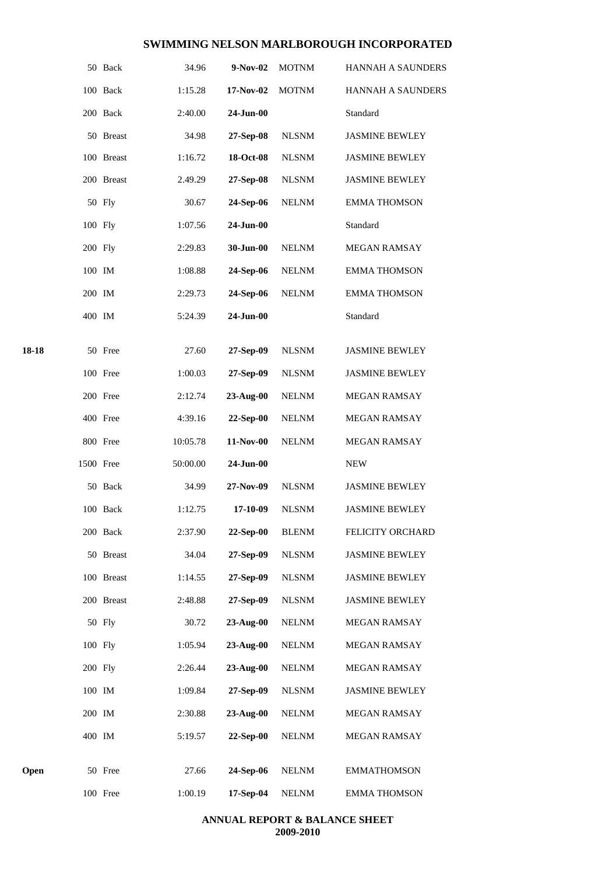|       |           | 50 Back    | 34.96    | 9-Nov-02        | <b>MOTNM</b>     | <b>HANNAH A SAUNDERS</b> |
|-------|-----------|------------|----------|-----------------|------------------|--------------------------|
|       |           | 100 Back   | 1:15.28  | 17-Nov-02       | <b>MOTNM</b>     | <b>HANNAH A SAUNDERS</b> |
|       |           | 200 Back   | 2:40.00  | 24-Jun-00       |                  | Standard                 |
|       |           | 50 Breast  | 34.98    | 27-Sep-08       | <b>NLSNM</b>     | <b>JASMINE BEWLEY</b>    |
|       |           | 100 Breast | 1:16.72  | 18-Oct-08       | <b>NLSNM</b>     | <b>JASMINE BEWLEY</b>    |
|       |           | 200 Breast | 2.49.29  | 27-Sep-08       | <b>NLSNM</b>     | <b>JASMINE BEWLEY</b>    |
|       |           | 50 Fly     | 30.67    | 24-Sep-06       | <b>NELNM</b>     | <b>EMMA THOMSON</b>      |
|       | 100 Fly   |            | 1:07.56  | 24-Jun-00       |                  | Standard                 |
|       | 200 Fly   |            | 2:29.83  | 30-Jun-00       | <b>NELNM</b>     | MEGAN RAMSAY             |
|       | 100 IM    |            | 1:08.88  | 24-Sep-06       | <b>NELNM</b>     | <b>EMMA THOMSON</b>      |
|       | 200 IM    |            | 2:29.73  | 24-Sep-06       | <b>NELNM</b>     | <b>EMMA THOMSON</b>      |
|       | 400 IM    |            | 5:24.39  | 24-Jun-00       |                  | Standard                 |
| 18-18 |           | 50 Free    | 27.60    | 27-Sep-09       | <b>NLSNM</b>     | <b>JASMINE BEWLEY</b>    |
|       |           | 100 Free   | 1:00.03  | 27-Sep-09       | <b>NLSNM</b>     | <b>JASMINE BEWLEY</b>    |
|       |           | 200 Free   | 2:12.74  | $23$ -Aug- $00$ | <b>NELNM</b>     | MEGAN RAMSAY             |
|       |           | 400 Free   | 4:39.16  | 22-Sep-00       | <b>NELNM</b>     | <b>MEGAN RAMSAY</b>      |
|       |           | 800 Free   | 10:05.78 | 11-Nov-00       | <b>NELNM</b>     | MEGAN RAMSAY             |
|       | 1500 Free |            | 50:00.00 | 24-Jun-00       |                  | <b>NEW</b>               |
|       |           | 50 Back    | 34.99    | 27-Nov-09       | <b>NLSNM</b>     | <b>JASMINE BEWLEY</b>    |
|       |           | 100 Back   | 1:12.75  | 17-10-09        | <b>NLSNM</b>     | <b>JASMINE BEWLEY</b>    |
|       |           | 200 Back   | 2:37.90  | 22-Sep-00       | ${\hbox{BLEMM}}$ | FELICITY ORCHARD         |
|       |           | 50 Breast  | 34.04    | 27-Sep-09       | <b>NLSNM</b>     | <b>JASMINE BEWLEY</b>    |
|       |           | 100 Breast | 1:14.55  | $27-Sep-09$     | <b>NLSNM</b>     | <b>JASMINE BEWLEY</b>    |
|       |           | 200 Breast | 2:48.88  | 27-Sep-09       | <b>NLSNM</b>     | <b>JASMINE BEWLEY</b>    |
|       |           | 50 Fly     | 30.72    | 23-Aug-00       | <b>NELNM</b>     | MEGAN RAMSAY             |
|       | 100 Fly   |            | 1:05.94  | 23-Aug-00       | <b>NELNM</b>     | MEGAN RAMSAY             |
|       | 200 Fly   |            | 2:26.44  | $23$ -Aug- $00$ | <b>NELNM</b>     | MEGAN RAMSAY             |
|       | 100 IM    |            | 1:09.84  | 27-Sep-09       | <b>NLSNM</b>     | <b>JASMINE BEWLEY</b>    |
|       | 200 IM    |            | 2:30.88  | $23-Aug-00$     | <b>NELNM</b>     | MEGAN RAMSAY             |
|       | 400 IM    |            | 5:19.57  | 22-Sep-00       | <b>NELNM</b>     | <b>MEGAN RAMSAY</b>      |
| Open  |           | 50 Free    | 27.66    | 24-Sep-06       | <b>NELNM</b>     | <b>EMMATHOMSON</b>       |
|       |           | 100 Free   | 1:00.19  | 17-Sep-04       | <b>NELNM</b>     | <b>EMMA THOMSON</b>      |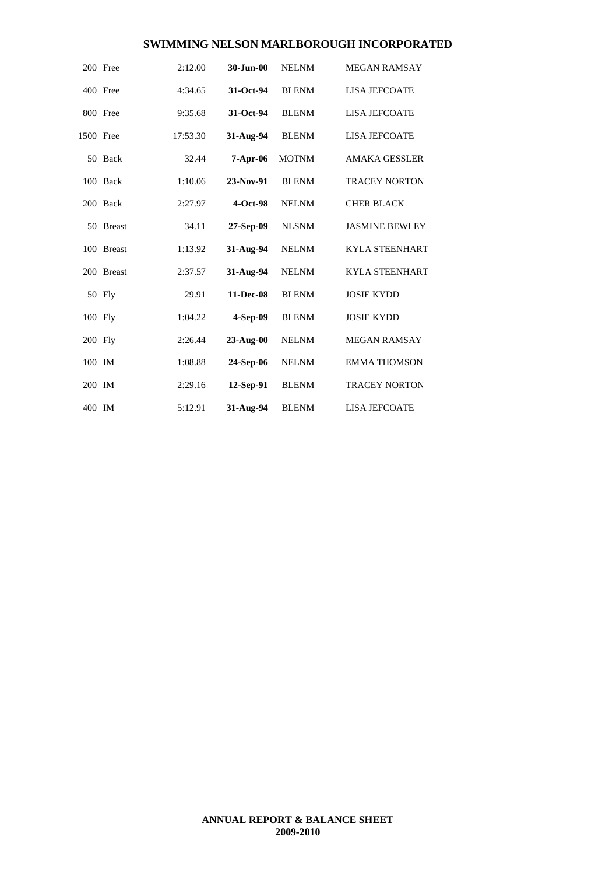|           | 200 Free      | 2:12.00  | 30-Jun-00    | <b>NELNM</b> | <b>MEGAN RAMSAY</b>   |
|-----------|---------------|----------|--------------|--------------|-----------------------|
|           | 400 Free      | 4:34.65  | 31-Oct-94    | <b>BLENM</b> | <b>LISA JEFCOATE</b>  |
|           | 800 Free      | 9:35.68  | 31-Oct-94    | <b>BLENM</b> | <b>LISA JEFCOATE</b>  |
| 1500 Free |               | 17:53.30 | 31-Aug-94    | <b>BLENM</b> | <b>LISA JEFCOATE</b>  |
|           | 50 Back       | 32.44    | $7-Apr-06$   | <b>MOTNM</b> | <b>AMAKA GESSLER</b>  |
|           | 100 Back      | 1:10.06  | 23-Nov-91    | <b>BLENM</b> | <b>TRACEY NORTON</b>  |
|           | 200 Back      | 2:27.97  | $4-Oct-98$   | <b>NELNM</b> | <b>CHER BLACK</b>     |
|           | 50 Breast     | 34.11    | 27-Sep-09    | <b>NLSNM</b> | <b>JASMINE BEWLEY</b> |
|           | 100 Breast    | 1:13.92  | 31-Aug-94    | <b>NELNM</b> | <b>KYLA STEENHART</b> |
| 200       | <b>Breast</b> | 2:37.57  | 31-Aug-94    | <b>NELNM</b> | <b>KYLA STEENHART</b> |
|           | 50 Fly        | 29.91    | 11-Dec-08    | <b>BLENM</b> | <b>JOSIE KYDD</b>     |
| 100 Fly   |               | 1:04.22  | 4-Sep-09     | <b>BLENM</b> | <b>JOSIE KYDD</b>     |
| 200 Fly   |               | 2:26.44  | $23-Au$ g-00 | <b>NELNM</b> | <b>MEGAN RAMSAY</b>   |
| 100 IM    |               | 1:08.88  | 24-Sep-06    | <b>NELNM</b> | <b>EMMA THOMSON</b>   |
| 200 IM    |               | 2:29.16  | 12-Sep-91    | <b>BLENM</b> | <b>TRACEY NORTON</b>  |
| 400 IM    |               | 5:12.91  | 31-Aug-94    | <b>BLENM</b> | <b>LISA JEFCOATE</b>  |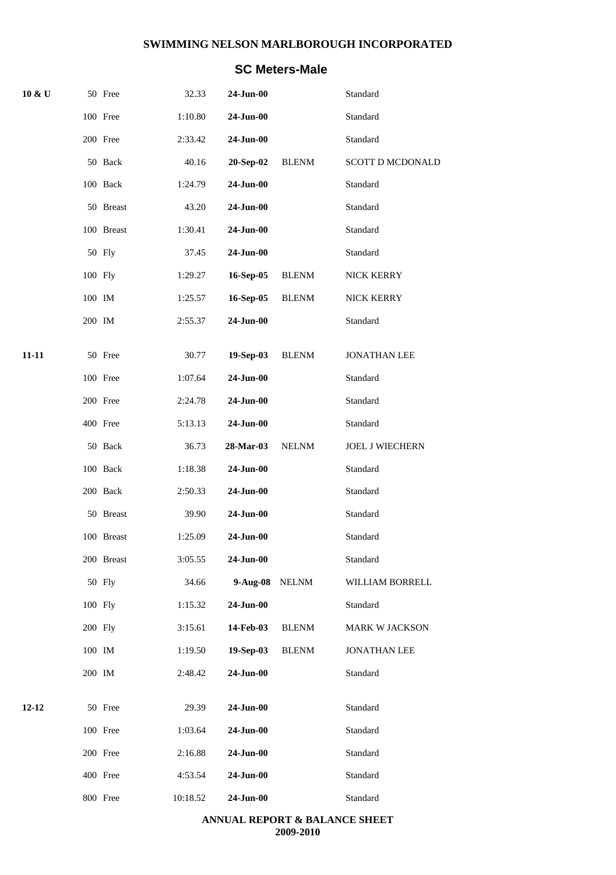## **SC Meters-Male**

| 10 & U    |         | 50 Free    | 32.33    | $24$ -Jun- $00$ |              | Standard                |
|-----------|---------|------------|----------|-----------------|--------------|-------------------------|
|           |         | 100 Free   | 1:10.80  | $24$ -Jun-00    |              | Standard                |
|           |         | 200 Free   | 2:33.42  | 24-Jun-00       |              | Standard                |
|           |         | 50 Back    | 40.16    | 20-Sep-02       | <b>BLENM</b> | <b>SCOTT D MCDONALD</b> |
|           |         | 100 Back   | 1:24.79  | 24-Jun-00       |              | Standard                |
|           |         | 50 Breast  | 43.20    | 24-Jun-00       |              | Standard                |
|           |         | 100 Breast | 1:30.41  | 24-Jun-00       |              | Standard                |
|           |         | 50 Fly     | 37.45    | $24$ -Jun-00    |              | Standard                |
|           | 100 Fly |            | 1:29.27  | 16-Sep-05       | <b>BLENM</b> | NICK KERRY              |
|           | 100 IM  |            | 1:25.57  | 16-Sep-05       | <b>BLENM</b> | NICK KERRY              |
|           | 200 IM  |            | 2:55.37  | 24-Jun-00       |              | Standard                |
| $11 - 11$ |         | 50 Free    | 30.77    | 19-Sep-03       | <b>BLENM</b> | <b>JONATHAN LEE</b>     |
|           |         | 100 Free   | 1:07.64  | 24-Jun-00       |              | Standard                |
|           |         | 200 Free   | 2:24.78  | 24-Jun-00       |              | Standard                |
|           |         | 400 Free   | 5:13.13  | $24$ -Jun- $00$ |              | Standard                |
|           |         | 50 Back    | 36.73    | 28-Mar-03       | <b>NELNM</b> | <b>JOEL J WIECHERN</b>  |
|           |         | 100 Back   | 1:18.38  | 24-Jun-00       |              | Standard                |
|           |         | 200 Back   | 2:50.33  | 24-Jun-00       |              | Standard                |
|           |         | 50 Breast  | 39.90    | $24-Jun-00$     |              | Standard                |
|           |         | 100 Breast | 1:25.09  | 24-Jun-00       |              | Standard                |
|           |         | 200 Breast | 3:05.55  | $24$ -Jun-00    |              | Standard                |
|           |         | 50 Fly     | 34.66    | $9-Aug-08$      | <b>NELNM</b> | WILLIAM BORRELL         |
|           | 100 Fly |            | 1:15.32  | 24-Jun-00       |              | Standard                |
|           | 200 Fly |            | 3:15.61  | 14-Feb-03       | <b>BLENM</b> | <b>MARK W JACKSON</b>   |
|           | 100 IM  |            | 1:19.50  | 19-Sep-03       | <b>BLENM</b> | <b>JONATHAN LEE</b>     |
|           | 200 IM  |            | 2:48.42  | 24-Jun-00       |              | Standard                |
| 12-12     |         | 50 Free    | 29.39    | 24-Jun-00       |              | Standard                |
|           |         | 100 Free   | 1:03.64  | 24-Jun-00       |              | Standard                |
|           |         | 200 Free   | 2:16.88  | 24-Jun-00       |              | Standard                |
|           |         | 400 Free   | 4:53.54  | $24$ -Jun-00    |              | Standard                |
|           |         | 800 Free   | 10:18.52 | $24 - Jun-00$   |              | Standard                |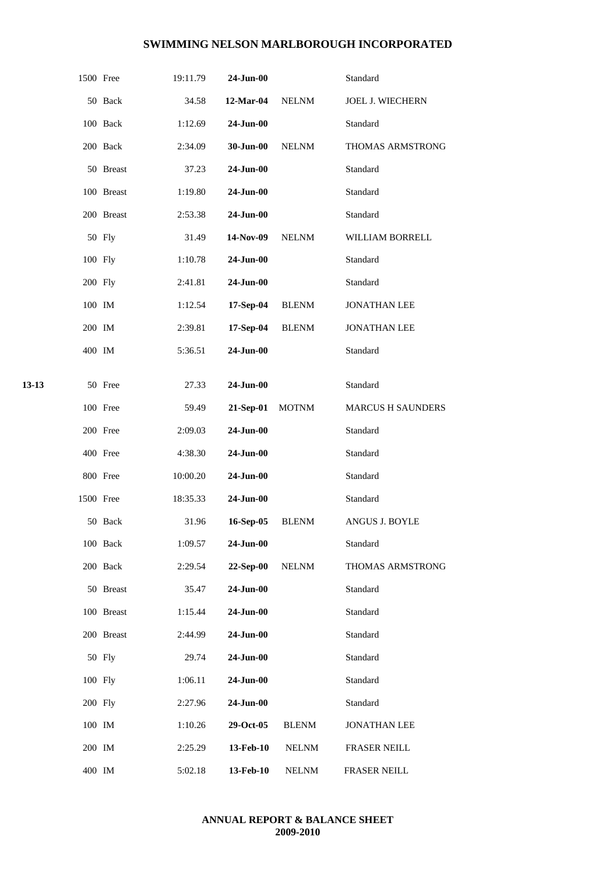|       | 1500 Free |            | 19:11.79 | 24-Jun-00    |              | Standard                 |
|-------|-----------|------------|----------|--------------|--------------|--------------------------|
|       |           | 50 Back    | 34.58    | 12-Mar-04    | $\it NELNM$  | JOEL J. WIECHERN         |
|       |           | 100 Back   | 1:12.69  | 24-Jun-00    |              | Standard                 |
|       |           | 200 Back   | 2:34.09  | 30-Jun-00    | <b>NELNM</b> | THOMAS ARMSTRONG         |
|       |           | 50 Breast  | 37.23    | 24-Jun-00    |              | Standard                 |
|       |           | 100 Breast | 1:19.80  | 24-Jun-00    |              | Standard                 |
|       |           | 200 Breast | 2:53.38  | $24$ -Jun-00 |              | Standard                 |
|       |           | 50 Fly     | 31.49    | 14-Nov-09    | <b>NELNM</b> | WILLIAM BORRELL          |
|       | 100 Fly   |            | 1:10.78  | 24-Jun-00    |              | Standard                 |
|       | 200 Fly   |            | 2:41.81  | $24$ -Jun-00 |              | Standard                 |
|       | 100 IM    |            | 1:12.54  | 17-Sep-04    | <b>BLENM</b> | <b>JONATHAN LEE</b>      |
|       | 200 IM    |            | 2:39.81  | 17-Sep-04    | <b>BLENM</b> | <b>JONATHAN LEE</b>      |
|       | 400 IM    |            | 5:36.51  | 24-Jun-00    |              | Standard                 |
|       |           |            |          |              |              |                          |
| 13-13 |           | 50 Free    | 27.33    | $24$ -Jun-00 |              | Standard                 |
|       |           | 100 Free   | 59.49    | 21-Sep-01    | <b>MOTNM</b> | <b>MARCUS H SAUNDERS</b> |
|       |           | 200 Free   | 2:09.03  | 24-Jun-00    |              | Standard                 |
|       |           | 400 Free   | 4:38.30  | 24-Jun-00    |              | Standard                 |
|       |           | 800 Free   | 10:00.20 | 24-Jun-00    |              | Standard                 |
|       | 1500 Free |            | 18:35.33 | 24-Jun-00    |              | Standard                 |
|       |           | 50 Back    | 31.96    | 16-Sep-05    | <b>BLENM</b> | ANGUS J. BOYLE           |
|       |           | 100 Back   | 1:09.57  | 24-Jun-00    |              | Standard                 |
|       |           | 200 Back   | 2:29.54  | 22-Sep-00    | <b>NELNM</b> | THOMAS ARMSTRONG         |
|       |           | 50 Breast  | 35.47    | $24-Jun-00$  |              | Standard                 |
|       |           | 100 Breast | 1:15.44  | 24-Jun-00    |              | Standard                 |
|       |           | 200 Breast | 2:44.99  | 24-Jun-00    |              | Standard                 |
|       |           | 50 Fly     | 29.74    | 24-Jun-00    |              | Standard                 |
|       | 100 Fly   |            | 1:06.11  | 24-Jun-00    |              | Standard                 |
|       | 200 Fly   |            | 2:27.96  | 24-Jun-00    |              | Standard                 |
|       | 100 IM    |            | 1:10.26  | 29-Oct-05    | <b>BLENM</b> | <b>JONATHAN LEE</b>      |
|       | 200 IM    |            | 2:25.29  | 13-Feb-10    | <b>NELNM</b> | FRASER NEILL             |
|       | 400 IM    |            | 5:02.18  | 13-Feb-10    | NELNM        | FRASER NEILL             |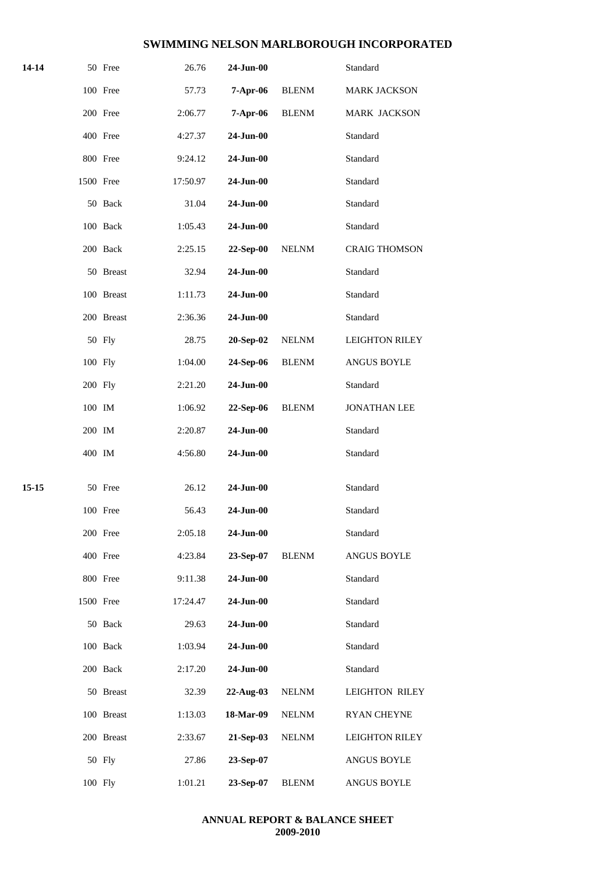| 14-14 | 50 Free    | 26.76              | 24-Jun-00   |              | Standard              |
|-------|------------|--------------------|-------------|--------------|-----------------------|
|       | 100 Free   | 57.73              | 7-Apr-06    | <b>BLENM</b> | MARK JACKSON          |
|       | 200 Free   | 2:06.77            | 7-Apr-06    | <b>BLENM</b> | MARK JACKSON          |
|       | 400 Free   | 4:27.37            | 24-Jun-00   |              | Standard              |
|       | 800 Free   | 9:24.12            | 24-Jun-00   |              | Standard              |
|       | 1500 Free  | 17:50.97           | 24-Jun-00   |              | Standard              |
|       | 50 Back    | 31.04              | 24-Jun-00   |              | Standard              |
|       | 100 Back   | 1:05.43            | 24-Jun-00   |              | Standard              |
|       | 200 Back   | 2:25.15            | 22-Sep-00   | <b>NELNM</b> | <b>CRAIG THOMSON</b>  |
|       | 50 Breast  | 32.94              | 24-Jun-00   |              | Standard              |
|       | 100 Breast | 1:11.73            | 24-Jun-00   |              | Standard              |
|       | 200 Breast | 2:36.36            | 24-Jun-00   |              | Standard              |
|       | 50 Fly     | 28.75              | 20-Sep-02   | <b>NELNM</b> | <b>LEIGHTON RILEY</b> |
|       | 100 Fly    | 1:04.00            | 24-Sep-06   | <b>BLENM</b> | ANGUS BOYLE           |
|       | 200 Fly    | 2:21.20            | 24-Jun-00   |              | Standard              |
|       | 100 IM     | 1:06.92            | 22-Sep-06   | <b>BLENM</b> | <b>JONATHAN LEE</b>   |
|       | 200 IM     | 2:20.87            | 24-Jun-00   |              | Standard              |
|       | 400 IM     | 4:56.80            | 24-Jun-00   |              | Standard              |
| 15-15 | 50 Free    | 26.12              | 24-Jun-00   |              | Standard              |
|       | 100 Free   | 56.43              | $24-Jun-00$ |              | Standard              |
|       | 200 Free   | 2:05.18            | 24-Jun-00   |              | Standard              |
|       | 400 Free   | 4:23.84            | 23-Sep-07   | <b>BLENM</b> | ANGUS BOYLE           |
|       | 800 Free   | 9:11.38            | 24-Jun-00   |              | Standard              |
|       | 1500 Free  | 17:24.47           | 24-Jun-00   |              | Standard              |
|       | 50 Back    | 29.63              | 24-Jun-00   |              | Standard              |
|       | 100 Back   |                    |             |              | Standard              |
|       |            | 1:03.94<br>2:17.20 | 24-Jun-00   |              | Standard              |
|       | 200 Back   |                    | 24-Jun-00   |              |                       |
|       | 50 Breast  | 32.39              | 22-Aug-03   | <b>NELNM</b> | <b>LEIGHTON RILEY</b> |
|       | 100 Breast | 1:13.03            | 18-Mar-09   | <b>NELNM</b> | <b>RYAN CHEYNE</b>    |
|       | 200 Breast | 2:33.67            | 21-Sep-03   | <b>NELNM</b> | <b>LEIGHTON RILEY</b> |
|       | 50 Fly     | 27.86              | 23-Sep-07   |              | ANGUS BOYLE           |
|       | 100 Fly    | 1:01.21            | 23-Sep-07   | <b>BLENM</b> | ANGUS BOYLE           |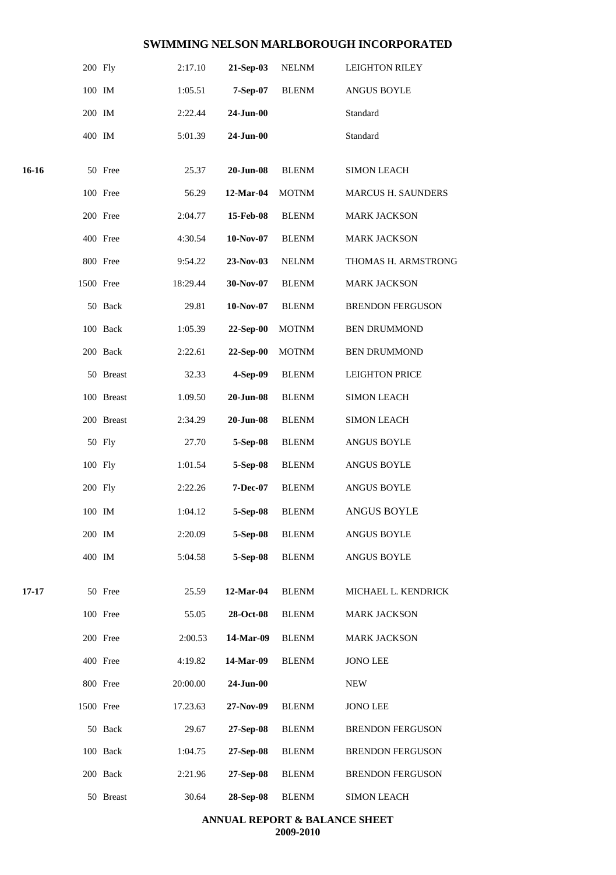|       | 200 Fly   |            | 2:17.10  | 21-Sep-03       | <b>NELNM</b> | <b>LEIGHTON RILEY</b>     |
|-------|-----------|------------|----------|-----------------|--------------|---------------------------|
|       | 100 IM    |            | 1:05.51  | 7-Sep-07        | <b>BLENM</b> | <b>ANGUS BOYLE</b>        |
|       | 200 IM    |            | 2:22.44  | 24-Jun-00       |              | Standard                  |
|       | 400 IM    |            | 5:01.39  | 24-Jun-00       |              | Standard                  |
| 16-16 |           | 50 Free    | 25.37    | $20$ -Jun- $08$ | <b>BLENM</b> | <b>SIMON LEACH</b>        |
|       |           | 100 Free   | 56.29    | 12-Mar-04       | <b>MOTNM</b> | <b>MARCUS H. SAUNDERS</b> |
|       |           | 200 Free   | 2:04.77  | 15-Feb-08       | <b>BLENM</b> | <b>MARK JACKSON</b>       |
|       |           | 400 Free   | 4:30.54  | 10-Nov-07       | <b>BLENM</b> | <b>MARK JACKSON</b>       |
|       |           | 800 Free   | 9:54.22  | 23-Nov-03       | <b>NELNM</b> | THOMAS H. ARMSTRONG       |
|       | 1500 Free |            | 18:29.44 | 30-Nov-07       | <b>BLENM</b> | <b>MARK JACKSON</b>       |
|       |           | 50 Back    | 29.81    | 10-Nov-07       | <b>BLENM</b> | <b>BRENDON FERGUSON</b>   |
|       |           | 100 Back   | 1:05.39  | 22-Sep-00       | <b>MOTNM</b> | <b>BEN DRUMMOND</b>       |
|       |           | 200 Back   | 2:22.61  | 22-Sep-00       | <b>MOTNM</b> | <b>BEN DRUMMOND</b>       |
|       |           | 50 Breast  | 32.33    | 4-Sep-09        | <b>BLENM</b> | <b>LEIGHTON PRICE</b>     |
|       |           | 100 Breast | 1.09.50  | $20$ -Jun- $08$ | <b>BLENM</b> | <b>SIMON LEACH</b>        |
|       |           | 200 Breast | 2:34.29  | $20$ -Jun- $08$ | <b>BLENM</b> | <b>SIMON LEACH</b>        |
|       |           | 50 Fly     | 27.70    | 5-Sep-08        | <b>BLENM</b> | <b>ANGUS BOYLE</b>        |
|       | 100 Fly   |            | 1:01.54  | 5-Sep-08        | <b>BLENM</b> | ANGUS BOYLE               |
|       | 200 Fly   |            | 2:22.26  | 7-Dec-07        | <b>BLENM</b> | <b>ANGUS BOYLE</b>        |
|       | 100 IM    |            | 1:04.12  | 5-Sep-08        | <b>BLENM</b> | <b>ANGUS BOYLE</b>        |
|       | 200 IM    |            | 2:20.09  | 5-Sep-08        | <b>BLENM</b> | <b>ANGUS BOYLE</b>        |
|       | 400 IM    |            | 5:04.58  | 5-Sep-08        | <b>BLENM</b> | <b>ANGUS BOYLE</b>        |
| 17-17 |           | 50 Free    | 25.59    | 12-Mar-04       | <b>BLENM</b> | MICHAEL L. KENDRICK       |
|       |           | 100 Free   | 55.05    | 28-Oct-08       | <b>BLENM</b> | <b>MARK JACKSON</b>       |
|       |           | 200 Free   | 2:00.53  | 14-Mar-09       | <b>BLENM</b> | <b>MARK JACKSON</b>       |
|       |           | 400 Free   | 4:19.82  | 14-Mar-09       | <b>BLENM</b> | <b>JONO LEE</b>           |
|       |           | 800 Free   | 20:00.00 | 24-Jun-00       |              | <b>NEW</b>                |
|       | 1500 Free |            | 17.23.63 | 27-Nov-09       | <b>BLENM</b> | <b>JONO LEE</b>           |
|       |           | 50 Back    | 29.67    | 27-Sep-08       | <b>BLENM</b> | <b>BRENDON FERGUSON</b>   |
|       |           | 100 Back   | 1:04.75  | 27-Sep-08       | <b>BLENM</b> | <b>BRENDON FERGUSON</b>   |
|       |           | 200 Back   | 2:21.96  | 27-Sep-08       | <b>BLENM</b> | <b>BRENDON FERGUSON</b>   |
|       |           | 50 Breast  | 30.64    | 28-Sep-08       | <b>BLENM</b> | <b>SIMON LEACH</b>        |
|       |           |            |          |                 |              |                           |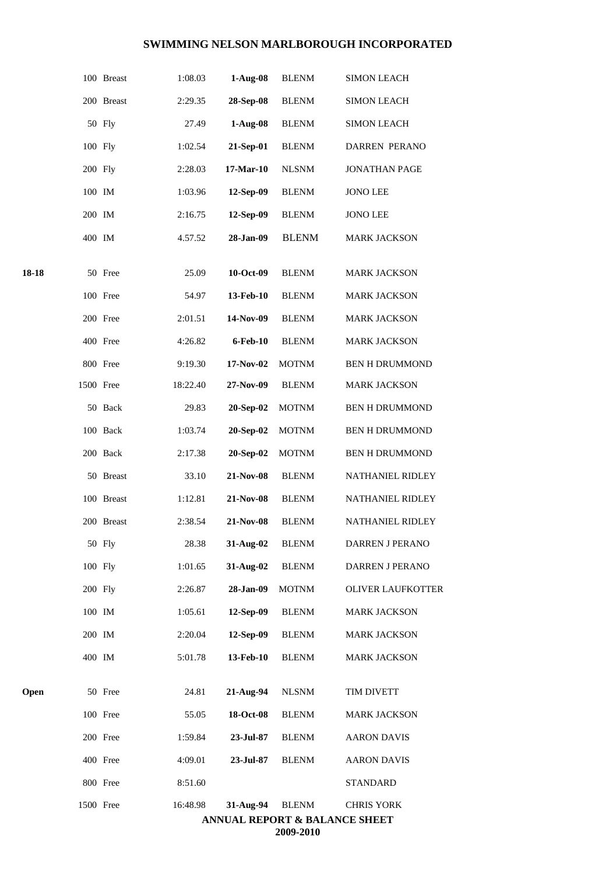|       |           | 100 Breast | 1:08.03  | $1-Aug-08$  | <b>BLENM</b> | <b>SIMON LEACH</b>                                            |
|-------|-----------|------------|----------|-------------|--------------|---------------------------------------------------------------|
|       |           | 200 Breast | 2:29.35  | 28-Sep-08   | <b>BLENM</b> | <b>SIMON LEACH</b>                                            |
|       |           | 50 Fly     | 27.49    | $1-Aug-08$  | <b>BLENM</b> | <b>SIMON LEACH</b>                                            |
|       | 100 Fly   |            | 1:02.54  | 21-Sep-01   | <b>BLENM</b> | DARREN PERANO                                                 |
|       | 200 Fly   |            | 2:28.03  | $17-Mar-10$ | <b>NLSNM</b> | <b>JONATHAN PAGE</b>                                          |
|       | 100 IM    |            | 1:03.96  | 12-Sep-09   | <b>BLENM</b> | <b>JONO LEE</b>                                               |
|       | 200 IM    |            | 2:16.75  | 12-Sep-09   | <b>BLENM</b> | <b>JONO LEE</b>                                               |
|       | 400 IM    |            | 4.57.52  | 28-Jan-09   | <b>BLENM</b> | <b>MARK JACKSON</b>                                           |
| 18-18 |           | 50 Free    | 25.09    | 10-Oct-09   | <b>BLENM</b> | <b>MARK JACKSON</b>                                           |
|       |           | 100 Free   | 54.97    | 13-Feb-10   | <b>BLENM</b> | <b>MARK JACKSON</b>                                           |
|       |           | 200 Free   | 2:01.51  | 14-Nov-09   | <b>BLENM</b> | <b>MARK JACKSON</b>                                           |
|       |           | 400 Free   | 4:26.82  | 6-Feb-10    | <b>BLENM</b> | <b>MARK JACKSON</b>                                           |
|       |           | 800 Free   | 9:19.30  | 17-Nov-02   | <b>MOTNM</b> | <b>BEN H DRUMMOND</b>                                         |
|       | 1500 Free |            | 18:22.40 | 27-Nov-09   | <b>BLENM</b> | <b>MARK JACKSON</b>                                           |
|       |           | 50 Back    | 29.83    | 20-Sep-02   | <b>MOTNM</b> | <b>BEN H DRUMMOND</b>                                         |
|       |           | 100 Back   | 1:03.74  | 20-Sep-02   | <b>MOTNM</b> | <b>BEN H DRUMMOND</b>                                         |
|       |           | 200 Back   | 2:17.38  | 20-Sep-02   | <b>MOTNM</b> | BEN H DRUMMOND                                                |
|       |           | 50 Breast  | 33.10    | 21-Nov-08   | <b>BLENM</b> | NATHANIEL RIDLEY                                              |
|       |           | 100 Breast | 1:12.81  | 21-Nov-08   | <b>BLENM</b> | NATHANIEL RIDLEY                                              |
|       |           | 200 Breast | 2:38.54  | 21-Nov-08   | <b>BLENM</b> | <b>NATHANIEL RIDLEY</b>                                       |
|       |           | 50 Fly     | 28.38    | 31-Aug-02   | <b>BLENM</b> | DARREN J PERANO                                               |
|       | 100 Fly   |            | 1:01.65  | 31-Aug-02   | <b>BLENM</b> | DARREN J PERANO                                               |
|       | 200 Fly   |            | 2:26.87  | 28-Jan-09   | <b>MOTNM</b> | OLIVER LAUFKOTTER                                             |
|       | 100 IM    |            | 1:05.61  | 12-Sep-09   | <b>BLENM</b> | <b>MARK JACKSON</b>                                           |
|       | 200 IM    |            | 2:20.04  | 12-Sep-09   | <b>BLENM</b> | <b>MARK JACKSON</b>                                           |
|       | 400 IM    |            | 5:01.78  | 13-Feb-10   | <b>BLENM</b> | <b>MARK JACKSON</b>                                           |
| Open  |           | 50 Free    | 24.81    | 21-Aug-94   | <b>NLSNM</b> | TIM DIVETT                                                    |
|       |           | 100 Free   | 55.05    | 18-Oct-08   | <b>BLENM</b> | <b>MARK JACKSON</b>                                           |
|       |           | 200 Free   | 1:59.84  | 23-Jul-87   | <b>BLENM</b> | <b>AARON DAVIS</b>                                            |
|       |           | 400 Free   | 4:09.01  | 23-Jul-87   | <b>BLENM</b> | <b>AARON DAVIS</b>                                            |
|       |           | 800 Free   | 8:51.60  |             |              | <b>STANDARD</b>                                               |
|       | 1500 Free |            | 16:48.98 | 31-Aug-94   | <b>BLENM</b> | <b>CHRIS YORK</b><br><b>ANNUAL REPORT &amp; BALANCE SHEET</b> |

**2009-2010**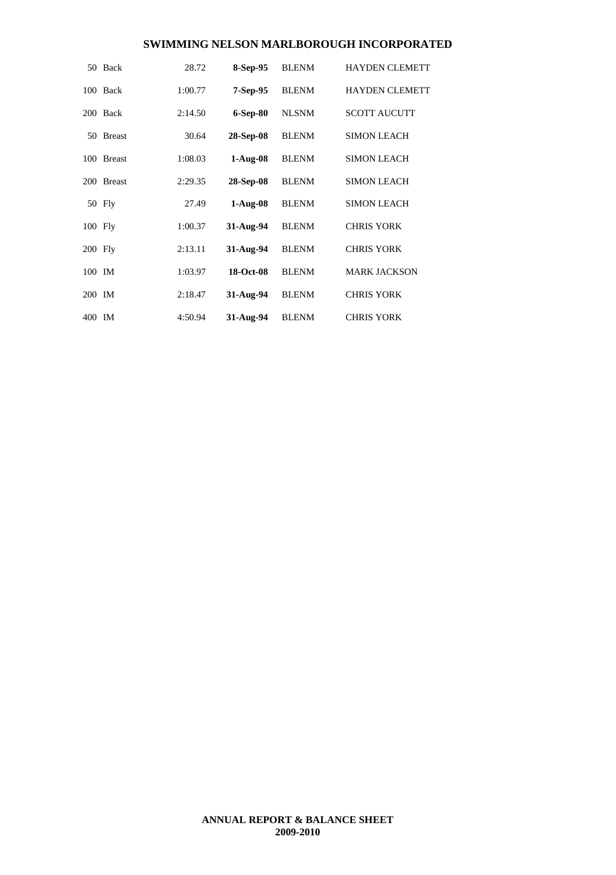|         | 50 Back       | 28.72   | 8-Sep-95   | <b>BLENM</b> | <b>HAYDEN CLEMETT</b> |
|---------|---------------|---------|------------|--------------|-----------------------|
|         | 100 Back      | 1:00.77 | $7-Sep-95$ | <b>BLENM</b> | <b>HAYDEN CLEMETT</b> |
|         | 200 Back      | 2:14.50 | $6-Sep-80$ | <b>NLSNM</b> | <b>SCOTT AUCUTT</b>   |
| 50      | <b>Breast</b> | 30.64   | 28-Sep-08  | <b>BLENM</b> | <b>SIMON LEACH</b>    |
|         | 100 Breast    | 1:08.03 | $1-Aug-08$ | <b>BLENM</b> | <b>SIMON LEACH</b>    |
|         | 200 Breast    | 2:29.35 | 28-Sep-08  | <b>BLENM</b> | <b>SIMON LEACH</b>    |
|         | 50 Fly        | 27.49   | $1-Aug-08$ | <b>BLENM</b> | <b>SIMON LEACH</b>    |
| 100 Fly |               | 1:00.37 | 31-Aug-94  | <b>BLENM</b> | <b>CHRIS YORK</b>     |
| 200 Fly |               | 2:13.11 | 31-Aug-94  | <b>BLENM</b> | <b>CHRIS YORK</b>     |
| 100 IM  |               | 1:03.97 | 18-Oct-08  | <b>BLENM</b> | <b>MARK JACKSON</b>   |
| 200 IM  |               | 2:18.47 | 31-Aug-94  | <b>BLENM</b> | <b>CHRIS YORK</b>     |
| 400 IM  |               | 4:50.94 | 31-Aug-94  | <b>BLENM</b> | <b>CHRIS YORK</b>     |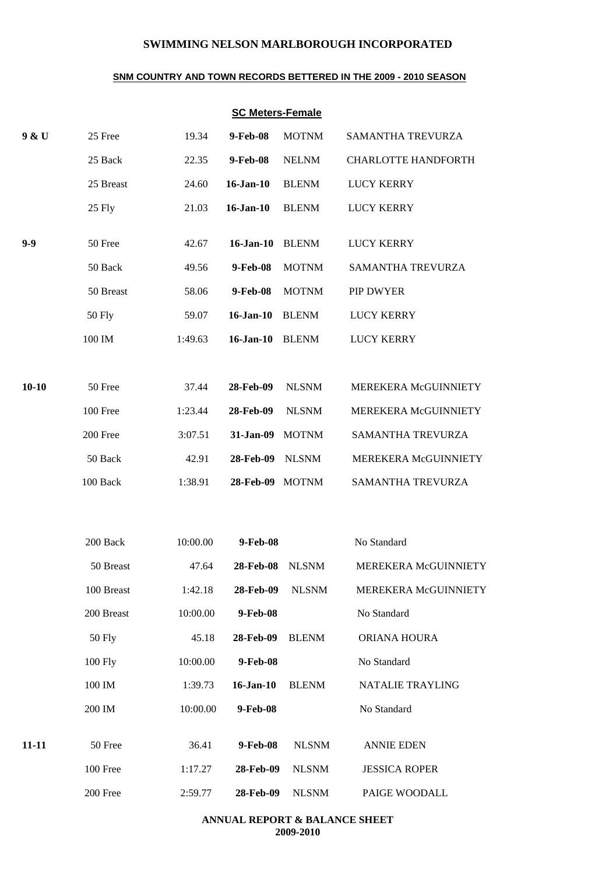#### **SNM COUNTRY AND TOWN RECORDS BETTERED IN THE 2009 - 2010 SEASON**

## **SC Meters-Female**

| 9 & U     | 25 Free       | 19.34    | 9-Feb-08         | <b>MOTNM</b>    | SAMANTHA TREVURZA          |
|-----------|---------------|----------|------------------|-----------------|----------------------------|
|           | 25 Back       | 22.35    | 9-Feb-08         | <b>NELNM</b>    | <b>CHARLOTTE HANDFORTH</b> |
|           | 25 Breast     | 24.60    | $16$ -Jan- $10$  | <b>BLENM</b>    | <b>LUCY KERRY</b>          |
|           | 25 Fly        | 21.03    | $16$ -Jan- $10$  | <b>BLENM</b>    | <b>LUCY KERRY</b>          |
| $9 - 9$   | 50 Free       | 42.67    | $16$ -Jan- $10$  | <b>BLENM</b>    | <b>LUCY KERRY</b>          |
|           | 50 Back       | 49.56    | 9-Feb-08         | <b>MOTNM</b>    | SAMANTHA TREVURZA          |
|           | 50 Breast     | 58.06    | 9-Feb-08         | <b>MOTNM</b>    | PIP DWYER                  |
|           | <b>50 Fly</b> | 59.07    | $16$ -Jan- $10$  | <b>BLENM</b>    | <b>LUCY KERRY</b>          |
|           | 100 IM        | 1:49.63  | $16$ -Jan- $10$  | <b>BLENM</b>    | <b>LUCY KERRY</b>          |
| $10 - 10$ | 50 Free       | 37.44    | 28-Feb-09        | <b>NLSNM</b>    | MEREKERA McGUINNIETY       |
|           | 100 Free      | 1:23.44  | 28-Feb-09        | <b>NLSNM</b>    | MEREKERA McGUINNIETY       |
|           | 200 Free      | 3:07.51  | 31-Jan-09        | <b>MOTNM</b>    | SAMANTHA TREVURZA          |
|           | 50 Back       | 42.91    | 28-Feb-09        | <b>NLSNM</b>    | MEREKERA McGUINNIETY       |
|           | 100 Back      | 1:38.91  | 28-Feb-09 MOTNM  |                 | SAMANTHA TREVURZA          |
|           | 200 Back      | 10:00.00 | 9-Feb-08         |                 | No Standard                |
|           | 50 Breast     | 47.64    | <b>28-Feb-08</b> | <b>NLSNM</b>    | MEREKERA McGUINNIETY       |
|           | 100 Breast    | 1:42.18  |                  | 28-Feb-09 NLSNM | MEREKERA McGUINNIETY       |
|           | 200 Breast    | 10:00.00 | 9-Feb-08         |                 | No Standard                |
|           | <b>50 Fly</b> | 45.18    | 28-Feb-09        | <b>BLENM</b>    | ORIANA HOURA               |
|           | 100 Fly       | 10:00.00 | 9-Feb-08         |                 | No Standard                |
|           | 100 IM        | 1:39.73  | $16$ -Jan- $10$  | <b>BLENM</b>    | NATALIE TRAYLING           |
|           | 200 IM        | 10:00.00 | 9-Feb-08         |                 | No Standard                |
|           |               |          |                  |                 |                            |
| $11 - 11$ | 50 Free       | 36.41    | 9-Feb-08         | <b>NLSNM</b>    | <b>ANNIE EDEN</b>          |
|           | 100 Free      | 1:17.27  | 28-Feb-09        | <b>NLSNM</b>    | <b>JESSICA ROPER</b>       |
|           | 200 Free      | 2:59.77  | 28-Feb-09        | <b>NLSNM</b>    | PAIGE WOODALL              |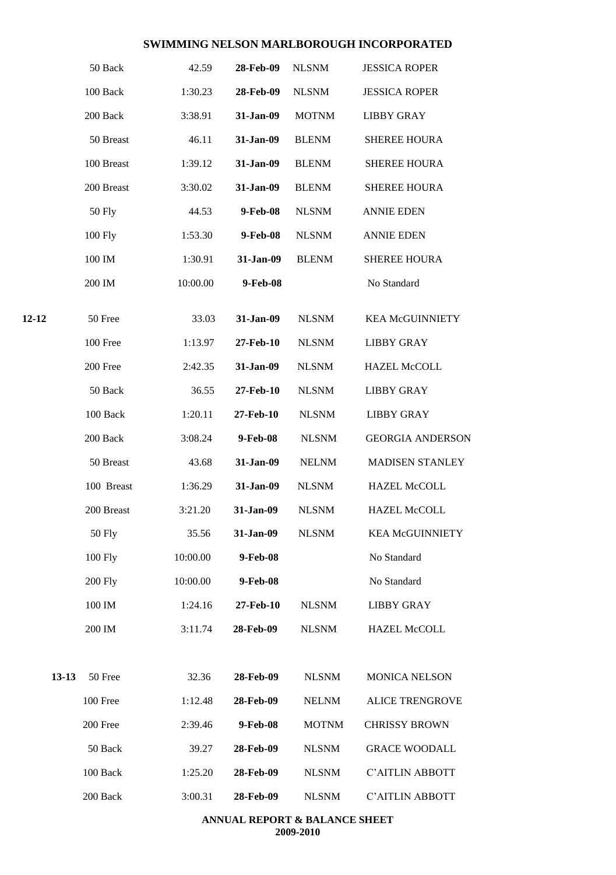|           | 50 Back        | 42.59    | 28-Feb-09 | <b>NLSNM</b> | <b>JESSICA ROPER</b>    |
|-----------|----------------|----------|-----------|--------------|-------------------------|
|           | 100 Back       | 1:30.23  | 28-Feb-09 | <b>NLSNM</b> | <b>JESSICA ROPER</b>    |
|           | 200 Back       | 3:38.91  | 31-Jan-09 | <b>MOTNM</b> | <b>LIBBY GRAY</b>       |
|           | 50 Breast      | 46.11    | 31-Jan-09 | <b>BLENM</b> | <b>SHEREE HOURA</b>     |
|           | 100 Breast     | 1:39.12  | 31-Jan-09 | <b>BLENM</b> | <b>SHEREE HOURA</b>     |
|           | 200 Breast     | 3:30.02  | 31-Jan-09 | <b>BLENM</b> | <b>SHEREE HOURA</b>     |
|           | <b>50 Fly</b>  | 44.53    | 9-Feb-08  | <b>NLSNM</b> | <b>ANNIE EDEN</b>       |
|           | 100 Fly        | 1:53.30  | 9-Feb-08  | <b>NLSNM</b> | <b>ANNIE EDEN</b>       |
|           | 100 IM         | 1:30.91  | 31-Jan-09 | <b>BLENM</b> | <b>SHEREE HOURA</b>     |
|           | 200 IM         | 10:00.00 | 9-Feb-08  |              | No Standard             |
| 12-12     | 50 Free        | 33.03    | 31-Jan-09 | <b>NLSNM</b> | <b>KEA McGUINNIETY</b>  |
|           | 100 Free       | 1:13.97  | 27-Feb-10 | <b>NLSNM</b> | <b>LIBBY GRAY</b>       |
|           | 200 Free       | 2:42.35  | 31-Jan-09 | <b>NLSNM</b> | <b>HAZEL McCOLL</b>     |
|           | 50 Back        | 36.55    | 27-Feb-10 | <b>NLSNM</b> | <b>LIBBY GRAY</b>       |
|           | 100 Back       | 1:20.11  | 27-Feb-10 | <b>NLSNM</b> | <b>LIBBY GRAY</b>       |
|           | 200 Back       | 3:08.24  | 9-Feb-08  | <b>NLSNM</b> | <b>GEORGIA ANDERSON</b> |
|           | 50 Breast      | 43.68    | 31-Jan-09 | <b>NELNM</b> | <b>MADISEN STANLEY</b>  |
|           | 100 Breast     | 1:36.29  | 31-Jan-09 | <b>NLSNM</b> | <b>HAZEL McCOLL</b>     |
|           | 200 Breast     | 3:21.20  | 31-Jan-09 | <b>NLSNM</b> | <b>HAZEL McCOLL</b>     |
|           | <b>50 Fly</b>  | 35.56    | 31-Jan-09 | <b>NLSNM</b> | <b>KEA McGUINNIETY</b>  |
|           | 100 Fly        | 10:00.00 | 9-Feb-08  |              | No Standard             |
|           | <b>200 Fly</b> | 10:00.00 | 9-Feb-08  |              | No Standard             |
|           | 100 IM         | 1:24.16  | 27-Feb-10 | <b>NLSNM</b> | <b>LIBBY GRAY</b>       |
|           | 200 IM         | 3:11.74  | 28-Feb-09 | <b>NLSNM</b> | <b>HAZEL McCOLL</b>     |
| $13 - 13$ | 50 Free        | 32.36    | 28-Feb-09 | <b>NLSNM</b> | <b>MONICA NELSON</b>    |
|           | 100 Free       | 1:12.48  | 28-Feb-09 | <b>NELNM</b> | <b>ALICE TRENGROVE</b>  |
|           | 200 Free       | 2:39.46  | 9-Feb-08  | <b>MOTNM</b> | <b>CHRISSY BROWN</b>    |
|           | 50 Back        | 39.27    | 28-Feb-09 | <b>NLSNM</b> | <b>GRACE WOODALL</b>    |
|           | 100 Back       | 1:25.20  | 28-Feb-09 | <b>NLSNM</b> | <b>C'AITLIN ABBOTT</b>  |
|           | 200 Back       | 3:00.31  | 28-Feb-09 | <b>NLSNM</b> | C'AITLIN ABBOTT         |
|           |                |          |           |              |                         |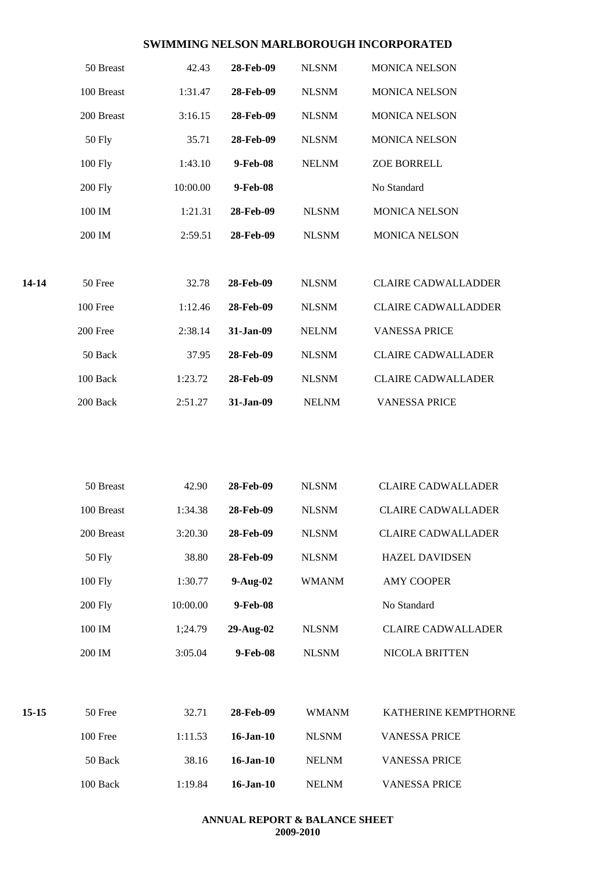|         | 50 Breast      | 42.43    | 28-Feb-09       | <b>NLSNM</b> | <b>MONICA NELSON</b>       |
|---------|----------------|----------|-----------------|--------------|----------------------------|
|         | 100 Breast     | 1:31.47  | 28-Feb-09       | <b>NLSNM</b> | <b>MONICA NELSON</b>       |
|         | 200 Breast     | 3:16.15  | 28-Feb-09       | <b>NLSNM</b> | <b>MONICA NELSON</b>       |
|         | <b>50 Fly</b>  | 35.71    | 28-Feb-09       | <b>NLSNM</b> | <b>MONICA NELSON</b>       |
|         | 100 Fly        | 1:43.10  | 9-Feb-08        | <b>NELNM</b> | ZOE BORRELL                |
|         | <b>200 Fly</b> | 10:00.00 | 9-Feb-08        |              | No Standard                |
|         | 100 IM         | 1:21.31  | 28-Feb-09       | <b>NLSNM</b> | <b>MONICA NELSON</b>       |
|         | 200 IM         | 2:59.51  | 28-Feb-09       | <b>NLSNM</b> | <b>MONICA NELSON</b>       |
| 14-14   | 50 Free        | 32.78    | 28-Feb-09       | <b>NLSNM</b> | <b>CLAIRE CADWALLADDER</b> |
|         | 100 Free       | 1:12.46  | 28-Feb-09       | <b>NLSNM</b> | <b>CLAIRE CADWALLADDER</b> |
|         | 200 Free       | 2:38.14  | 31-Jan-09       | <b>NELNM</b> | <b>VANESSA PRICE</b>       |
|         | 50 Back        | 37.95    | 28-Feb-09       | <b>NLSNM</b> | <b>CLAIRE CADWALLADER</b>  |
|         | 100 Back       | 1:23.72  | 28-Feb-09       | <b>NLSNM</b> | <b>CLAIRE CADWALLADER</b>  |
|         | 200 Back       | 2:51.27  | 31-Jan-09       | <b>NELNM</b> | <b>VANESSA PRICE</b>       |
|         |                |          |                 |              |                            |
|         | 50 Breast      | 42.90    | 28-Feb-09       | <b>NLSNM</b> | <b>CLAIRE CADWALLADER</b>  |
|         | 100 Breast     | 1:34.38  | 28-Feb-09       | <b>NLSNM</b> | <b>CLAIRE CADWALLADER</b>  |
|         | 200 Breast     | 3:20.30  | 28-Feb-09       | <b>NLSNM</b> | <b>CLAIRE CADWALLADER</b>  |
|         | <b>50 Fly</b>  | 38.80    | 28-Feb-09       | <b>NLSNM</b> | <b>HAZEL DAVIDSEN</b>      |
|         | 100 Fly        | 1:30.77  | $9-Aug-02$      | <b>WMANM</b> | <b>AMY COOPER</b>          |
|         | <b>200 Fly</b> | 10:00.00 | 9-Feb-08        |              | No Standard                |
|         | 100 IM         | 1;24.79  | 29-Aug-02       | <b>NLSNM</b> | <b>CLAIRE CADWALLADER</b>  |
|         | 200 IM         | 3:05.04  | 9-Feb-08        | <b>NLSNM</b> | NICOLA BRITTEN             |
| $15-15$ | 50 Free        | 32.71    | 28-Feb-09       | <b>WMANM</b> | KATHERINE KEMPTHORNE       |
|         | 100 Free       | 1:11.53  | $16$ -Jan- $10$ | <b>NLSNM</b> | <b>VANESSA PRICE</b>       |
|         | 50 Back        | 38.16    | 16-Jan-10       | <b>NELNM</b> | <b>VANESSA PRICE</b>       |
|         | 100 Back       | 1:19.84  | $16$ -Jan- $10$ | <b>NELNM</b> | <b>VANESSA PRICE</b>       |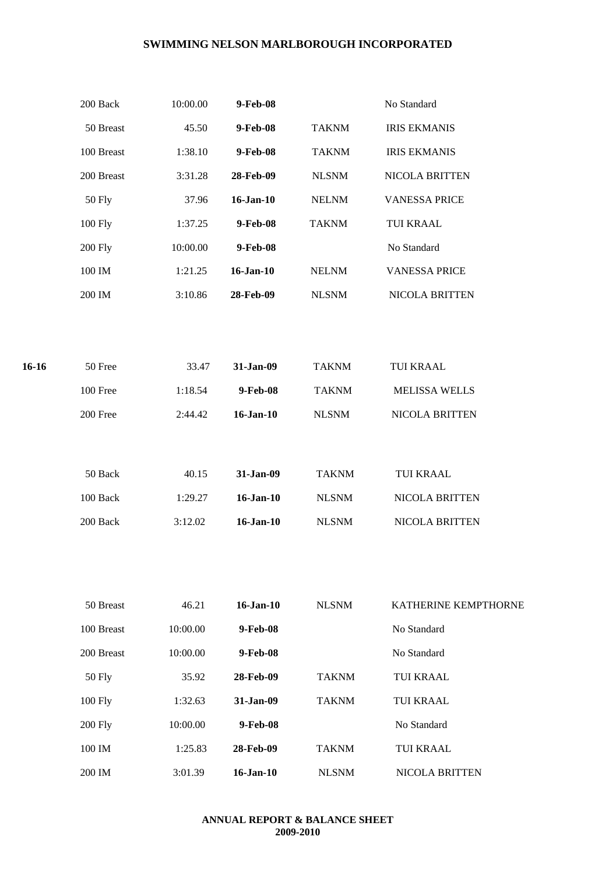|       | 200 Back           | 10:00.00 | 9-Feb-08        |              | No Standard          |
|-------|--------------------|----------|-----------------|--------------|----------------------|
|       | 50 Breast          | 45.50    | 9-Feb-08        | <b>TAKNM</b> | <b>IRIS EKMANIS</b>  |
|       | 100 Breast         | 1:38.10  | 9-Feb-08        | <b>TAKNM</b> | <b>IRIS EKMANIS</b>  |
|       | 200 Breast         | 3:31.28  | 28-Feb-09       | <b>NLSNM</b> | NICOLA BRITTEN       |
|       | <b>50 Fly</b>      | 37.96    | $16$ -Jan- $10$ | <b>NELNM</b> | <b>VANESSA PRICE</b> |
|       | 100 Fly            | 1:37.25  | 9-Feb-08        | <b>TAKNM</b> | TUI KRAAL            |
|       | <b>200 Fly</b>     | 10:00.00 | 9-Feb-08        |              | No Standard          |
|       | $100\ \mathrm{IM}$ | 1:21.25  | 16-Jan-10       | <b>NELNM</b> | <b>VANESSA PRICE</b> |
|       | 200 IM             | 3:10.86  | 28-Feb-09       | <b>NLSNM</b> | NICOLA BRITTEN       |
|       |                    |          |                 |              |                      |
|       |                    |          |                 |              |                      |
| 16-16 | 50 Free            | 33.47    | 31-Jan-09       | <b>TAKNM</b> | TUI KRAAL            |
|       | 100 Free           | 1:18.54  | 9-Feb-08        | <b>TAKNM</b> | MELISSA WELLS        |
|       | 200 Free           | 2:44.42  | $16$ -Jan- $10$ | <b>NLSNM</b> | NICOLA BRITTEN       |
|       |                    |          |                 |              |                      |
|       | 50 Back            | 40.15    | 31-Jan-09       | <b>TAKNM</b> | TUI KRAAL            |
|       |                    |          |                 |              |                      |
|       | 100 Back           | 1:29.27  | $16$ -Jan- $10$ | <b>NLSNM</b> | NICOLA BRITTEN       |
|       | 200 Back           | 3:12.02  | $16$ -Jan- $10$ | <b>NLSNM</b> | NICOLA BRITTEN       |
|       |                    |          |                 |              |                      |
|       |                    |          |                 |              |                      |
|       | 50 Breast          | 46.21    | $16$ -Jan- $10$ | <b>NLSNM</b> | KATHERINE KEMPTHORNE |
|       | 100 Breast         | 10:00.00 | 9-Feb-08        |              | No Standard          |
|       | 200 Breast         | 10:00.00 | 9-Feb-08        |              | No Standard          |
|       | <b>50 Fly</b>      | 35.92    | 28-Feb-09       | <b>TAKNM</b> | <b>TUI KRAAL</b>     |
|       | 100 Fly            | 1:32.63  | 31-Jan-09       | <b>TAKNM</b> | <b>TUI KRAAL</b>     |
|       | <b>200 Fly</b>     | 10:00.00 | 9-Feb-08        |              | No Standard          |
|       | $100\ \mathrm{IM}$ | 1:25.83  | 28-Feb-09       | <b>TAKNM</b> | TUI KRAAL            |
|       | $200\ \mathrm{IM}$ | 3:01.39  | $16$ -Jan- $10$ | <b>NLSNM</b> | NICOLA BRITTEN       |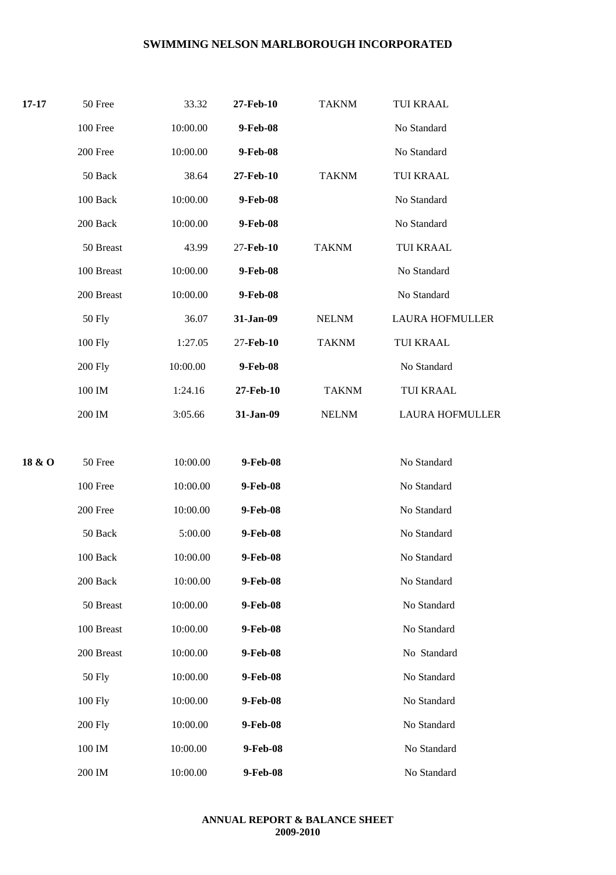| $17 - 17$ | 50 Free           | 33.32    | 27-Feb-10 | <b>TAKNM</b> | <b>TUI KRAAL</b>       |
|-----------|-------------------|----------|-----------|--------------|------------------------|
|           | 100 Free          | 10:00.00 | 9-Feb-08  |              | No Standard            |
|           | 200 Free          | 10:00.00 | 9-Feb-08  |              | No Standard            |
|           | 50 Back           | 38.64    | 27-Feb-10 | <b>TAKNM</b> | <b>TUI KRAAL</b>       |
|           | 100 Back          | 10:00.00 | 9-Feb-08  |              | No Standard            |
|           | 200 Back          | 10:00.00 | 9-Feb-08  |              | No Standard            |
|           | 50 Breast         | 43.99    | 27-Feb-10 | <b>TAKNM</b> | <b>TUI KRAAL</b>       |
|           | 100 Breast        | 10:00.00 | 9-Feb-08  |              | No Standard            |
|           | 200 Breast        | 10:00.00 | 9-Feb-08  |              | No Standard            |
|           | <b>50 Fly</b>     | 36.07    | 31-Jan-09 | <b>NELNM</b> | <b>LAURA HOFMULLER</b> |
|           | 100 Fly           | 1:27.05  | 27-Feb-10 | <b>TAKNM</b> | TUI KRAAL              |
|           | 200 Fly           | 10:00.00 | 9-Feb-08  |              | No Standard            |
|           | 100 IM            | 1:24.16  | 27-Feb-10 | <b>TAKNM</b> | <b>TUI KRAAL</b>       |
|           | 200 IM            | 3:05.66  | 31-Jan-09 | <b>NELNM</b> | <b>LAURA HOFMULLER</b> |
| 18 & O    | 50 Free           | 10:00.00 | 9-Feb-08  |              | No Standard            |
|           | 100 Free          | 10:00.00 | 9-Feb-08  |              | No Standard            |
|           | 200 Free          | 10:00.00 | 9-Feb-08  |              | No Standard            |
|           | 50 Back           | 5:00.00  | 9-Feb-08  |              | No Standard            |
|           | $100\text{ Back}$ | 10:00.00 | 9-Feb-08  |              | No Standard            |
|           | 200 Back          | 10:00.00 | 9-Feb-08  |              | No Standard            |
|           | 50 Breast         | 10:00.00 | 9-Feb-08  |              | No Standard            |
|           | 100 Breast        | 10:00.00 | 9-Feb-08  |              | No Standard            |
|           | 200 Breast        | 10:00.00 | 9-Feb-08  |              | No Standard            |
|           | 50 Fly            | 10:00.00 | 9-Feb-08  |              | No Standard            |
|           | 100 Fly           | 10:00.00 | 9-Feb-08  |              | No Standard            |
|           | <b>200 Fly</b>    | 10:00.00 | 9-Feb-08  |              | No Standard            |
|           | 100 IM            | 10:00.00 | 9-Feb-08  |              | No Standard            |
|           | 200 IM            | 10:00.00 | 9-Feb-08  |              | No Standard            |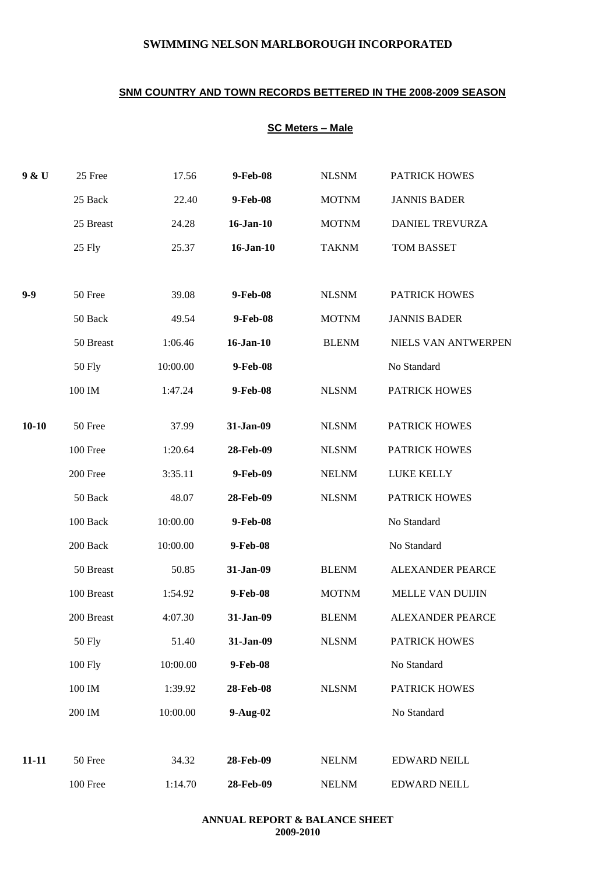## **SNM COUNTRY AND TOWN RECORDS BETTERED IN THE 2008-2009 SEASON**

## **SC Meters – Male**

| 9 & U     | 25 Free       | 17.56    | 9-Feb-08        | <b>NLSNM</b> | <b>PATRICK HOWES</b>    |
|-----------|---------------|----------|-----------------|--------------|-------------------------|
|           | 25 Back       | 22.40    | 9-Feb-08        | <b>MOTNM</b> | <b>JANNIS BADER</b>     |
|           | 25 Breast     | 24.28    | $16$ -Jan- $10$ | <b>MOTNM</b> | DANIEL TREVURZA         |
|           | 25 Fly        | 25.37    | $16$ -Jan- $10$ | <b>TAKNM</b> | TOM BASSET              |
|           |               |          |                 |              |                         |
| $9 - 9$   | 50 Free       | 39.08    | 9-Feb-08        | <b>NLSNM</b> | PATRICK HOWES           |
|           | 50 Back       | 49.54    | 9-Feb-08        | <b>MOTNM</b> | <b>JANNIS BADER</b>     |
|           | 50 Breast     | 1:06.46  | $16$ -Jan- $10$ | <b>BLENM</b> | NIELS VAN ANTWERPEN     |
|           | <b>50 Fly</b> | 10:00.00 | 9-Feb-08        |              | No Standard             |
|           | 100 IM        | 1:47.24  | 9-Feb-08        | <b>NLSNM</b> | <b>PATRICK HOWES</b>    |
| $10 - 10$ | 50 Free       | 37.99    | 31-Jan-09       | <b>NLSNM</b> | <b>PATRICK HOWES</b>    |
|           | 100 Free      | 1:20.64  | 28-Feb-09       | <b>NLSNM</b> | PATRICK HOWES           |
|           | 200 Free      | 3:35.11  | 9-Feb-09        | <b>NELNM</b> | LUKE KELLY              |
|           | 50 Back       | 48.07    | 28-Feb-09       | <b>NLSNM</b> | PATRICK HOWES           |
|           | 100 Back      | 10:00.00 | 9-Feb-08        |              | No Standard             |
|           | 200 Back      | 10:00.00 | 9-Feb-08        |              | No Standard             |
|           | 50 Breast     | 50.85    | 31-Jan-09       | <b>BLENM</b> | <b>ALEXANDER PEARCE</b> |
|           | 100 Breast    | 1:54.92  | 9-Feb-08        | <b>MOTNM</b> | MELLE VAN DUIJIN        |
|           | 200 Breast    | 4:07.30  | 31-Jan-09       | <b>BLENM</b> | <b>ALEXANDER PEARCE</b> |
|           | <b>50 Fly</b> | 51.40    | 31-Jan-09       | <b>NLSNM</b> | PATRICK HOWES           |
|           | 100 Fly       | 10:00.00 | 9-Feb-08        |              | No Standard             |
|           | 100 IM        | 1:39.92  | 28-Feb-08       | <b>NLSNM</b> | PATRICK HOWES           |
|           | 200 IM        | 10:00.00 | $9-Aug-02$      |              | No Standard             |
|           |               |          |                 |              |                         |
| $11 - 11$ | 50 Free       | 34.32    | 28-Feb-09       | <b>NELNM</b> | <b>EDWARD NEILL</b>     |
|           | 100 Free      | 1:14.70  | 28-Feb-09       | <b>NELNM</b> | <b>EDWARD NEILL</b>     |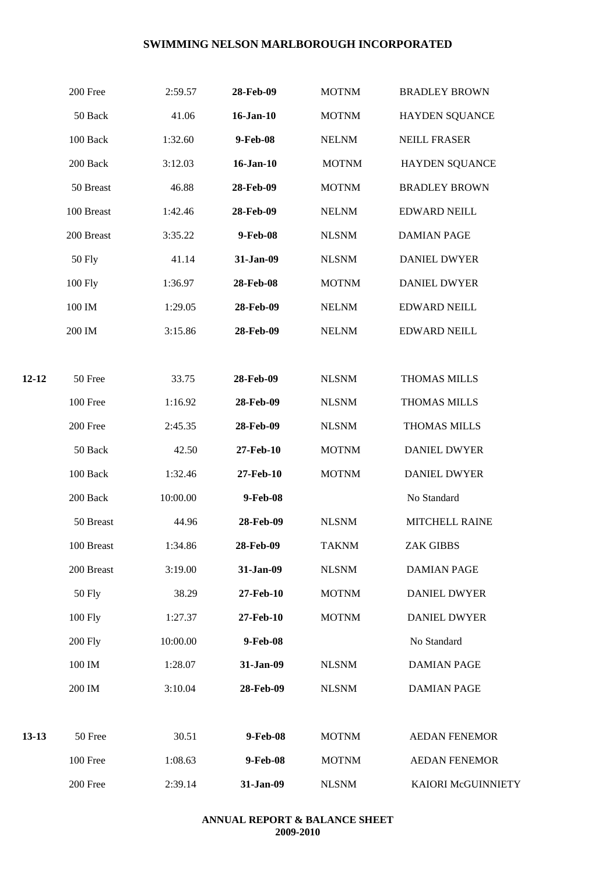|         | 200 Free       | 2:59.57  | 28-Feb-09       | <b>MOTNM</b> | <b>BRADLEY BROWN</b>  |
|---------|----------------|----------|-----------------|--------------|-----------------------|
|         | 50 Back        | 41.06    | $16$ -Jan- $10$ | <b>MOTNM</b> | <b>HAYDEN SQUANCE</b> |
|         | 100 Back       | 1:32.60  | 9-Feb-08        | <b>NELNM</b> | <b>NEILL FRASER</b>   |
|         | 200 Back       | 3:12.03  | 16-Jan-10       | <b>MOTNM</b> | <b>HAYDEN SQUANCE</b> |
|         | 50 Breast      | 46.88    | 28-Feb-09       | <b>MOTNM</b> | <b>BRADLEY BROWN</b>  |
|         | 100 Breast     | 1:42.46  | 28-Feb-09       | <b>NELNM</b> | <b>EDWARD NEILL</b>   |
|         | 200 Breast     | 3:35.22  | 9-Feb-08        | <b>NLSNM</b> | <b>DAMIAN PAGE</b>    |
|         | <b>50 Fly</b>  | 41.14    | 31-Jan-09       | <b>NLSNM</b> | <b>DANIEL DWYER</b>   |
|         | 100 Fly        | 1:36.97  | 28-Feb-08       | <b>MOTNM</b> | <b>DANIEL DWYER</b>   |
|         | 100 IM         | 1:29.05  | 28-Feb-09       | <b>NELNM</b> | <b>EDWARD NEILL</b>   |
|         | 200 IM         | 3:15.86  | 28-Feb-09       | <b>NELNM</b> | <b>EDWARD NEILL</b>   |
|         |                |          |                 |              |                       |
| 12-12   | 50 Free        | 33.75    | 28-Feb-09       | <b>NLSNM</b> | <b>THOMAS MILLS</b>   |
|         | 100 Free       | 1:16.92  | 28-Feb-09       | <b>NLSNM</b> | THOMAS MILLS          |
|         | 200 Free       | 2:45.35  | 28-Feb-09       | <b>NLSNM</b> | <b>THOMAS MILLS</b>   |
|         | 50 Back        | 42.50    | 27-Feb-10       | <b>MOTNM</b> | <b>DANIEL DWYER</b>   |
|         | 100 Back       | 1:32.46  | 27-Feb-10       | <b>MOTNM</b> | <b>DANIEL DWYER</b>   |
|         | 200 Back       | 10:00.00 | 9-Feb-08        |              | No Standard           |
|         | 50 Breast      | 44.96    | 28-Feb-09       | <b>NLSNM</b> | MITCHELL RAINE        |
|         | 100 Breast     | 1:34.86  | 28-Feb-09       | <b>TAKNM</b> | <b>ZAK GIBBS</b>      |
|         | 200 Breast     | 3:19.00  | 31-Jan-09       | <b>NLSNM</b> | <b>DAMIAN PAGE</b>    |
|         | <b>50 Fly</b>  | 38.29    | 27-Feb-10       | <b>MOTNM</b> | <b>DANIEL DWYER</b>   |
|         | 100 Fly        | 1:27.37  | 27-Feb-10       | <b>MOTNM</b> | <b>DANIEL DWYER</b>   |
|         | <b>200 Fly</b> | 10:00.00 | 9-Feb-08        |              | No Standard           |
|         | 100 IM         | 1:28.07  | 31-Jan-09       | <b>NLSNM</b> | <b>DAMIAN PAGE</b>    |
|         | 200 IM         | 3:10.04  | 28-Feb-09       | <b>NLSNM</b> | <b>DAMIAN PAGE</b>    |
|         |                |          |                 |              |                       |
| $13-13$ | 50 Free        | 30.51    | 9-Feb-08        | <b>MOTNM</b> | <b>AEDAN FENEMOR</b>  |
|         | 100 Free       | 1:08.63  | 9-Feb-08        | <b>MOTNM</b> | <b>AEDAN FENEMOR</b>  |
|         | 200 Free       | 2:39.14  | 31-Jan-09       | <b>NLSNM</b> | KAIORI McGUINNIETY    |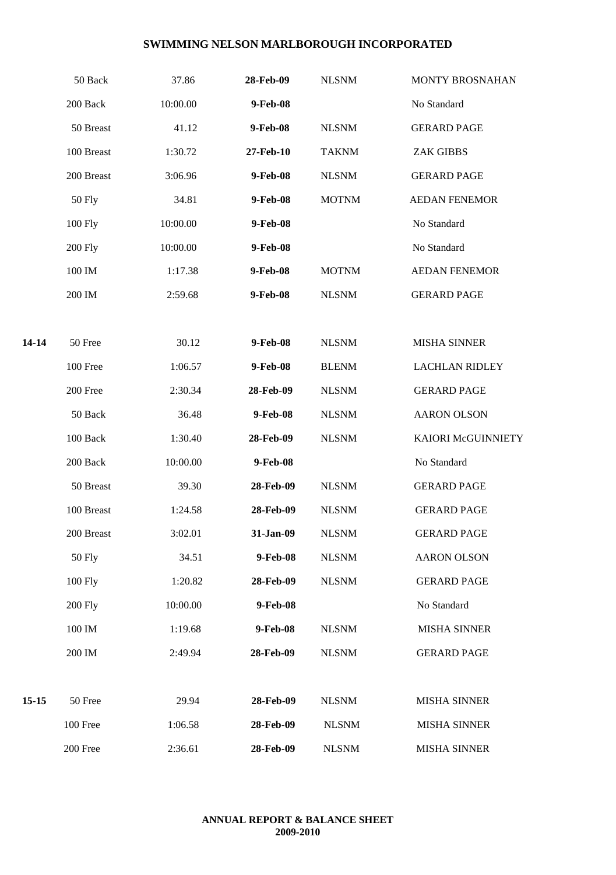|       | 50 Back              | 37.86    | 28-Feb-09 | <b>NLSNM</b> | MONTY BROSNAHAN       |
|-------|----------------------|----------|-----------|--------------|-----------------------|
|       | 200 Back             | 10:00.00 | 9-Feb-08  |              | No Standard           |
|       | 50 Breast            | 41.12    | 9-Feb-08  | <b>NLSNM</b> | <b>GERARD PAGE</b>    |
|       | 100 Breast           | 1:30.72  | 27-Feb-10 | <b>TAKNM</b> | <b>ZAK GIBBS</b>      |
|       | 200 Breast           | 3:06.96  | 9-Feb-08  | <b>NLSNM</b> | <b>GERARD PAGE</b>    |
|       | <b>50 Fly</b>        | 34.81    | 9-Feb-08  | <b>MOTNM</b> | <b>AEDAN FENEMOR</b>  |
|       | 100 Fly              | 10:00.00 | 9-Feb-08  |              | No Standard           |
|       | <b>200 Fly</b>       | 10:00.00 | 9-Feb-08  |              | No Standard           |
|       | 100 IM               | 1:17.38  | 9-Feb-08  | <b>MOTNM</b> | <b>AEDAN FENEMOR</b>  |
|       | 200 IM               | 2:59.68  | 9-Feb-08  | <b>NLSNM</b> | <b>GERARD PAGE</b>    |
|       |                      |          |           |              |                       |
| 14-14 | 50 Free              | 30.12    | 9-Feb-08  | <b>NLSNM</b> | <b>MISHA SINNER</b>   |
|       | $100\,\mathrm{Free}$ | 1:06.57  | 9-Feb-08  | <b>BLENM</b> | <b>LACHLAN RIDLEY</b> |
|       | 200 Free             | 2:30.34  | 28-Feb-09 | <b>NLSNM</b> | <b>GERARD PAGE</b>    |
|       | 50 Back              | 36.48    | 9-Feb-08  | <b>NLSNM</b> | <b>AARON OLSON</b>    |
|       | 100 Back             | 1:30.40  | 28-Feb-09 | <b>NLSNM</b> | KAIORI McGUINNIETY    |
|       | 200 Back             | 10:00.00 | 9-Feb-08  |              | No Standard           |
|       | 50 Breast            | 39.30    | 28-Feb-09 | <b>NLSNM</b> | <b>GERARD PAGE</b>    |
|       | 100 Breast           | 1:24.58  | 28-Feb-09 | <b>NLSNM</b> | <b>GERARD PAGE</b>    |
|       | 200 Breast           | 3:02.01  | 31-Jan-09 | <b>NLSNM</b> | <b>GERARD PAGE</b>    |
|       | <b>50 Fly</b>        | 34.51    | 9-Feb-08  | <b>NLSNM</b> | <b>AARON OLSON</b>    |
|       | 100 Fly              | 1:20.82  | 28-Feb-09 | <b>NLSNM</b> | <b>GERARD PAGE</b>    |
|       | <b>200 Fly</b>       | 10:00.00 | 9-Feb-08  |              | No Standard           |
|       | 100 IM               | 1:19.68  | 9-Feb-08  | <b>NLSNM</b> | <b>MISHA SINNER</b>   |
|       | 200 IM               | 2:49.94  | 28-Feb-09 | <b>NLSNM</b> | <b>GERARD PAGE</b>    |
|       |                      |          |           |              |                       |
| 15-15 | 50 Free              | 29.94    | 28-Feb-09 | <b>NLSNM</b> | <b>MISHA SINNER</b>   |
|       | 100 Free             | 1:06.58  | 28-Feb-09 | <b>NLSNM</b> | <b>MISHA SINNER</b>   |
|       | 200 Free             | 2:36.61  | 28-Feb-09 | <b>NLSNM</b> | <b>MISHA SINNER</b>   |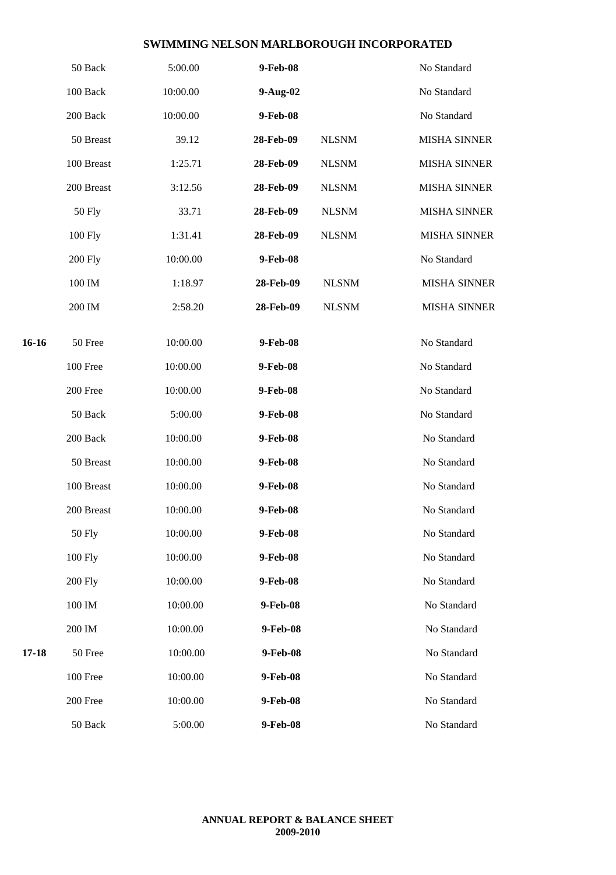|         | 50 Back        | 5:00.00  | 9-Feb-08  |              | No Standard         |
|---------|----------------|----------|-----------|--------------|---------------------|
|         | 100 Back       | 10:00.00 | 9-Aug-02  |              | No Standard         |
|         | 200 Back       | 10:00.00 | 9-Feb-08  |              | No Standard         |
|         | 50 Breast      | 39.12    | 28-Feb-09 | <b>NLSNM</b> | <b>MISHA SINNER</b> |
|         | 100 Breast     | 1:25.71  | 28-Feb-09 | <b>NLSNM</b> | <b>MISHA SINNER</b> |
|         | 200 Breast     | 3:12.56  | 28-Feb-09 | <b>NLSNM</b> | <b>MISHA SINNER</b> |
|         | <b>50 Fly</b>  | 33.71    | 28-Feb-09 | <b>NLSNM</b> | <b>MISHA SINNER</b> |
|         | 100 Fly        | 1:31.41  | 28-Feb-09 | <b>NLSNM</b> | <b>MISHA SINNER</b> |
|         | <b>200 Fly</b> | 10:00.00 | 9-Feb-08  |              | No Standard         |
|         | 100 IM         | 1:18.97  | 28-Feb-09 | <b>NLSNM</b> | <b>MISHA SINNER</b> |
|         | 200 IM         | 2:58.20  | 28-Feb-09 | <b>NLSNM</b> | <b>MISHA SINNER</b> |
| $16-16$ |                |          |           |              |                     |
|         | 50 Free        | 10:00.00 | 9-Feb-08  |              | No Standard         |
|         | 100 Free       | 10:00.00 | 9-Feb-08  |              | No Standard         |
|         | 200 Free       | 10:00.00 | 9-Feb-08  |              | No Standard         |
|         | 50 Back        | 5:00.00  | 9-Feb-08  |              | No Standard         |
|         | 200 Back       | 10:00.00 | 9-Feb-08  |              | No Standard         |
|         | 50 Breast      | 10:00.00 | 9-Feb-08  |              | No Standard         |
|         | 100 Breast     | 10:00.00 | 9-Feb-08  |              | No Standard         |
|         | 200 Breast     | 10:00.00 | 9-Feb-08  |              | No Standard         |
|         | <b>50 Fly</b>  | 10:00.00 | 9-Feb-08  |              | No Standard         |
|         | 100 Fly        | 10:00.00 | 9-Feb-08  |              | No Standard         |
|         | <b>200 Fly</b> | 10:00.00 | 9-Feb-08  |              | No Standard         |
|         | 100 IM         | 10:00.00 | 9-Feb-08  |              | No Standard         |
|         | 200 IM         | 10:00.00 | 9-Feb-08  |              | No Standard         |
| 17-18   | 50 Free        | 10:00.00 | 9-Feb-08  |              | No Standard         |
|         | 100 Free       | 10:00.00 | 9-Feb-08  |              | No Standard         |
|         | 200 Free       | 10:00.00 | 9-Feb-08  |              | No Standard         |
|         | 50 Back        | 5:00.00  | 9-Feb-08  |              | No Standard         |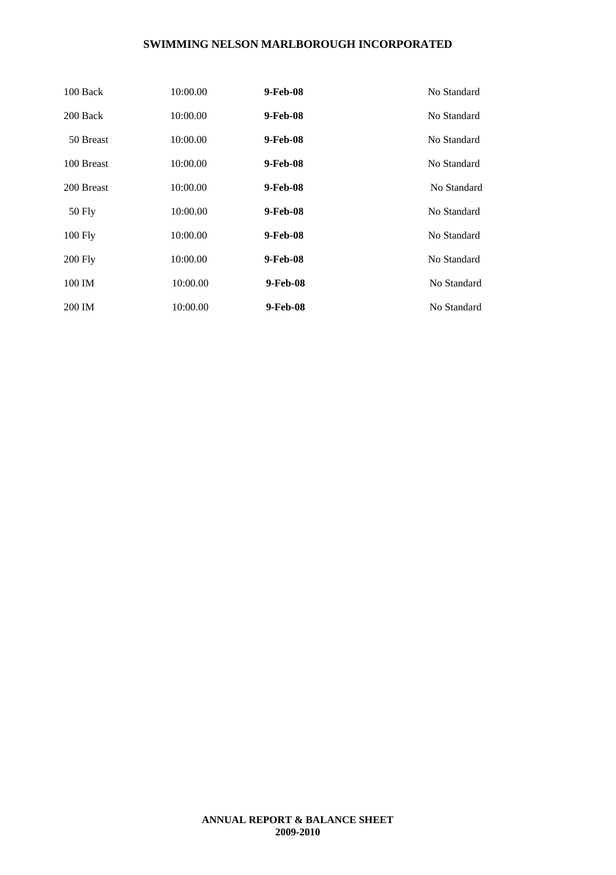| 100 Back       | 10:00.00 | 9-Feb-08 | No Standard |
|----------------|----------|----------|-------------|
| 200 Back       | 10:00.00 | 9-Feb-08 | No Standard |
| 50 Breast      | 10:00.00 | 9-Feb-08 | No Standard |
| 100 Breast     | 10:00.00 | 9-Feb-08 | No Standard |
| 200 Breast     | 10:00.00 | 9-Feb-08 | No Standard |
| 50 Fly         | 10:00.00 | 9-Feb-08 | No Standard |
| $100$ Fly      | 10:00.00 | 9-Feb-08 | No Standard |
| <b>200 Fly</b> | 10:00.00 | 9-Feb-08 | No Standard |
| 100 IM         | 10:00.00 | 9-Feb-08 | No Standard |
| 200 IM         | 10:00.00 | 9-Feb-08 | No Standard |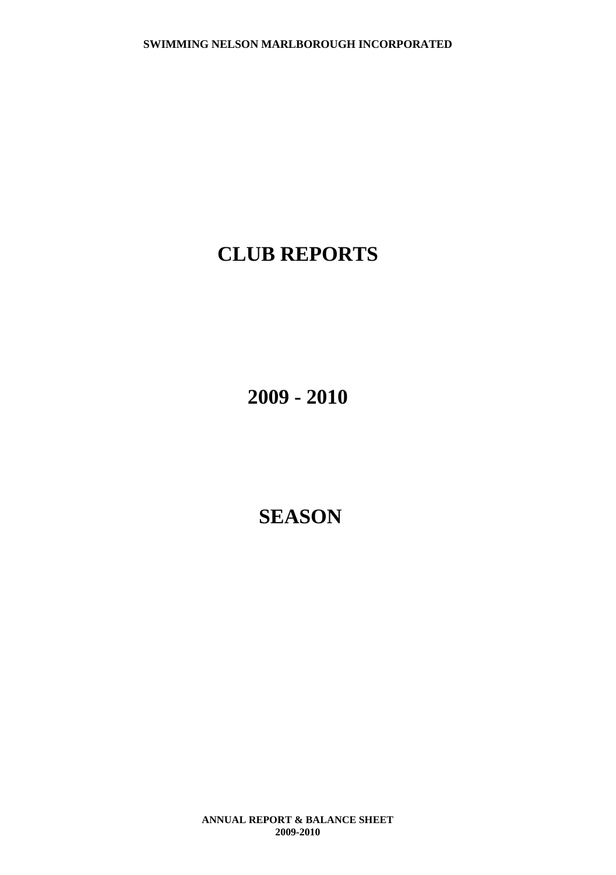## **CLUB REPORTS**

**2009 - 2010**

## **SEASON**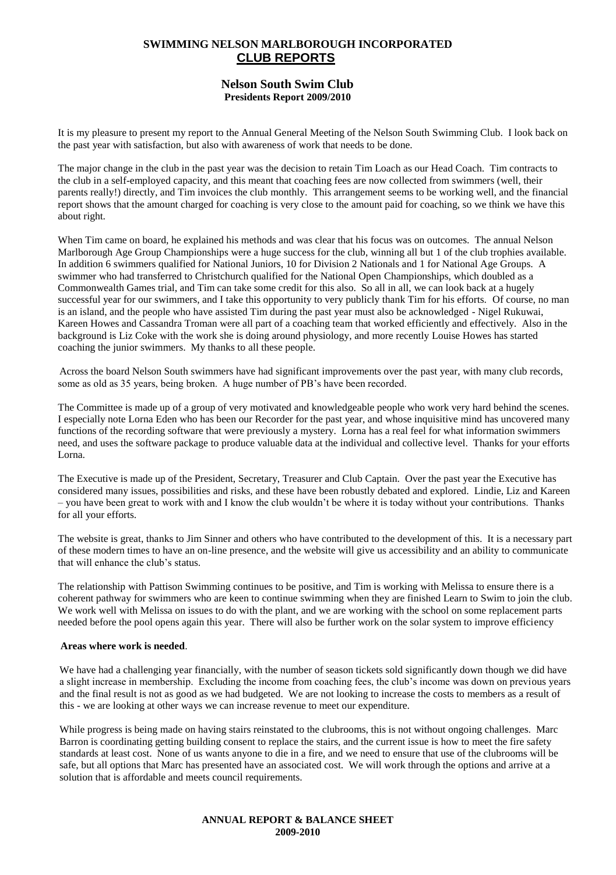## **SWIMMING NELSON MARLBOROUGH INCORPORATED CLUB REPORTS**

#### **Nelson South Swim Club Presidents Report 2009/2010**

It is my pleasure to present my report to the Annual General Meeting of the Nelson South Swimming Club. I look back on the past year with satisfaction, but also with awareness of work that needs to be done.

The major change in the club in the past year was the decision to retain Tim Loach as our Head Coach. Tim contracts to the club in a self-employed capacity, and this meant that coaching fees are now collected from swimmers (well, their parents really!) directly, and Tim invoices the club monthly. This arrangement seems to be working well, and the financial report shows that the amount charged for coaching is very close to the amount paid for coaching, so we think we have this about right.

When Tim came on board, he explained his methods and was clear that his focus was on outcomes. The annual Nelson Marlborough Age Group Championships were a huge success for the club, winning all but 1 of the club trophies available. In addition 6 swimmers qualified for National Juniors, 10 for Division 2 Nationals and 1 for National Age Groups. A swimmer who had transferred to Christchurch qualified for the National Open Championships, which doubled as a Commonwealth Games trial, and Tim can take some credit for this also. So all in all, we can look back at a hugely successful year for our swimmers, and I take this opportunity to very publicly thank Tim for his efforts. Of course, no man is an island, and the people who have assisted Tim during the past year must also be acknowledged - Nigel Rukuwai, Kareen Howes and Cassandra Troman were all part of a coaching team that worked efficiently and effectively. Also in the background is Liz Coke with the work she is doing around physiology, and more recently Louise Howes has started coaching the junior swimmers. My thanks to all these people.

Across the board Nelson South swimmers have had significant improvements over the past year, with many club records, some as old as 35 years, being broken. A huge number of PB's have been recorded.

The Committee is made up of a group of very motivated and knowledgeable people who work very hard behind the scenes. I especially note Lorna Eden who has been our Recorder for the past year, and whose inquisitive mind has uncovered many functions of the recording software that were previously a mystery. Lorna has a real feel for what information swimmers need, and uses the software package to produce valuable data at the individual and collective level. Thanks for your efforts Lorna.

The Executive is made up of the President, Secretary, Treasurer and Club Captain. Over the past year the Executive has considered many issues, possibilities and risks, and these have been robustly debated and explored. Lindie, Liz and Kareen – you have been great to work with and I know the club wouldn't be where it is today without your contributions. Thanks for all your efforts.

The website is great, thanks to Jim Sinner and others who have contributed to the development of this. It is a necessary part of these modern times to have an on-line presence, and the website will give us accessibility and an ability to communicate that will enhance the club's status.

The relationship with Pattison Swimming continues to be positive, and Tim is working with Melissa to ensure there is a coherent pathway for swimmers who are keen to continue swimming when they are finished Learn to Swim to join the club. We work well with Melissa on issues to do with the plant, and we are working with the school on some replacement parts needed before the pool opens again this year. There will also be further work on the solar system to improve efficiency

#### **Areas where work is needed**.

We have had a challenging year financially, with the number of season tickets sold significantly down though we did have a slight increase in membership. Excluding the income from coaching fees, the club's income was down on previous years and the final result is not as good as we had budgeted. We are not looking to increase the costs to members as a result of this - we are looking at other ways we can increase revenue to meet our expenditure.

While progress is being made on having stairs reinstated to the clubrooms, this is not without ongoing challenges. Marc Barron is coordinating getting building consent to replace the stairs, and the current issue is how to meet the fire safety standards at least cost. None of us wants anyone to die in a fire, and we need to ensure that use of the clubrooms will be safe, but all options that Marc has presented have an associated cost. We will work through the options and arrive at a solution that is affordable and meets council requirements.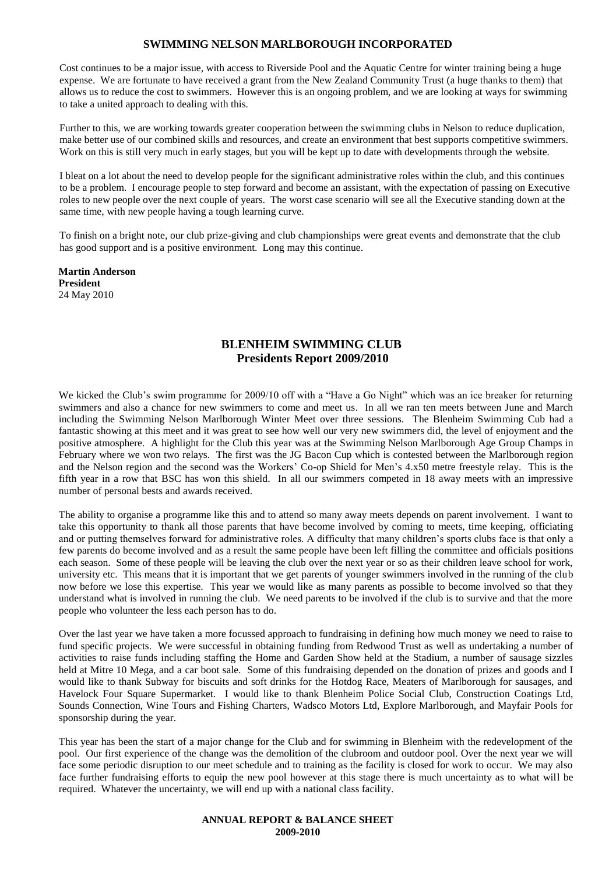Cost continues to be a major issue, with access to Riverside Pool and the Aquatic Centre for winter training being a huge expense. We are fortunate to have received a grant from the New Zealand Community Trust (a huge thanks to them) that allows us to reduce the cost to swimmers. However this is an ongoing problem, and we are looking at ways for swimming to take a united approach to dealing with this.

Further to this, we are working towards greater cooperation between the swimming clubs in Nelson to reduce duplication, make better use of our combined skills and resources, and create an environment that best supports competitive swimmers. Work on this is still very much in early stages, but you will be kept up to date with developments through the website.

I bleat on a lot about the need to develop people for the significant administrative roles within the club, and this continues to be a problem. I encourage people to step forward and become an assistant, with the expectation of passing on Executive roles to new people over the next couple of years. The worst case scenario will see all the Executive standing down at the same time, with new people having a tough learning curve.

To finish on a bright note, our club prize-giving and club championships were great events and demonstrate that the club has good support and is a positive environment. Long may this continue.

 **Martin Anderson President** 24 May 2010

## **BLENHEIM SWIMMING CLUB Presidents Report 2009/2010**

We kicked the Club's swim programme for 2009/10 off with a "Have a Go Night" which was an ice breaker for returning swimmers and also a chance for new swimmers to come and meet us. In all we ran ten meets between June and March including the Swimming Nelson Marlborough Winter Meet over three sessions. The Blenheim Swimming Cub had a fantastic showing at this meet and it was great to see how well our very new swimmers did, the level of enjoyment and the positive atmosphere. A highlight for the Club this year was at the Swimming Nelson Marlborough Age Group Champs in February where we won two relays. The first was the JG Bacon Cup which is contested between the Marlborough region and the Nelson region and the second was the Workers' Co-op Shield for Men's 4.x50 metre freestyle relay. This is the fifth year in a row that BSC has won this shield. In all our swimmers competed in 18 away meets with an impressive number of personal bests and awards received.

The ability to organise a programme like this and to attend so many away meets depends on parent involvement. I want to take this opportunity to thank all those parents that have become involved by coming to meets, time keeping, officiating and or putting themselves forward for administrative roles. A difficulty that many children's sports clubs face is that only a few parents do become involved and as a result the same people have been left filling the committee and officials positions each season. Some of these people will be leaving the club over the next year or so as their children leave school for work, university etc. This means that it is important that we get parents of younger swimmers involved in the running of the club now before we lose this expertise. This year we would like as many parents as possible to become involved so that they understand what is involved in running the club. We need parents to be involved if the club is to survive and that the more people who volunteer the less each person has to do.

Over the last year we have taken a more focussed approach to fundraising in defining how much money we need to raise to fund specific projects. We were successful in obtaining funding from Redwood Trust as well as undertaking a number of activities to raise funds including staffing the Home and Garden Show held at the Stadium, a number of sausage sizzles held at Mitre 10 Mega, and a car boot sale. Some of this fundraising depended on the donation of prizes and goods and I would like to thank Subway for biscuits and soft drinks for the Hotdog Race, Meaters of Marlborough for sausages, and Havelock Four Square Supermarket. I would like to thank Blenheim Police Social Club, Construction Coatings Ltd, Sounds Connection, Wine Tours and Fishing Charters, Wadsco Motors Ltd, Explore Marlborough, and Mayfair Pools for sponsorship during the year.

This year has been the start of a major change for the Club and for swimming in Blenheim with the redevelopment of the pool. Our first experience of the change was the demolition of the clubroom and outdoor pool. Over the next year we will face some periodic disruption to our meet schedule and to training as the facility is closed for work to occur. We may also face further fundraising efforts to equip the new pool however at this stage there is much uncertainty as to what will be required. Whatever the uncertainty, we will end up with a national class facility.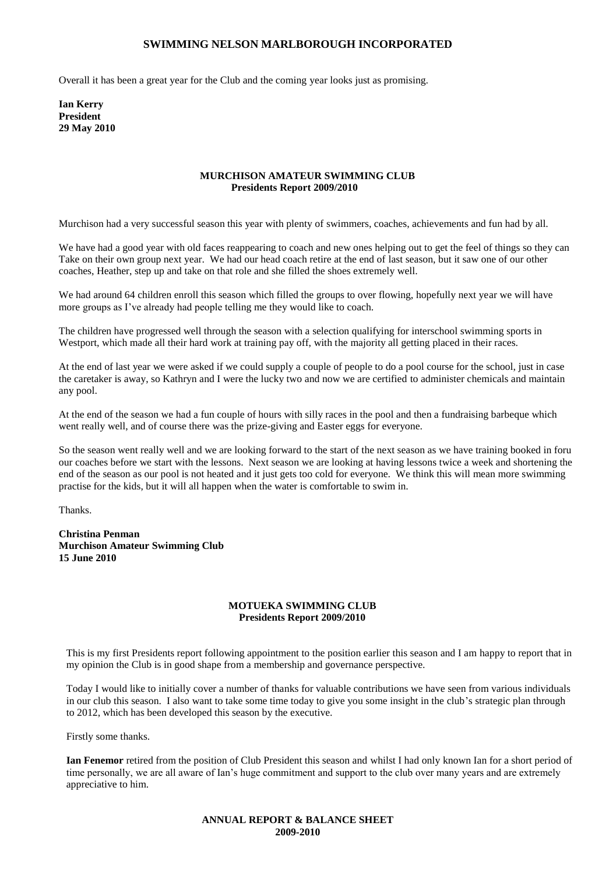Overall it has been a great year for the Club and the coming year looks just as promising.

**Ian Kerry President 29 May 2010**

#### **MURCHISON AMATEUR SWIMMING CLUB Presidents Report 2009/2010**

Murchison had a very successful season this year with plenty of swimmers, coaches, achievements and fun had by all.

We have had a good year with old faces reappearing to coach and new ones helping out to get the feel of things so they can Take on their own group next year. We had our head coach retire at the end of last season, but it saw one of our other coaches, Heather, step up and take on that role and she filled the shoes extremely well.

We had around 64 children enroll this season which filled the groups to over flowing, hopefully next year we will have more groups as I've already had people telling me they would like to coach.

The children have progressed well through the season with a selection qualifying for interschool swimming sports in Westport, which made all their hard work at training pay off, with the majority all getting placed in their races.

At the end of last year we were asked if we could supply a couple of people to do a pool course for the school, just in case the caretaker is away, so Kathryn and I were the lucky two and now we are certified to administer chemicals and maintain any pool.

At the end of the season we had a fun couple of hours with silly races in the pool and then a fundraising barbeque which went really well, and of course there was the prize-giving and Easter eggs for everyone.

So the season went really well and we are looking forward to the start of the next season as we have training booked in foru our coaches before we start with the lessons. Next season we are looking at having lessons twice a week and shortening the end of the season as our pool is not heated and it just gets too cold for everyone. We think this will mean more swimming practise for the kids, but it will all happen when the water is comfortable to swim in.

Thanks.

**Christina Penman Murchison Amateur Swimming Club 15 June 2010**

#### **MOTUEKA SWIMMING CLUB Presidents Report 2009/2010**

This is my first Presidents report following appointment to the position earlier this season and I am happy to report that in my opinion the Club is in good shape from a membership and governance perspective.

Today I would like to initially cover a number of thanks for valuable contributions we have seen from various individuals in our club this season. I also want to take some time today to give you some insight in the club's strategic plan through to 2012, which has been developed this season by the executive.

Firstly some thanks.

**Ian Fenemor** retired from the position of Club President this season and whilst I had only known Ian for a short period of time personally, we are all aware of Ian's huge commitment and support to the club over many years and are extremely appreciative to him.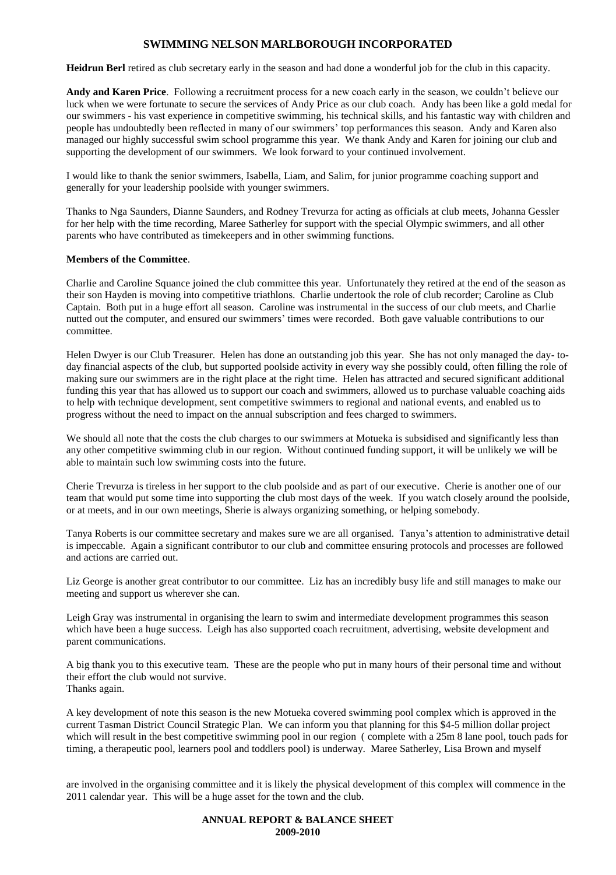**Heidrun Berl** retired as club secretary early in the season and had done a wonderful job for the club in this capacity.

**Andy and Karen Price**. Following a recruitment process for a new coach early in the season, we couldn't believe our luck when we were fortunate to secure the services of Andy Price as our club coach. Andy has been like a gold medal for our swimmers - his vast experience in competitive swimming, his technical skills, and his fantastic way with children and people has undoubtedly been reflected in many of our swimmers' top performances this season. Andy and Karen also managed our highly successful swim school programme this year. We thank Andy and Karen for joining our club and supporting the development of our swimmers. We look forward to your continued involvement.

I would like to thank the senior swimmers, Isabella, Liam, and Salim, for junior programme coaching support and generally for your leadership poolside with younger swimmers.

Thanks to Nga Saunders, Dianne Saunders, and Rodney Trevurza for acting as officials at club meets, Johanna Gessler for her help with the time recording, Maree Satherley for support with the special Olympic swimmers, and all other parents who have contributed as timekeepers and in other swimming functions.

#### **Members of the Committee**.

Charlie and Caroline Squance joined the club committee this year. Unfortunately they retired at the end of the season as their son Hayden is moving into competitive triathlons. Charlie undertook the role of club recorder; Caroline as Club Captain. Both put in a huge effort all season. Caroline was instrumental in the success of our club meets, and Charlie nutted out the computer, and ensured our swimmers' times were recorded. Both gave valuable contributions to our committee.

Helen Dwyer is our Club Treasurer. Helen has done an outstanding job this year. She has not only managed the day- today financial aspects of the club, but supported poolside activity in every way she possibly could, often filling the role of making sure our swimmers are in the right place at the right time. Helen has attracted and secured significant additional funding this year that has allowed us to support our coach and swimmers, allowed us to purchase valuable coaching aids to help with technique development, sent competitive swimmers to regional and national events, and enabled us to progress without the need to impact on the annual subscription and fees charged to swimmers.

We should all note that the costs the club charges to our swimmers at Motueka is subsidised and significantly less than any other competitive swimming club in our region. Without continued funding support, it will be unlikely we will be able to maintain such low swimming costs into the future.

Cherie Trevurza is tireless in her support to the club poolside and as part of our executive. Cherie is another one of our team that would put some time into supporting the club most days of the week. If you watch closely around the poolside, or at meets, and in our own meetings, Sherie is always organizing something, or helping somebody.

Tanya Roberts is our committee secretary and makes sure we are all organised. Tanya's attention to administrative detail is impeccable. Again a significant contributor to our club and committee ensuring protocols and processes are followed and actions are carried out.

Liz George is another great contributor to our committee. Liz has an incredibly busy life and still manages to make our meeting and support us wherever she can.

Leigh Gray was instrumental in organising the learn to swim and intermediate development programmes this season which have been a huge success. Leigh has also supported coach recruitment, advertising, website development and parent communications.

A big thank you to this executive team. These are the people who put in many hours of their personal time and without their effort the club would not survive. Thanks again.

A key development of note this season is the new Motueka covered swimming pool complex which is approved in the current Tasman District Council Strategic Plan. We can inform you that planning for this \$4-5 million dollar project which will result in the best competitive swimming pool in our region (complete with a 25m 8 lane pool, touch pads for timing, a therapeutic pool, learners pool and toddlers pool) is underway. Maree Satherley, Lisa Brown and myself

are involved in the organising committee and it is likely the physical development of this complex will commence in the 2011 calendar year. This will be a huge asset for the town and the club.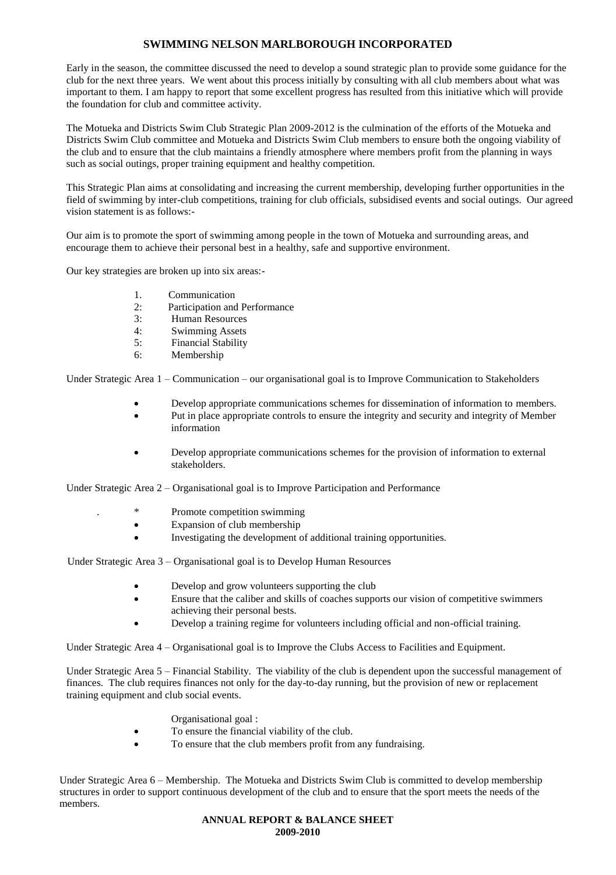Early in the season, the committee discussed the need to develop a sound strategic plan to provide some guidance for the club for the next three years. We went about this process initially by consulting with all club members about what was important to them. I am happy to report that some excellent progress has resulted from this initiative which will provide the foundation for club and committee activity.

The Motueka and Districts Swim Club Strategic Plan 2009-2012 is the culmination of the efforts of the Motueka and Districts Swim Club committee and Motueka and Districts Swim Club members to ensure both the ongoing viability of the club and to ensure that the club maintains a friendly atmosphere where members profit from the planning in ways such as social outings, proper training equipment and healthy competition.

This Strategic Plan aims at consolidating and increasing the current membership, developing further opportunities in the field of swimming by inter-club competitions, training for club officials, subsidised events and social outings. Our agreed vision statement is as follows:-

Our aim is to promote the sport of swimming among people in the town of Motueka and surrounding areas, and encourage them to achieve their personal best in a healthy, safe and supportive environment.

Our key strategies are broken up into six areas:-

- 1. Communication
- 2: Participation and Performance
- 3: Human Resources
- 4: Swimming Assets
- 5: Financial Stability
- 6: Membership

Under Strategic Area 1 – Communication – our organisational goal is to Improve Communication to Stakeholders

- Develop appropriate communications schemes for dissemination of information to members.
- Put in place appropriate controls to ensure the integrity and security and integrity of Member information
- Develop appropriate communications schemes for the provision of information to external stakeholders.

Under Strategic Area 2 – Organisational goal is to Improve Participation and Performance

- Promote competition swimming
- Expansion of club membership
- Investigating the development of additional training opportunities.

Under Strategic Area 3 – Organisational goal is to Develop Human Resources

- Develop and grow volunteers supporting the club
- Ensure that the caliber and skills of coaches supports our vision of competitive swimmers achieving their personal bests.
- Develop a training regime for volunteers including official and non-official training.

Under Strategic Area 4 – Organisational goal is to Improve the Clubs Access to Facilities and Equipment.

Under Strategic Area 5 – Financial Stability. The viability of the club is dependent upon the successful management of finances. The club requires finances not only for the day-to-day running, but the provision of new or replacement training equipment and club social events.

- Organisational goal :
- To ensure the financial viability of the club.
- To ensure that the club members profit from any fundraising.

Under Strategic Area 6 – Membership. The Motueka and Districts Swim Club is committed to develop membership structures in order to support continuous development of the club and to ensure that the sport meets the needs of the members.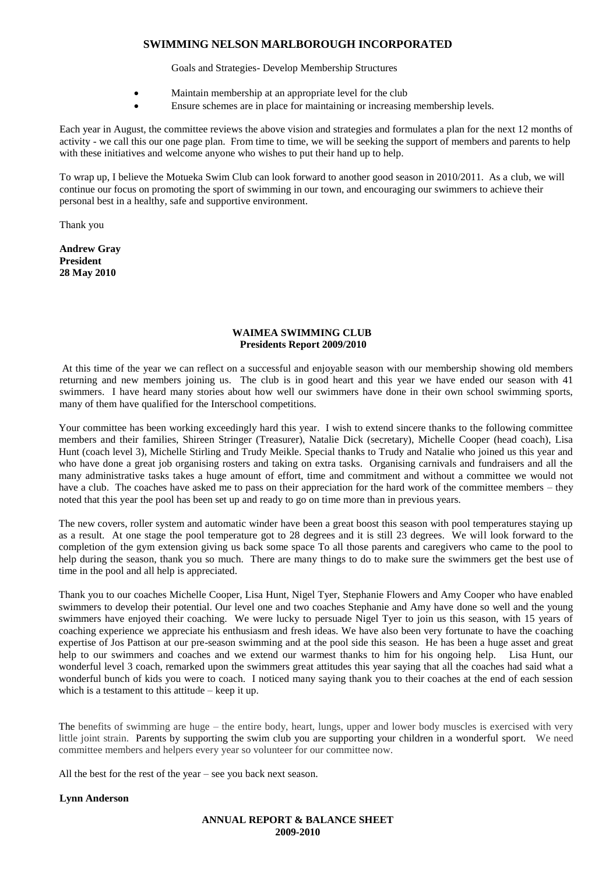Goals and Strategies- Develop Membership Structures

- Maintain membership at an appropriate level for the club
- Ensure schemes are in place for maintaining or increasing membership levels.

Each year in August, the committee reviews the above vision and strategies and formulates a plan for the next 12 months of activity - we call this our one page plan. From time to time, we will be seeking the support of members and parents to help with these initiatives and welcome anyone who wishes to put their hand up to help.

To wrap up, I believe the Motueka Swim Club can look forward to another good season in 2010/2011. As a club, we will continue our focus on promoting the sport of swimming in our town, and encouraging our swimmers to achieve their personal best in a healthy, safe and supportive environment.

Thank you

**Andrew Gray President 28 May 2010**

#### **WAIMEA SWIMMING CLUB Presidents Report 2009/2010**

At this time of the year we can reflect on a successful and enjoyable season with our membership showing old members returning and new members joining us. The club is in good heart and this year we have ended our season with 41 swimmers. I have heard many stories about how well our swimmers have done in their own school swimming sports, many of them have qualified for the Interschool competitions.

Your committee has been working exceedingly hard this year. I wish to extend sincere thanks to the following committee members and their families, Shireen Stringer (Treasurer), Natalie Dick (secretary), Michelle Cooper (head coach), Lisa Hunt (coach level 3), Michelle Stirling and Trudy Meikle. Special thanks to Trudy and Natalie who joined us this year and who have done a great job organising rosters and taking on extra tasks. Organising carnivals and fundraisers and all the many administrative tasks takes a huge amount of effort, time and commitment and without a committee we would not have a club. The coaches have asked me to pass on their appreciation for the hard work of the committee members – they noted that this year the pool has been set up and ready to go on time more than in previous years.

The new covers, roller system and automatic winder have been a great boost this season with pool temperatures staying up as a result. At one stage the pool temperature got to 28 degrees and it is still 23 degrees. We will look forward to the completion of the gym extension giving us back some space To all those parents and caregivers who came to the pool to help during the season, thank you so much. There are many things to do to make sure the swimmers get the best use of time in the pool and all help is appreciated.

Thank you to our coaches Michelle Cooper, Lisa Hunt, Nigel Tyer, Stephanie Flowers and Amy Cooper who have enabled swimmers to develop their potential. Our level one and two coaches Stephanie and Amy have done so well and the young swimmers have enjoyed their coaching. We were lucky to persuade Nigel Tyer to join us this season, with 15 years of coaching experience we appreciate his enthusiasm and fresh ideas. We have also been very fortunate to have the coaching expertise of Jos Pattison at our pre-season swimming and at the pool side this season. He has been a huge asset and great help to our swimmers and coaches and we extend our warmest thanks to him for his ongoing help. Lisa Hunt, our wonderful level 3 coach, remarked upon the swimmers great attitudes this year saying that all the coaches had said what a wonderful bunch of kids you were to coach. I noticed many saying thank you to their coaches at the end of each session which is a testament to this attitude – keep it up.

The benefits of swimming are huge – the entire body, heart, lungs, upper and lower body muscles is exercised with very little joint strain. Parents by supporting the swim club you are supporting your children in a wonderful sport. We need committee members and helpers every year so volunteer for our committee now.

All the best for the rest of the year – see you back next season.

#### **Lynn Anderson**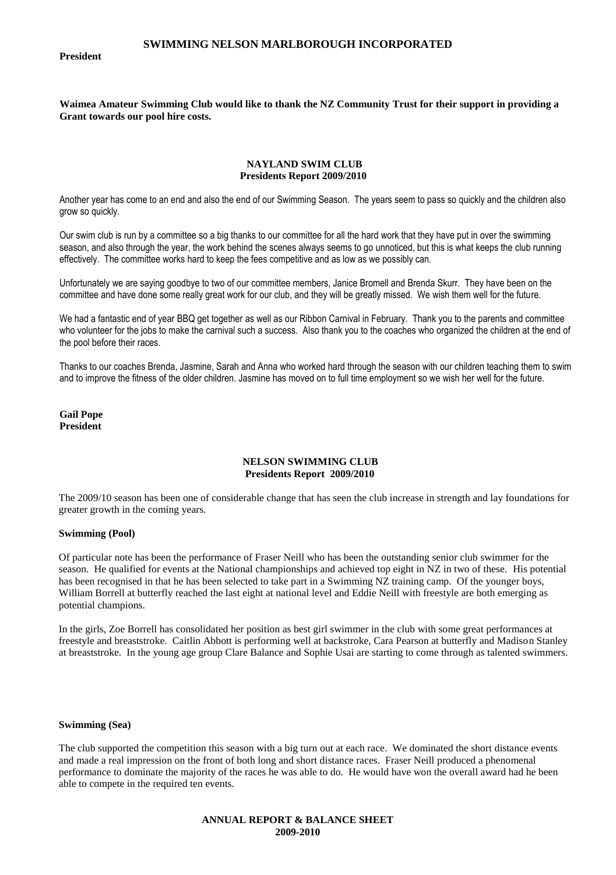#### **President**

**Waimea Amateur Swimming Club would like to thank the NZ Community Trust for their support in providing a Grant towards our pool hire costs.**

#### **NAYLAND SWIM CLUB Presidents Report 2009/2010**

Another year has come to an end and also the end of our Swimming Season. The years seem to pass so quickly and the children also grow so quickly.

Our swim club is run by a committee so a big thanks to our committee for all the hard work that they have put in over the swimming season, and also through the year, the work behind the scenes always seems to go unnoticed, but this is what keeps the club running effectively. The committee works hard to keep the fees competitive and as low as we possibly can.

Unfortunately we are saying goodbye to two of our committee members, Janice Bromell and Brenda Skurr. They have been on the committee and have done some really great work for our club, and they will be greatly missed. We wish them well for the future.

We had a fantastic end of year BBQ get together as well as our Ribbon Carnival in February. Thank you to the parents and committee who volunteer for the jobs to make the carnival such a success. Also thank you to the coaches who organized the children at the end of the pool before their races.

Thanks to our coaches Brenda, Jasmine, Sarah and Anna who worked hard through the season with our children teaching them to swim and to improve the fitness of the older children. Jasmine has moved on to full time employment so we wish her well for the future.

**Gail Pope President**

#### **NELSON SWIMMING CLUB Presidents Report 2009/2010**

The 2009/10 season has been one of considerable change that has seen the club increase in strength and lay foundations for greater growth in the coming years.

#### **Swimming (Pool)**

Of particular note has been the performance of Fraser Neill who has been the outstanding senior club swimmer for the season. He qualified for events at the National championships and achieved top eight in NZ in two of these. His potential has been recognised in that he has been selected to take part in a Swimming NZ training camp. Of the younger boys, William Borrell at butterfly reached the last eight at national level and Eddie Neill with freestyle are both emerging as potential champions.

In the girls, Zoe Borrell has consolidated her position as best girl swimmer in the club with some great performances at freestyle and breaststroke. Caitlin Abbott is performing well at backstroke, Cara Pearson at butterfly and Madison Stanley at breaststroke. In the young age group Clare Balance and Sophie Usai are starting to come through as talented swimmers.

#### **Swimming (Sea)**

The club supported the competition this season with a big turn out at each race. We dominated the short distance events and made a real impression on the front of both long and short distance races. Fraser Neill produced a phenomenal performance to dominate the majority of the races he was able to do. He would have won the overall award had he been able to compete in the required ten events.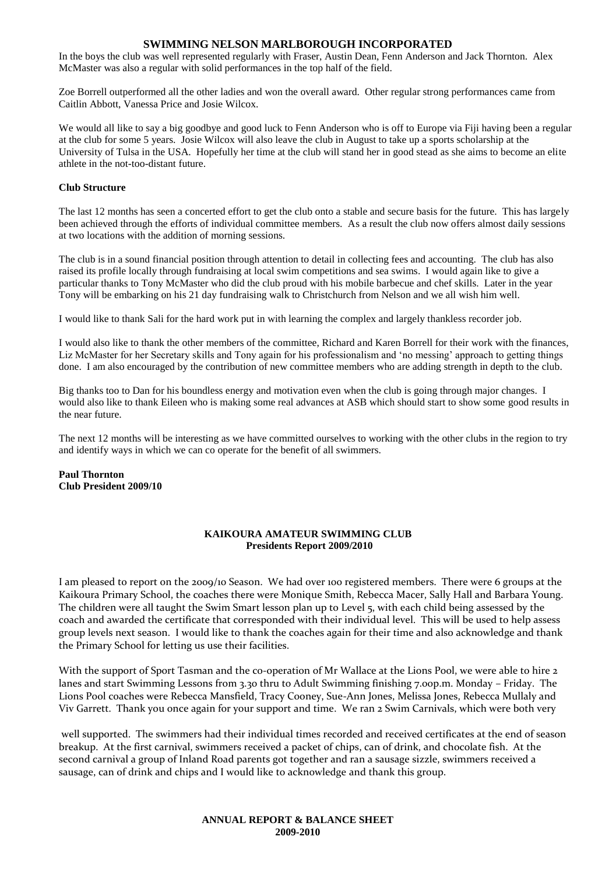In the boys the club was well represented regularly with Fraser, Austin Dean, Fenn Anderson and Jack Thornton. Alex McMaster was also a regular with solid performances in the top half of the field.

Zoe Borrell outperformed all the other ladies and won the overall award. Other regular strong performances came from Caitlin Abbott, Vanessa Price and Josie Wilcox.

We would all like to say a big goodbye and good luck to Fenn Anderson who is off to Europe via Fiji having been a regular at the club for some 5 years. Josie Wilcox will also leave the club in August to take up a sports scholarship at the University of Tulsa in the USA. Hopefully her time at the club will stand her in good stead as she aims to become an elite athlete in the not-too-distant future.

#### **Club Structure**

The last 12 months has seen a concerted effort to get the club onto a stable and secure basis for the future. This has largely been achieved through the efforts of individual committee members. As a result the club now offers almost daily sessions at two locations with the addition of morning sessions.

The club is in a sound financial position through attention to detail in collecting fees and accounting. The club has also raised its profile locally through fundraising at local swim competitions and sea swims. I would again like to give a particular thanks to Tony McMaster who did the club proud with his mobile barbecue and chef skills. Later in the year Tony will be embarking on his 21 day fundraising walk to Christchurch from Nelson and we all wish him well.

I would like to thank Sali for the hard work put in with learning the complex and largely thankless recorder job.

I would also like to thank the other members of the committee, Richard and Karen Borrell for their work with the finances, Liz McMaster for her Secretary skills and Tony again for his professionalism and 'no messing' approach to getting things done. I am also encouraged by the contribution of new committee members who are adding strength in depth to the club.

Big thanks too to Dan for his boundless energy and motivation even when the club is going through major changes. I would also like to thank Eileen who is making some real advances at ASB which should start to show some good results in the near future.

The next 12 months will be interesting as we have committed ourselves to working with the other clubs in the region to try and identify ways in which we can co operate for the benefit of all swimmers.

**Paul Thornton Club President 2009/10**

#### **KAIKOURA AMATEUR SWIMMING CLUB Presidents Report 2009/2010**

I am pleased to report on the 2009/10 Season. We had over 100 registered members. There were 6 groups at the Kaikoura Primary School, the coaches there were Monique Smith, Rebecca Macer, Sally Hall and Barbara Young. The children were all taught the Swim Smart lesson plan up to Level 5, with each child being assessed by the coach and awarded the certificate that corresponded with their individual level. This will be used to help assess group levels next season. I would like to thank the coaches again for their time and also acknowledge and thank the Primary School for letting us use their facilities.

With the support of Sport Tasman and the co-operation of Mr Wallace at the Lions Pool, we were able to hire 2 lanes and start Swimming Lessons from 3.30 thru to Adult Swimming finishing 7.00p.m. Monday – Friday. The Lions Pool coaches were Rebecca Mansfield, Tracy Cooney, Sue-Ann Jones, Melissa Jones, Rebecca Mullaly and Viv Garrett. Thank you once again for your support and time. We ran 2 Swim Carnivals, which were both very

well supported. The swimmers had their individual times recorded and received certificates at the end of season breakup. At the first carnival, swimmers received a packet of chips, can of drink, and chocolate fish. At the second carnival a group of Inland Road parents got together and ran a sausage sizzle, swimmers received a sausage, can of drink and chips and I would like to acknowledge and thank this group.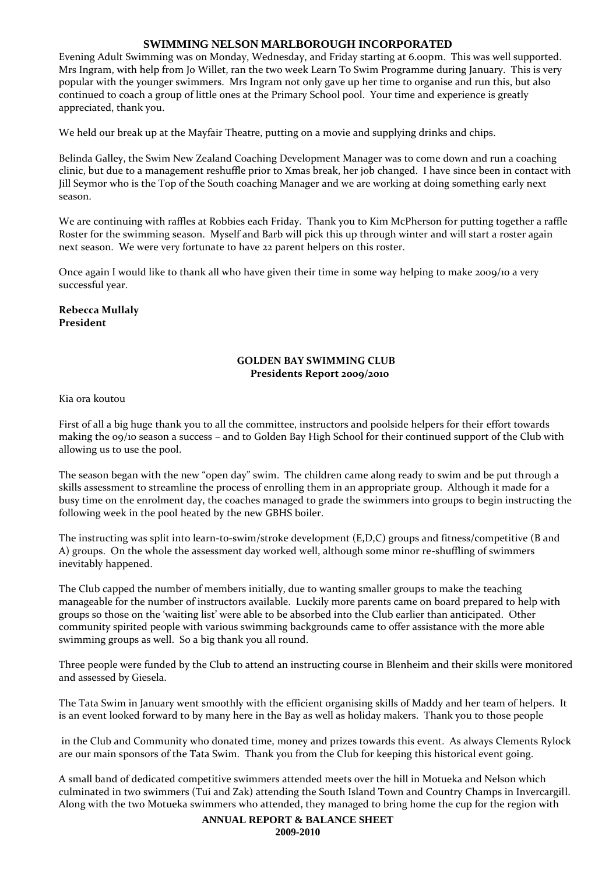Evening Adult Swimming was on Monday, Wednesday, and Friday starting at 6.00pm. This was well supported. Mrs Ingram, with help from Jo Willet, ran the two week Learn To Swim Programme during January. This is very popular with the younger swimmers. Mrs Ingram not only gave up her time to organise and run this, but also continued to coach a group of little ones at the Primary School pool. Your time and experience is greatly appreciated, thank you.

We held our break up at the Mayfair Theatre, putting on a movie and supplying drinks and chips.

Belinda Galley, the Swim New Zealand Coaching Development Manager was to come down and run a coaching clinic, but due to a management reshuffle prior to Xmas break, her job changed. I have since been in contact with Jill Seymor who is the Top of the South coaching Manager and we are working at doing something early next season.

We are continuing with raffles at Robbies each Friday. Thank you to Kim McPherson for putting together a raffle Roster for the swimming season. Myself and Barb will pick this up through winter and will start a roster again next season. We were very fortunate to have 22 parent helpers on this roster.

Once again I would like to thank all who have given their time in some way helping to make 2009/10 a very successful year.

## **Rebecca Mullaly President**

## **GOLDEN BAY SWIMMING CLUB Presidents Report 2009/2010**

Kia ora koutou

First of all a big huge thank you to all the committee, instructors and poolside helpers for their effort towards making the 09/10 season a success – and to Golden Bay High School for their continued support of the Club with allowing us to use the pool.

The season began with the new "open day" swim. The children came along ready to swim and be put through a skills assessment to streamline the process of enrolling them in an appropriate group. Although it made for a busy time on the enrolment day, the coaches managed to grade the swimmers into groups to begin instructing the following week in the pool heated by the new GBHS boiler.

The instructing was split into learn-to-swim/stroke development (E,D,C) groups and fitness/competitive (B and A) groups. On the whole the assessment day worked well, although some minor re-shuffling of swimmers inevitably happened.

The Club capped the number of members initially, due to wanting smaller groups to make the teaching manageable for the number of instructors available. Luckily more parents came on board prepared to help with groups so those on the 'waiting list' were able to be absorbed into the Club earlier than anticipated. Other community spirited people with various swimming backgrounds came to offer assistance with the more able swimming groups as well. So a big thank you all round.

Three people were funded by the Club to attend an instructing course in Blenheim and their skills were monitored and assessed by Giesela.

The Tata Swim in January went smoothly with the efficient organising skills of Maddy and her team of helpers. It is an event looked forward to by many here in the Bay as well as holiday makers. Thank you to those people

in the Club and Community who donated time, money and prizes towards this event. As always Clements Rylock are our main sponsors of the Tata Swim. Thank you from the Club for keeping this historical event going.

A small band of dedicated competitive swimmers attended meets over the hill in Motueka and Nelson which culminated in two swimmers (Tui and Zak) attending the South Island Town and Country Champs in Invercargill. Along with the two Motueka swimmers who attended, they managed to bring home the cup for the region with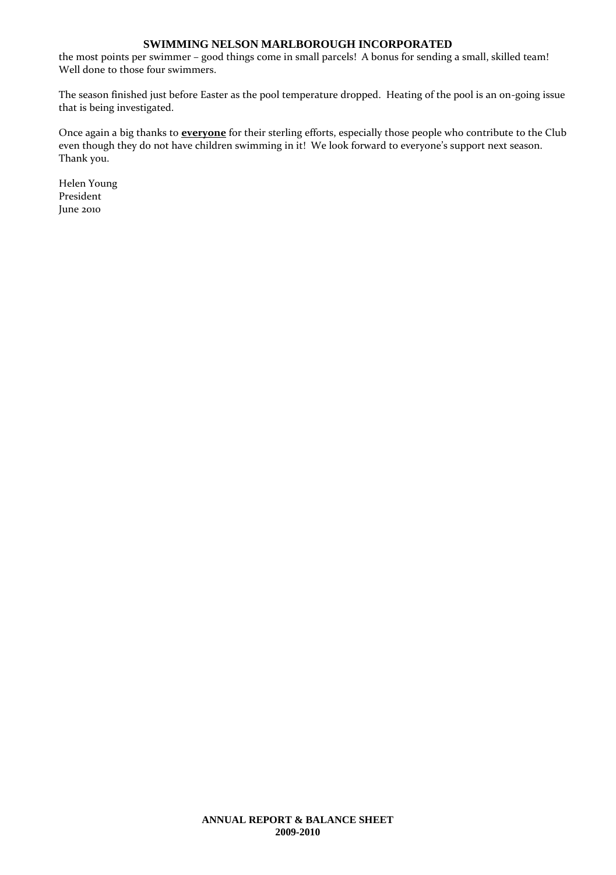the most points per swimmer – good things come in small parcels! A bonus for sending a small, skilled team! Well done to those four swimmers.

The season finished just before Easter as the pool temperature dropped. Heating of the pool is an on-going issue that is being investigated.

Once again a big thanks to **everyone** for their sterling efforts, especially those people who contribute to the Club even though they do not have children swimming in it! We look forward to everyone's support next season. Thank you.

Helen Young President June 2010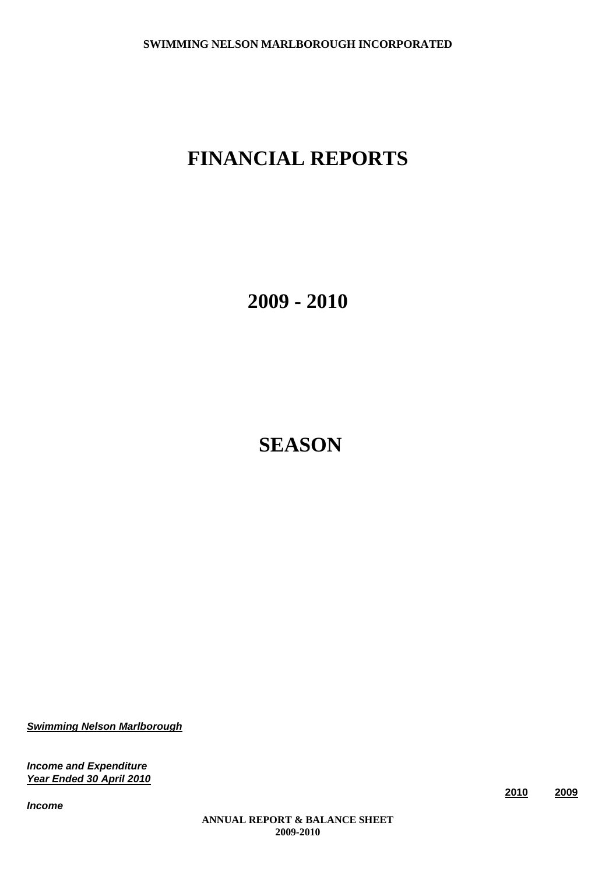# **FINANCIAL REPORTS**

**2009 - 2010**

**SEASON**

*Swimming Nelson Marlborough*

*Income and Expenditure Year Ended 30 April 2010*

*Income*

**2010 2009**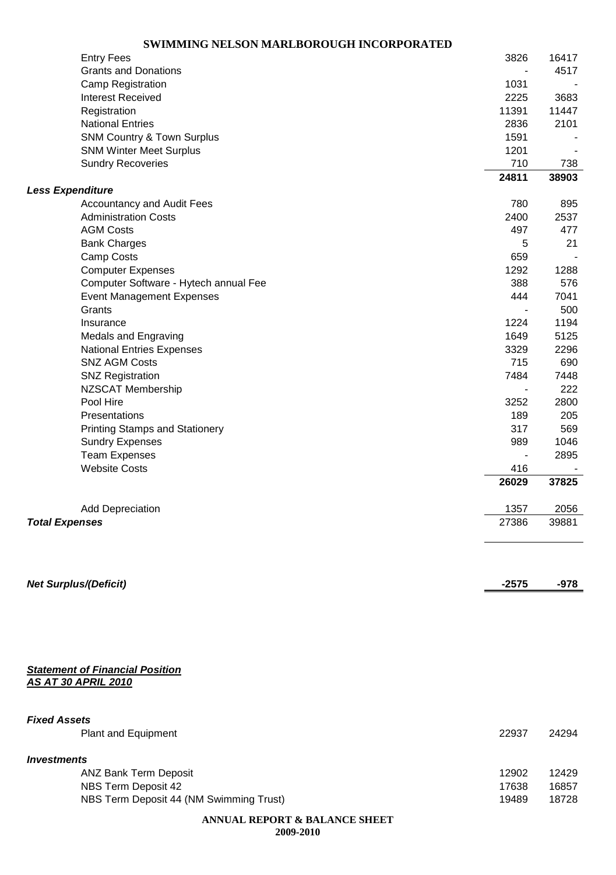|                         | <b>Entry Fees</b>                     | 3826                         | 16417 |
|-------------------------|---------------------------------------|------------------------------|-------|
|                         | <b>Grants and Donations</b>           | $\overline{\phantom{a}}$     | 4517  |
|                         | <b>Camp Registration</b>              | 1031                         |       |
|                         | <b>Interest Received</b>              | 2225                         | 3683  |
|                         | Registration                          | 11391                        | 11447 |
|                         | <b>National Entries</b>               | 2836                         | 2101  |
|                         | <b>SNM Country &amp; Town Surplus</b> | 1591                         |       |
|                         | <b>SNM Winter Meet Surplus</b>        | 1201                         |       |
|                         | <b>Sundry Recoveries</b>              | 710                          | 738   |
|                         |                                       | 24811                        | 38903 |
| <b>Less Expenditure</b> |                                       |                              |       |
|                         | <b>Accountancy and Audit Fees</b>     | 780                          | 895   |
|                         | <b>Administration Costs</b>           | 2400                         | 2537  |
|                         | <b>AGM Costs</b>                      | 497                          | 477   |
|                         | <b>Bank Charges</b>                   | 5                            | 21    |
|                         | Camp Costs                            | 659                          |       |
|                         | <b>Computer Expenses</b>              | 1292                         | 1288  |
|                         | Computer Software - Hytech annual Fee | 388                          | 576   |
|                         | <b>Event Management Expenses</b>      | 444                          | 7041  |
|                         | Grants                                | $\blacksquare$               | 500   |
|                         | Insurance                             | 1224                         | 1194  |
|                         | <b>Medals and Engraving</b>           | 1649                         | 5125  |
|                         | <b>National Entries Expenses</b>      | 3329                         | 2296  |
|                         | <b>SNZ AGM Costs</b>                  | 715                          | 690   |
|                         | <b>SNZ Registration</b>               | 7484                         | 7448  |
|                         | NZSCAT Membership                     | $\qquad \qquad \blacksquare$ | 222   |
|                         | Pool Hire                             | 3252                         | 2800  |
|                         | Presentations                         | 189                          | 205   |
|                         | <b>Printing Stamps and Stationery</b> | 317                          | 569   |
|                         | <b>Sundry Expenses</b>                | 989                          | 1046  |
|                         | <b>Team Expenses</b>                  |                              | 2895  |
|                         | <b>Website Costs</b>                  | 416                          |       |
|                         |                                       | 26029                        | 37825 |
|                         | <b>Add Depreciation</b>               | 1357                         | 2056  |
| <b>Total Expenses</b>   |                                       | 27386                        | 39881 |
|                         |                                       |                              |       |
|                         | <b>Net Surplus/(Deficit)</b>          | $-2575$                      | -978  |

*AS AT 30 APRIL 2010*

| <b>Fixed Assets</b>                     |       |       |
|-----------------------------------------|-------|-------|
| Plant and Equipment                     | 22937 | 24294 |
| <i><u><b>Investments</b></u></i>        |       |       |
| <b>ANZ Bank Term Deposit</b>            | 12902 | 12429 |
| NBS Term Deposit 42                     | 17638 | 16857 |
| NBS Term Deposit 44 (NM Swimming Trust) | 19489 | 18728 |
|                                         |       |       |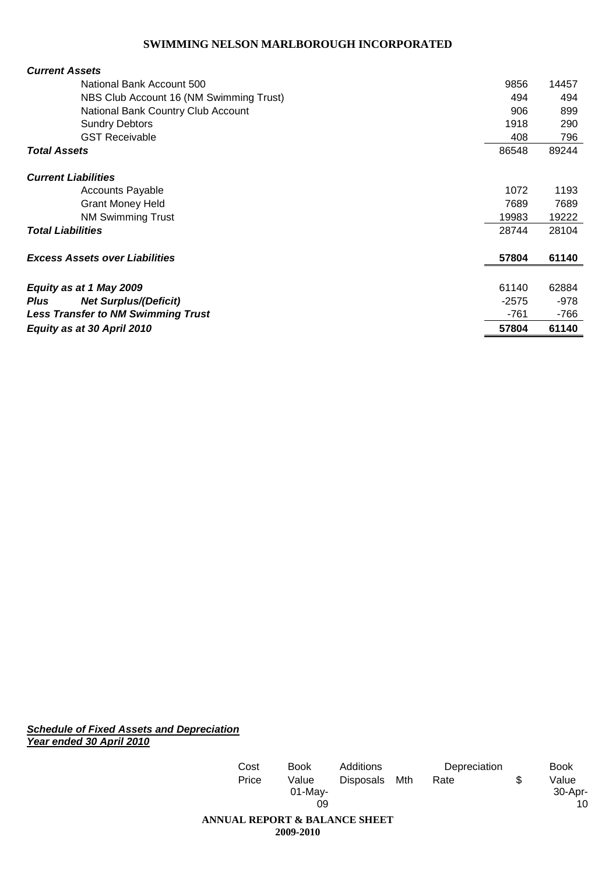| <b>Current Assets</b>                       |         |        |
|---------------------------------------------|---------|--------|
| National Bank Account 500                   | 9856    | 14457  |
| NBS Club Account 16 (NM Swimming Trust)     | 494     | 494    |
| National Bank Country Club Account          | 906     | 899    |
| <b>Sundry Debtors</b>                       | 1918    | 290    |
| <b>GST Receivable</b>                       | 408     | 796    |
| <b>Total Assets</b>                         | 86548   | 89244  |
| <b>Current Liabilities</b>                  |         |        |
| Accounts Payable                            | 1072    | 1193   |
| <b>Grant Money Held</b>                     | 7689    | 7689   |
| <b>NM Swimming Trust</b>                    | 19983   | 19222  |
| <b>Total Liabilities</b>                    | 28744   | 28104  |
| <b>Excess Assets over Liabilities</b>       | 57804   | 61140  |
| Equity as at 1 May 2009                     | 61140   | 62884  |
| <b>Net Surplus/(Deficit)</b><br><b>Plus</b> | $-2575$ | $-978$ |
| <b>Less Transfer to NM Swimming Trust</b>   | -761    | -766   |
| Equity as at 30 April 2010                  | 57804   | 61140  |

*Schedule of Fixed Assets and Depreciation Year ended 30 April 2010*

| Cost                                     | <b>Book</b>               | Additions     | Depreciation | <b>Book</b>                  |
|------------------------------------------|---------------------------|---------------|--------------|------------------------------|
| Price                                    | Value<br>$01$ -May-<br>09 | Disposals Mth | Rate         | \$<br>Value<br>30-Apr-<br>10 |
| <b>ANNUAL REPORT &amp; BALANCE SHEET</b> | 2009-2010                 |               |              |                              |